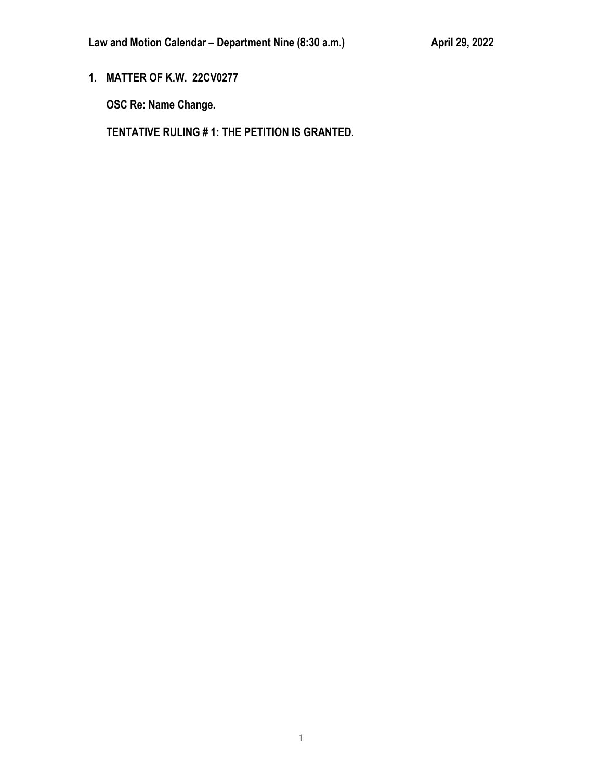**1. MATTER OF K.W. 22CV0277**

**OSC Re: Name Change.**

**TENTATIVE RULING # 1: THE PETITION IS GRANTED.**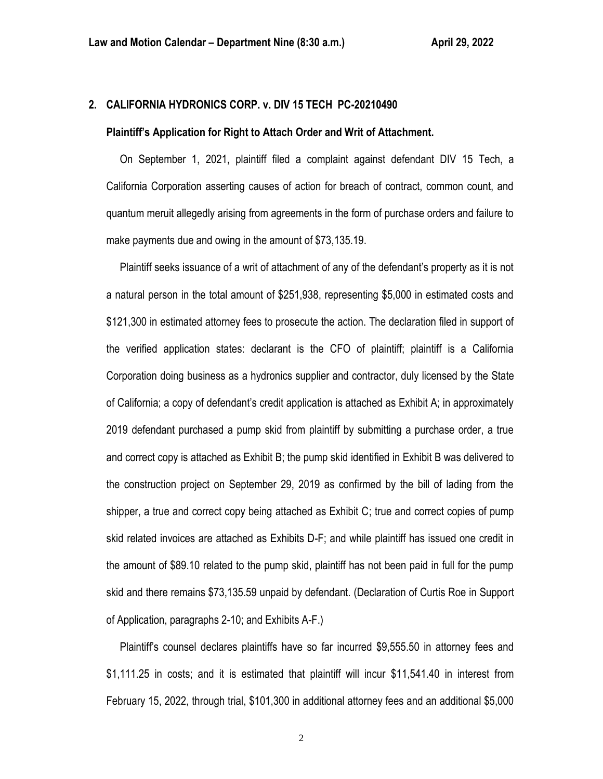# **2. CALIFORNIA HYDRONICS CORP. v. DIV 15 TECH PC-20210490**

#### **Plaintiff's Application for Right to Attach Order and Writ of Attachment.**

 On September 1, 2021, plaintiff filed a complaint against defendant DIV 15 Tech, a California Corporation asserting causes of action for breach of contract, common count, and quantum meruit allegedly arising from agreements in the form of purchase orders and failure to make payments due and owing in the amount of \$73,135.19.

 Plaintiff seeks issuance of a writ of attachment of any of the defendant's property as it is not a natural person in the total amount of \$251,938, representing \$5,000 in estimated costs and \$121,300 in estimated attorney fees to prosecute the action. The declaration filed in support of the verified application states: declarant is the CFO of plaintiff; plaintiff is a California Corporation doing business as a hydronics supplier and contractor, duly licensed by the State of California; a copy of defendant's credit application is attached as Exhibit A; in approximately 2019 defendant purchased a pump skid from plaintiff by submitting a purchase order, a true and correct copy is attached as Exhibit B; the pump skid identified in Exhibit B was delivered to the construction project on September 29, 2019 as confirmed by the bill of lading from the shipper, a true and correct copy being attached as Exhibit C; true and correct copies of pump skid related invoices are attached as Exhibits D-F; and while plaintiff has issued one credit in the amount of \$89.10 related to the pump skid, plaintiff has not been paid in full for the pump skid and there remains \$73,135.59 unpaid by defendant. (Declaration of Curtis Roe in Support of Application, paragraphs 2-10; and Exhibits A-F.)

 Plaintiff's counsel declares plaintiffs have so far incurred \$9,555.50 in attorney fees and \$1,111.25 in costs; and it is estimated that plaintiff will incur \$11,541.40 in interest from February 15, 2022, through trial, \$101,300 in additional attorney fees and an additional \$5,000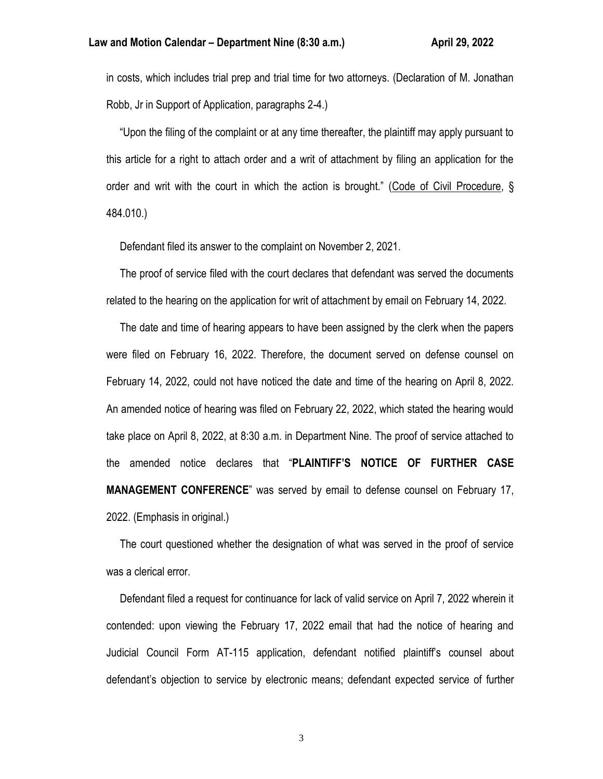in costs, which includes trial prep and trial time for two attorneys. (Declaration of M. Jonathan Robb, Jr in Support of Application, paragraphs 2-4.)

 "Upon the filing of the complaint or at any time thereafter, the plaintiff may apply pursuant to this article for a right to attach order and a writ of attachment by filing an application for the order and writ with the court in which the action is brought." (Code of Civil Procedure, § 484.010.)

Defendant filed its answer to the complaint on November 2, 2021.

 The proof of service filed with the court declares that defendant was served the documents related to the hearing on the application for writ of attachment by email on February 14, 2022.

 The date and time of hearing appears to have been assigned by the clerk when the papers were filed on February 16, 2022. Therefore, the document served on defense counsel on February 14, 2022, could not have noticed the date and time of the hearing on April 8, 2022. An amended notice of hearing was filed on February 22, 2022, which stated the hearing would take place on April 8, 2022, at 8:30 a.m. in Department Nine. The proof of service attached to the amended notice declares that "**PLAINTIFF'S NOTICE OF FURTHER CASE MANAGEMENT CONFERENCE**" was served by email to defense counsel on February 17, 2022. (Emphasis in original.)

 The court questioned whether the designation of what was served in the proof of service was a clerical error.

 Defendant filed a request for continuance for lack of valid service on April 7, 2022 wherein it contended: upon viewing the February 17, 2022 email that had the notice of hearing and Judicial Council Form AT-115 application, defendant notified plaintiff's counsel about defendant's objection to service by electronic means; defendant expected service of further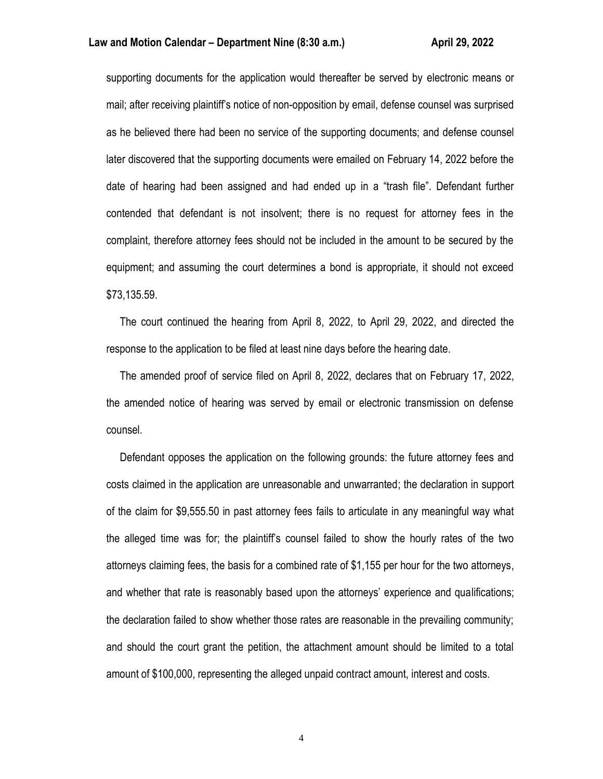supporting documents for the application would thereafter be served by electronic means or mail; after receiving plaintiff's notice of non-opposition by email, defense counsel was surprised as he believed there had been no service of the supporting documents; and defense counsel later discovered that the supporting documents were emailed on February 14, 2022 before the date of hearing had been assigned and had ended up in a "trash file". Defendant further contended that defendant is not insolvent; there is no request for attorney fees in the complaint, therefore attorney fees should not be included in the amount to be secured by the equipment; and assuming the court determines a bond is appropriate, it should not exceed \$73,135.59.

 The court continued the hearing from April 8, 2022, to April 29, 2022, and directed the response to the application to be filed at least nine days before the hearing date.

 The amended proof of service filed on April 8, 2022, declares that on February 17, 2022, the amended notice of hearing was served by email or electronic transmission on defense counsel.

 Defendant opposes the application on the following grounds: the future attorney fees and costs claimed in the application are unreasonable and unwarranted; the declaration in support of the claim for \$9,555.50 in past attorney fees fails to articulate in any meaningful way what the alleged time was for; the plaintiff's counsel failed to show the hourly rates of the two attorneys claiming fees, the basis for a combined rate of \$1,155 per hour for the two attorneys, and whether that rate is reasonably based upon the attorneys' experience and qualifications; the declaration failed to show whether those rates are reasonable in the prevailing community; and should the court grant the petition, the attachment amount should be limited to a total amount of \$100,000, representing the alleged unpaid contract amount, interest and costs.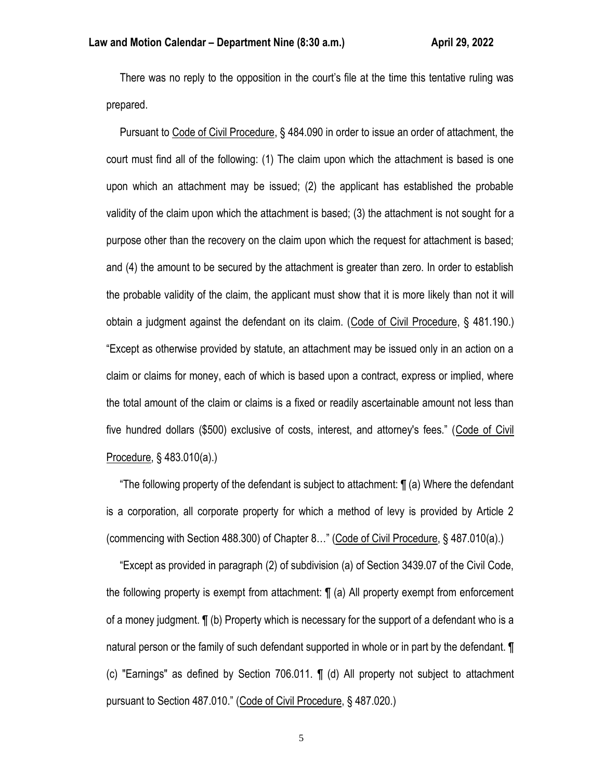There was no reply to the opposition in the court's file at the time this tentative ruling was prepared.

 Pursuant to Code of Civil Procedure, § 484.090 in order to issue an order of attachment, the court must find all of the following: (1) The claim upon which the attachment is based is one upon which an attachment may be issued; (2) the applicant has established the probable validity of the claim upon which the attachment is based; (3) the attachment is not sought for a purpose other than the recovery on the claim upon which the request for attachment is based; and (4) the amount to be secured by the attachment is greater than zero. In order to establish the probable validity of the claim, the applicant must show that it is more likely than not it will obtain a judgment against the defendant on its claim. (Code of Civil Procedure, § 481.190.) "Except as otherwise provided by statute, an attachment may be issued only in an action on a claim or claims for money, each of which is based upon a contract, express or implied, where the total amount of the claim or claims is a fixed or readily ascertainable amount not less than five hundred dollars (\$500) exclusive of costs, interest, and attorney's fees." (Code of Civil Procedure, § 483.010(a).)

 "The following property of the defendant is subject to attachment: ¶ (a) Where the defendant is a corporation, all corporate property for which a method of levy is provided by Article 2 (commencing with Section 488.300) of Chapter 8…" (Code of Civil Procedure, § 487.010(a).)

 "Except as provided in paragraph (2) of subdivision (a) of Section 3439.07 of the Civil Code, the following property is exempt from attachment: ¶ (a) All property exempt from enforcement of a money judgment. ¶ (b) Property which is necessary for the support of a defendant who is a natural person or the family of such defendant supported in whole or in part by the defendant. ¶ (c) "Earnings" as defined by Section 706.011. ¶ (d) All property not subject to attachment pursuant to Section 487.010." (Code of Civil Procedure, § 487.020.)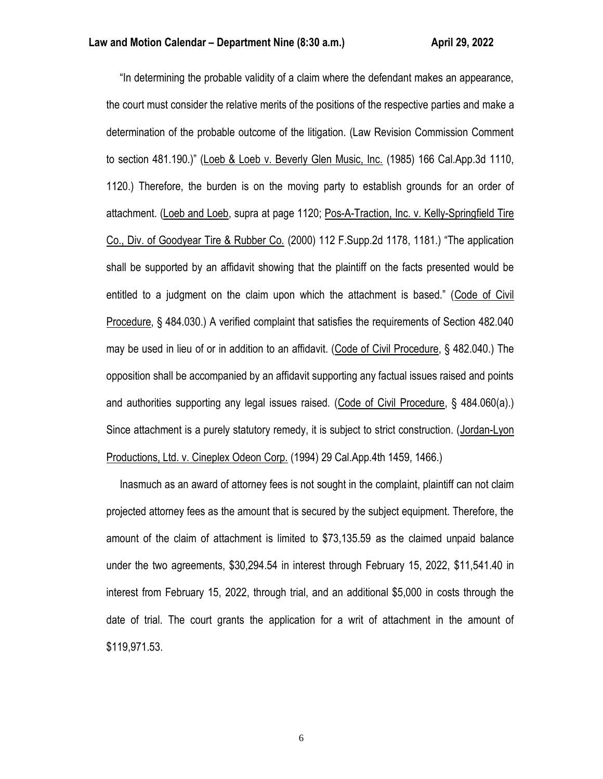"In determining the probable validity of a claim where the defendant makes an appearance, the court must consider the relative merits of the positions of the respective parties and make a determination of the probable outcome of the litigation. (Law Revision Commission Comment to section 481.190.)" (Loeb & Loeb v. Beverly Glen Music, Inc. (1985) 166 Cal.App.3d 1110, 1120.) Therefore, the burden is on the moving party to establish grounds for an order of attachment. (Loeb and Loeb, supra at page 1120; Pos-A-Traction, Inc. v. Kelly-Springfield Tire Co., Div. of Goodyear Tire & Rubber Co. (2000) 112 F.Supp.2d 1178, 1181.) "The application shall be supported by an affidavit showing that the plaintiff on the facts presented would be entitled to a judgment on the claim upon which the attachment is based." (Code of Civil Procedure, § 484.030.) A verified complaint that satisfies the requirements of Section 482.040 may be used in lieu of or in addition to an affidavit. (Code of Civil Procedure, § 482.040.) The opposition shall be accompanied by an affidavit supporting any factual issues raised and points and authorities supporting any legal issues raised. (Code of Civil Procedure, § 484.060(a).) Since attachment is a purely statutory remedy, it is subject to strict construction. (Jordan-Lyon Productions, Ltd. v. Cineplex Odeon Corp. (1994) 29 Cal.App.4th 1459, 1466.)

 Inasmuch as an award of attorney fees is not sought in the complaint, plaintiff can not claim projected attorney fees as the amount that is secured by the subject equipment. Therefore, the amount of the claim of attachment is limited to \$73,135.59 as the claimed unpaid balance under the two agreements, \$30,294.54 in interest through February 15, 2022, \$11,541.40 in interest from February 15, 2022, through trial, and an additional \$5,000 in costs through the date of trial. The court grants the application for a writ of attachment in the amount of \$119,971.53.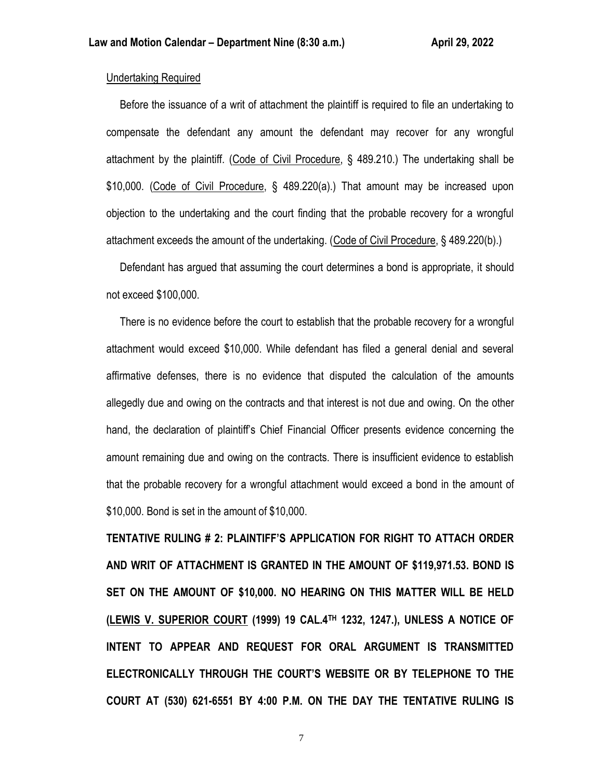## Undertaking Required

 Before the issuance of a writ of attachment the plaintiff is required to file an undertaking to compensate the defendant any amount the defendant may recover for any wrongful attachment by the plaintiff. (Code of Civil Procedure, § 489.210.) The undertaking shall be \$10,000. (Code of Civil Procedure, § 489.220(a).) That amount may be increased upon objection to the undertaking and the court finding that the probable recovery for a wrongful attachment exceeds the amount of the undertaking. (Code of Civil Procedure, § 489.220(b).)

 Defendant has argued that assuming the court determines a bond is appropriate, it should not exceed \$100,000.

 There is no evidence before the court to establish that the probable recovery for a wrongful attachment would exceed \$10,000. While defendant has filed a general denial and several affirmative defenses, there is no evidence that disputed the calculation of the amounts allegedly due and owing on the contracts and that interest is not due and owing. On the other hand, the declaration of plaintiff's Chief Financial Officer presents evidence concerning the amount remaining due and owing on the contracts. There is insufficient evidence to establish that the probable recovery for a wrongful attachment would exceed a bond in the amount of \$10,000. Bond is set in the amount of \$10,000.

**TENTATIVE RULING # 2: PLAINTIFF'S APPLICATION FOR RIGHT TO ATTACH ORDER AND WRIT OF ATTACHMENT IS GRANTED IN THE AMOUNT OF \$119,971.53. BOND IS SET ON THE AMOUNT OF \$10,000. NO HEARING ON THIS MATTER WILL BE HELD (LEWIS V. SUPERIOR COURT (1999) 19 CAL.4TH 1232, 1247.), UNLESS A NOTICE OF INTENT TO APPEAR AND REQUEST FOR ORAL ARGUMENT IS TRANSMITTED ELECTRONICALLY THROUGH THE COURT'S WEBSITE OR BY TELEPHONE TO THE COURT AT (530) 621-6551 BY 4:00 P.M. ON THE DAY THE TENTATIVE RULING IS**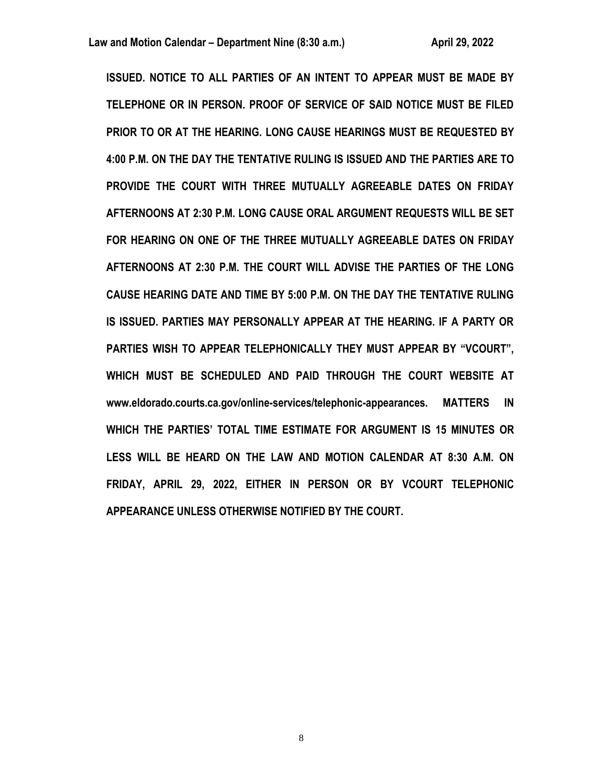**ISSUED. NOTICE TO ALL PARTIES OF AN INTENT TO APPEAR MUST BE MADE BY TELEPHONE OR IN PERSON. PROOF OF SERVICE OF SAID NOTICE MUST BE FILED PRIOR TO OR AT THE HEARING. LONG CAUSE HEARINGS MUST BE REQUESTED BY 4:00 P.M. ON THE DAY THE TENTATIVE RULING IS ISSUED AND THE PARTIES ARE TO PROVIDE THE COURT WITH THREE MUTUALLY AGREEABLE DATES ON FRIDAY AFTERNOONS AT 2:30 P.M. LONG CAUSE ORAL ARGUMENT REQUESTS WILL BE SET FOR HEARING ON ONE OF THE THREE MUTUALLY AGREEABLE DATES ON FRIDAY AFTERNOONS AT 2:30 P.M. THE COURT WILL ADVISE THE PARTIES OF THE LONG CAUSE HEARING DATE AND TIME BY 5:00 P.M. ON THE DAY THE TENTATIVE RULING IS ISSUED. PARTIES MAY PERSONALLY APPEAR AT THE HEARING. IF A PARTY OR PARTIES WISH TO APPEAR TELEPHONICALLY THEY MUST APPEAR BY "VCOURT", WHICH MUST BE SCHEDULED AND PAID THROUGH THE COURT WEBSITE AT www.eldorado.courts.ca.gov/online-services/telephonic-appearances. MATTERS IN WHICH THE PARTIES' TOTAL TIME ESTIMATE FOR ARGUMENT IS 15 MINUTES OR LESS WILL BE HEARD ON THE LAW AND MOTION CALENDAR AT 8:30 A.M. ON FRIDAY, APRIL 29, 2022, EITHER IN PERSON OR BY VCOURT TELEPHONIC APPEARANCE UNLESS OTHERWISE NOTIFIED BY THE COURT.**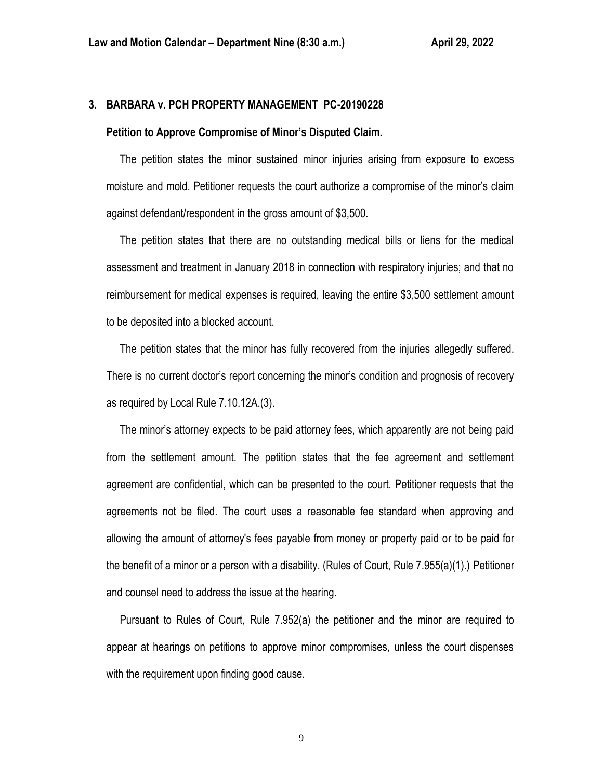## **3. BARBARA v. PCH PROPERTY MANAGEMENT PC-20190228**

#### **Petition to Approve Compromise of Minor's Disputed Claim.**

 The petition states the minor sustained minor injuries arising from exposure to excess moisture and mold. Petitioner requests the court authorize a compromise of the minor's claim against defendant/respondent in the gross amount of \$3,500.

 The petition states that there are no outstanding medical bills or liens for the medical assessment and treatment in January 2018 in connection with respiratory injuries; and that no reimbursement for medical expenses is required, leaving the entire \$3,500 settlement amount to be deposited into a blocked account.

 The petition states that the minor has fully recovered from the injuries allegedly suffered. There is no current doctor's report concerning the minor's condition and prognosis of recovery as required by Local Rule 7.10.12A.(3).

 The minor's attorney expects to be paid attorney fees, which apparently are not being paid from the settlement amount. The petition states that the fee agreement and settlement agreement are confidential, which can be presented to the court. Petitioner requests that the agreements not be filed. The court uses a reasonable fee standard when approving and allowing the amount of attorney's fees payable from money or property paid or to be paid for the benefit of a minor or a person with a disability. (Rules of Court, Rule 7.955(a)(1).) Petitioner and counsel need to address the issue at the hearing.

 Pursuant to Rules of Court, Rule 7.952(a) the petitioner and the minor are required to appear at hearings on petitions to approve minor compromises, unless the court dispenses with the requirement upon finding good cause.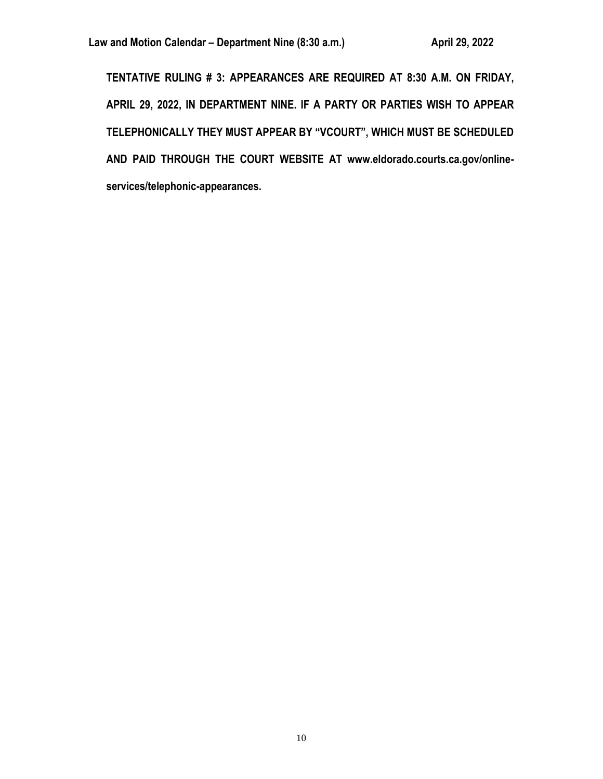**TENTATIVE RULING # 3: APPEARANCES ARE REQUIRED AT 8:30 A.M. ON FRIDAY, APRIL 29, 2022, IN DEPARTMENT NINE. IF A PARTY OR PARTIES WISH TO APPEAR TELEPHONICALLY THEY MUST APPEAR BY "VCOURT", WHICH MUST BE SCHEDULED AND PAID THROUGH THE COURT WEBSITE AT www.eldorado.courts.ca.gov/onlineservices/telephonic-appearances.**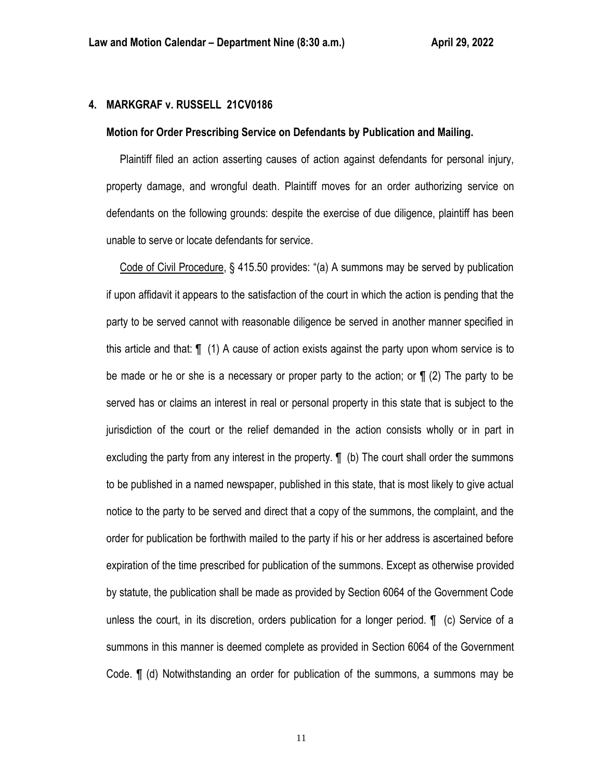# **4. MARKGRAF v. RUSSELL 21CV0186**

#### **Motion for Order Prescribing Service on Defendants by Publication and Mailing.**

 Plaintiff filed an action asserting causes of action against defendants for personal injury, property damage, and wrongful death. Plaintiff moves for an order authorizing service on defendants on the following grounds: despite the exercise of due diligence, plaintiff has been unable to serve or locate defendants for service.

 Code of Civil Procedure, § 415.50 provides: "(a) A summons may be served by publication if upon affidavit it appears to the satisfaction of the court in which the action is pending that the party to be served cannot with reasonable diligence be served in another manner specified in this article and that: ¶ (1) A cause of action exists against the party upon whom service is to be made or he or she is a necessary or proper party to the action; or  $\P$  (2) The party to be served has or claims an interest in real or personal property in this state that is subject to the jurisdiction of the court or the relief demanded in the action consists wholly or in part in excluding the party from any interest in the property.  $\P$  (b) The court shall order the summons to be published in a named newspaper, published in this state, that is most likely to give actual notice to the party to be served and direct that a copy of the summons, the complaint, and the order for publication be forthwith mailed to the party if his or her address is ascertained before expiration of the time prescribed for publication of the summons. Except as otherwise provided by statute, the publication shall be made as provided by Section 6064 of the Government Code unless the court, in its discretion, orders publication for a longer period. ¶ (c) Service of a summons in this manner is deemed complete as provided in Section 6064 of the Government Code. ¶ (d) Notwithstanding an order for publication of the summons, a summons may be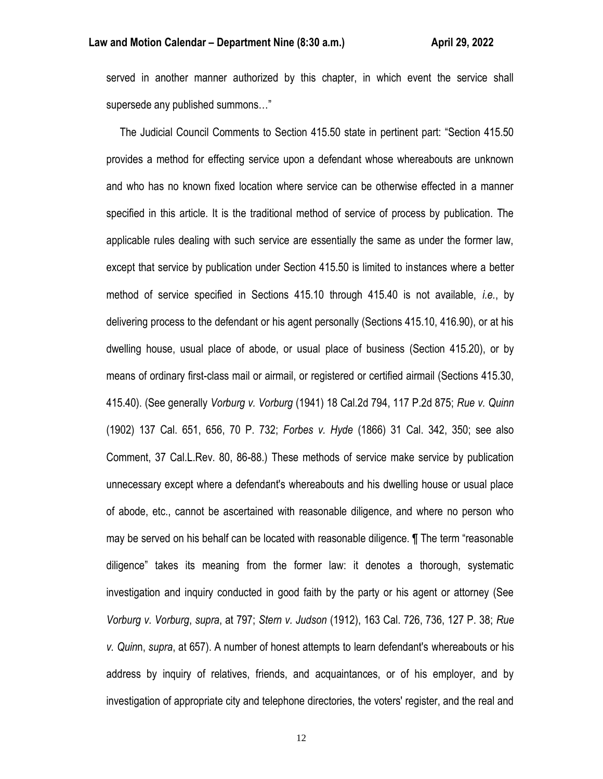served in another manner authorized by this chapter, in which event the service shall supersede any published summons…"

 The Judicial Council Comments to Section 415.50 state in pertinent part: "Section 415.50 provides a method for effecting service upon a defendant whose whereabouts are unknown and who has no known fixed location where service can be otherwise effected in a manner specified in this article. It is the traditional method of service of process by publication. The applicable rules dealing with such service are essentially the same as under the former law, except that service by publication under Section 415.50 is limited to instances where a better method of service specified in Sections 415.10 through 415.40 is not available, *i.e.*, by delivering process to the defendant or his agent personally (Sections 415.10, 416.90), or at his dwelling house, usual place of abode, or usual place of business (Section 415.20), or by means of ordinary first-class mail or airmail, or registered or certified airmail (Sections 415.30, 415.40). (See generally *Vorburg v. Vorburg* (1941) 18 Cal.2d 794, 117 P.2d 875; *Rue v. Quinn* (1902) 137 Cal. 651, 656, 70 P. 732; *Forbes v. Hyde* (1866) 31 Cal. 342, 350; see also Comment, 37 Cal.L.Rev. 80, 86-88.) These methods of service make service by publication unnecessary except where a defendant's whereabouts and his dwelling house or usual place of abode, etc., cannot be ascertained with reasonable diligence, and where no person who may be served on his behalf can be located with reasonable diligence. ¶ The term "reasonable diligence" takes its meaning from the former law: it denotes a thorough, systematic investigation and inquiry conducted in good faith by the party or his agent or attorney (See *Vorburg v. Vorburg*, *supra*, at 797; *Stern v. Judson* (1912), 163 Cal. 726, 736, 127 P. 38; *Rue v. Quin*n, *supra*, at 657). A number of honest attempts to learn defendant's whereabouts or his address by inquiry of relatives, friends, and acquaintances, or of his employer, and by investigation of appropriate city and telephone directories, the voters' register, and the real and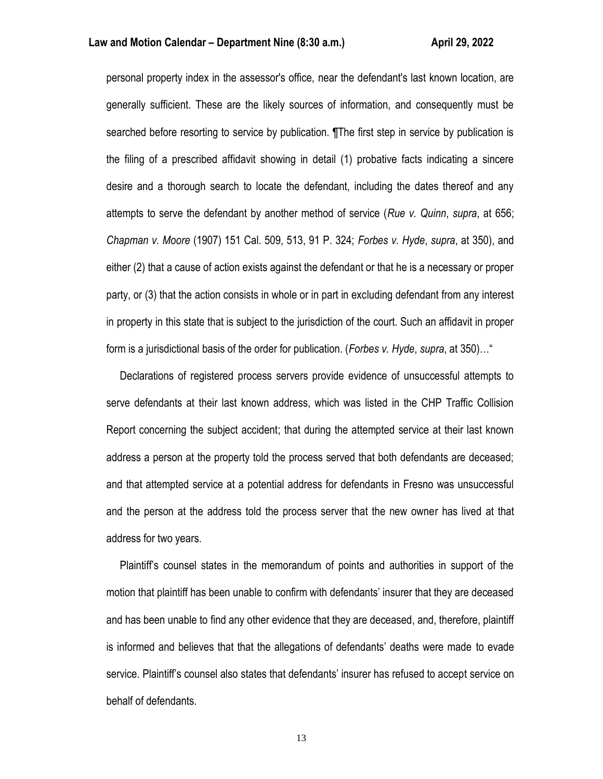#### **Law and Motion Calendar – Department Nine (8:30 a.m.) <b>All Accord Accord Accord Accord Accord Accord Accord Accord**

personal property index in the assessor's office, near the defendant's last known location, are generally sufficient. These are the likely sources of information, and consequently must be searched before resorting to service by publication. ¶The first step in service by publication is the filing of a prescribed affidavit showing in detail (1) probative facts indicating a sincere desire and a thorough search to locate the defendant, including the dates thereof and any attempts to serve the defendant by another method of service (*Rue v. Quinn*, *supra*, at 656; *Chapman v. Moore* (1907) 151 Cal. 509, 513, 91 P. 324; *Forbes v. Hyde*, *supra*, at 350), and either (2) that a cause of action exists against the defendant or that he is a necessary or proper party, or (3) that the action consists in whole or in part in excluding defendant from any interest in property in this state that is subject to the jurisdiction of the court. Such an affidavit in proper form is a jurisdictional basis of the order for publication. (*Forbes v. Hyde*, *supra*, at 350)…"

 Declarations of registered process servers provide evidence of unsuccessful attempts to serve defendants at their last known address, which was listed in the CHP Traffic Collision Report concerning the subject accident; that during the attempted service at their last known address a person at the property told the process served that both defendants are deceased; and that attempted service at a potential address for defendants in Fresno was unsuccessful and the person at the address told the process server that the new owner has lived at that address for two years.

 Plaintiff's counsel states in the memorandum of points and authorities in support of the motion that plaintiff has been unable to confirm with defendants' insurer that they are deceased and has been unable to find any other evidence that they are deceased, and, therefore, plaintiff is informed and believes that that the allegations of defendants' deaths were made to evade service. Plaintiff's counsel also states that defendants' insurer has refused to accept service on behalf of defendants.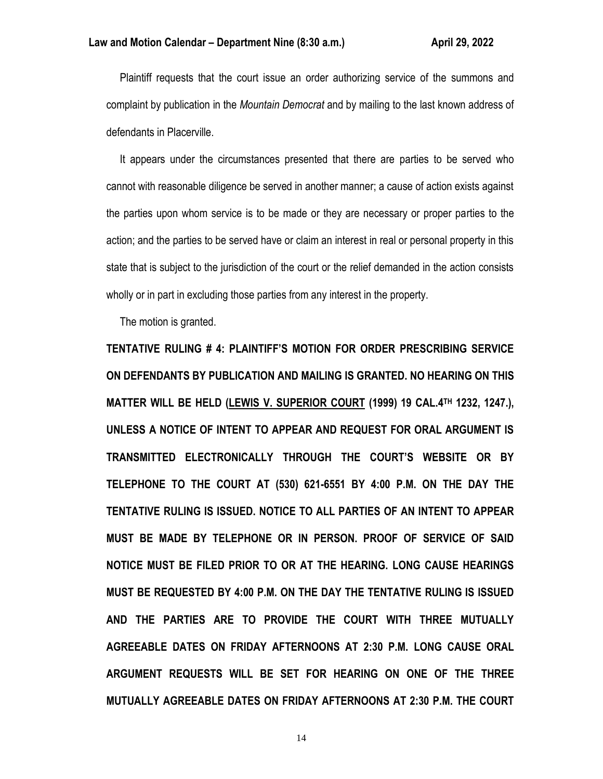Plaintiff requests that the court issue an order authorizing service of the summons and complaint by publication in the *Mountain Democrat* and by mailing to the last known address of defendants in Placerville.

 It appears under the circumstances presented that there are parties to be served who cannot with reasonable diligence be served in another manner; a cause of action exists against the parties upon whom service is to be made or they are necessary or proper parties to the action; and the parties to be served have or claim an interest in real or personal property in this state that is subject to the jurisdiction of the court or the relief demanded in the action consists wholly or in part in excluding those parties from any interest in the property.

The motion is granted.

**TENTATIVE RULING # 4: PLAINTIFF'S MOTION FOR ORDER PRESCRIBING SERVICE ON DEFENDANTS BY PUBLICATION AND MAILING IS GRANTED. NO HEARING ON THIS MATTER WILL BE HELD (LEWIS V. SUPERIOR COURT (1999) 19 CAL.4TH 1232, 1247.), UNLESS A NOTICE OF INTENT TO APPEAR AND REQUEST FOR ORAL ARGUMENT IS TRANSMITTED ELECTRONICALLY THROUGH THE COURT'S WEBSITE OR BY TELEPHONE TO THE COURT AT (530) 621-6551 BY 4:00 P.M. ON THE DAY THE TENTATIVE RULING IS ISSUED. NOTICE TO ALL PARTIES OF AN INTENT TO APPEAR MUST BE MADE BY TELEPHONE OR IN PERSON. PROOF OF SERVICE OF SAID NOTICE MUST BE FILED PRIOR TO OR AT THE HEARING. LONG CAUSE HEARINGS MUST BE REQUESTED BY 4:00 P.M. ON THE DAY THE TENTATIVE RULING IS ISSUED AND THE PARTIES ARE TO PROVIDE THE COURT WITH THREE MUTUALLY AGREEABLE DATES ON FRIDAY AFTERNOONS AT 2:30 P.M. LONG CAUSE ORAL ARGUMENT REQUESTS WILL BE SET FOR HEARING ON ONE OF THE THREE MUTUALLY AGREEABLE DATES ON FRIDAY AFTERNOONS AT 2:30 P.M. THE COURT**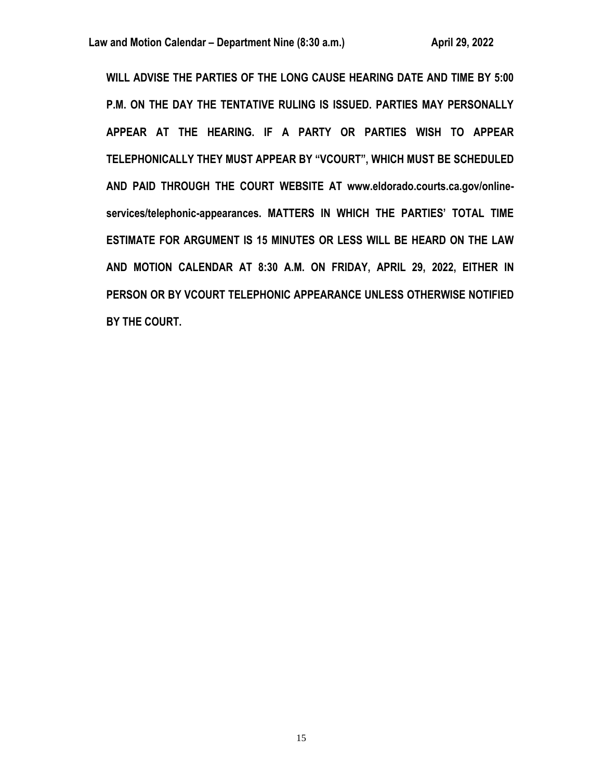**WILL ADVISE THE PARTIES OF THE LONG CAUSE HEARING DATE AND TIME BY 5:00 P.M. ON THE DAY THE TENTATIVE RULING IS ISSUED. PARTIES MAY PERSONALLY APPEAR AT THE HEARING. IF A PARTY OR PARTIES WISH TO APPEAR TELEPHONICALLY THEY MUST APPEAR BY "VCOURT", WHICH MUST BE SCHEDULED AND PAID THROUGH THE COURT WEBSITE AT www.eldorado.courts.ca.gov/onlineservices/telephonic-appearances. MATTERS IN WHICH THE PARTIES' TOTAL TIME ESTIMATE FOR ARGUMENT IS 15 MINUTES OR LESS WILL BE HEARD ON THE LAW AND MOTION CALENDAR AT 8:30 A.M. ON FRIDAY, APRIL 29, 2022, EITHER IN PERSON OR BY VCOURT TELEPHONIC APPEARANCE UNLESS OTHERWISE NOTIFIED BY THE COURT.**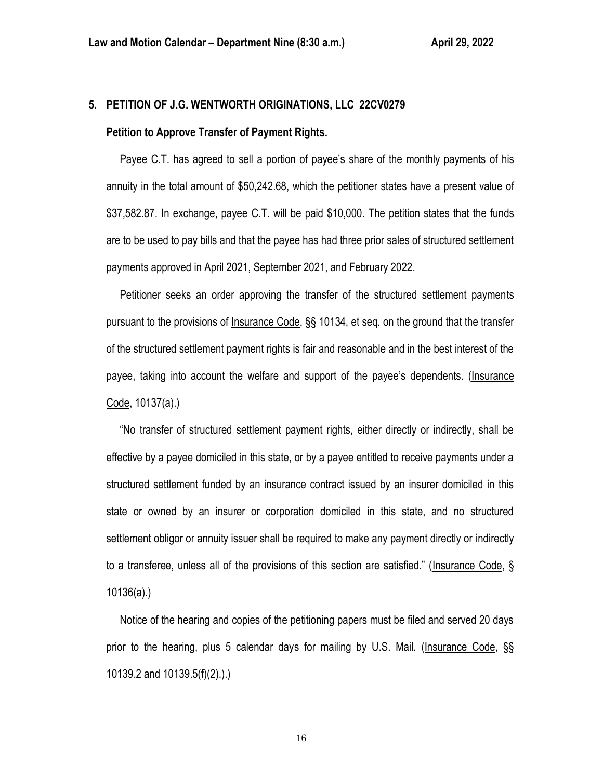# **5. PETITION OF J.G. WENTWORTH ORIGINATIONS, LLC 22CV0279**

## **Petition to Approve Transfer of Payment Rights.**

 Payee C.T. has agreed to sell a portion of payee's share of the monthly payments of his annuity in the total amount of \$50,242.68, which the petitioner states have a present value of \$37,582.87. In exchange, payee C.T. will be paid \$10,000. The petition states that the funds are to be used to pay bills and that the payee has had three prior sales of structured settlement payments approved in April 2021, September 2021, and February 2022.

 Petitioner seeks an order approving the transfer of the structured settlement payments pursuant to the provisions of Insurance Code, §§ 10134, et seq. on the ground that the transfer of the structured settlement payment rights is fair and reasonable and in the best interest of the payee, taking into account the welfare and support of the payee's dependents. (Insurance Code, 10137(a).)

 "No transfer of structured settlement payment rights, either directly or indirectly, shall be effective by a payee domiciled in this state, or by a payee entitled to receive payments under a structured settlement funded by an insurance contract issued by an insurer domiciled in this state or owned by an insurer or corporation domiciled in this state, and no structured settlement obligor or annuity issuer shall be required to make any payment directly or indirectly to a transferee, unless all of the provisions of this section are satisfied." (Insurance Code, § 10136(a).)

 Notice of the hearing and copies of the petitioning papers must be filed and served 20 days prior to the hearing, plus 5 calendar days for mailing by U.S. Mail. (Insurance Code, §§ 10139.2 and 10139.5(f)(2).).)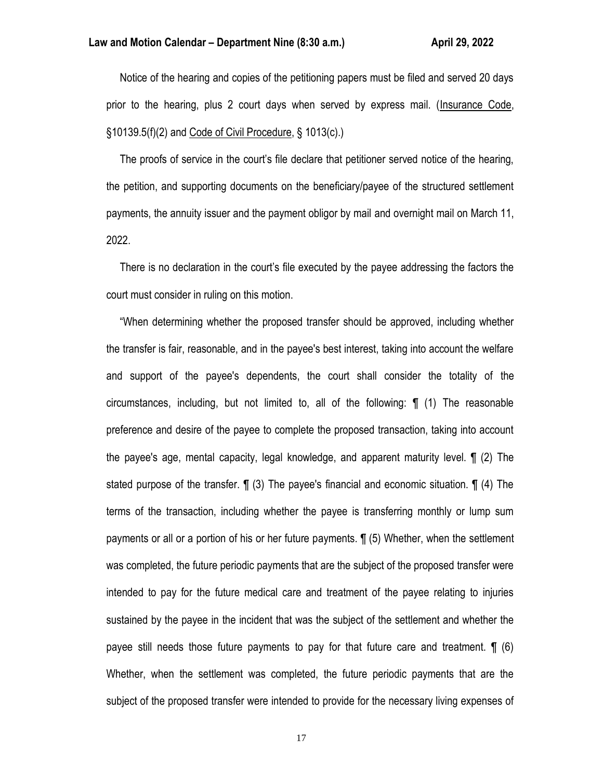Notice of the hearing and copies of the petitioning papers must be filed and served 20 days prior to the hearing, plus 2 court days when served by express mail. (Insurance Code, §10139.5(f)(2) and Code of Civil Procedure, § 1013(c).)

 The proofs of service in the court's file declare that petitioner served notice of the hearing, the petition, and supporting documents on the beneficiary/payee of the structured settlement payments, the annuity issuer and the payment obligor by mail and overnight mail on March 11, 2022.

 There is no declaration in the court's file executed by the payee addressing the factors the court must consider in ruling on this motion.

 "When determining whether the proposed transfer should be approved, including whether the transfer is fair, reasonable, and in the payee's best interest, taking into account the welfare and support of the payee's dependents, the court shall consider the totality of the circumstances, including, but not limited to, all of the following: ¶ (1) The reasonable preference and desire of the payee to complete the proposed transaction, taking into account the payee's age, mental capacity, legal knowledge, and apparent maturity level. ¶ (2) The stated purpose of the transfer. ¶ (3) The payee's financial and economic situation. ¶ (4) The terms of the transaction, including whether the payee is transferring monthly or lump sum payments or all or a portion of his or her future payments. ¶ (5) Whether, when the settlement was completed, the future periodic payments that are the subject of the proposed transfer were intended to pay for the future medical care and treatment of the payee relating to injuries sustained by the payee in the incident that was the subject of the settlement and whether the payee still needs those future payments to pay for that future care and treatment. ¶ (6) Whether, when the settlement was completed, the future periodic payments that are the subject of the proposed transfer were intended to provide for the necessary living expenses of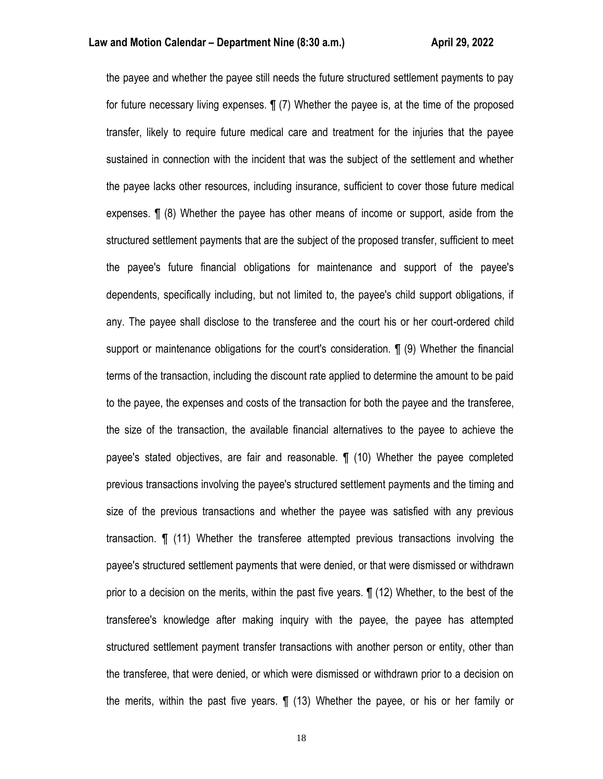the payee and whether the payee still needs the future structured settlement payments to pay for future necessary living expenses. ¶ (7) Whether the payee is, at the time of the proposed transfer, likely to require future medical care and treatment for the injuries that the payee sustained in connection with the incident that was the subject of the settlement and whether the payee lacks other resources, including insurance, sufficient to cover those future medical expenses. ¶ (8) Whether the payee has other means of income or support, aside from the structured settlement payments that are the subject of the proposed transfer, sufficient to meet the payee's future financial obligations for maintenance and support of the payee's dependents, specifically including, but not limited to, the payee's child support obligations, if any. The payee shall disclose to the transferee and the court his or her court-ordered child support or maintenance obligations for the court's consideration. ¶ (9) Whether the financial terms of the transaction, including the discount rate applied to determine the amount to be paid to the payee, the expenses and costs of the transaction for both the payee and the transferee, the size of the transaction, the available financial alternatives to the payee to achieve the payee's stated objectives, are fair and reasonable. ¶ (10) Whether the payee completed previous transactions involving the payee's structured settlement payments and the timing and size of the previous transactions and whether the payee was satisfied with any previous transaction. ¶ (11) Whether the transferee attempted previous transactions involving the payee's structured settlement payments that were denied, or that were dismissed or withdrawn prior to a decision on the merits, within the past five years. ¶ (12) Whether, to the best of the transferee's knowledge after making inquiry with the payee, the payee has attempted structured settlement payment transfer transactions with another person or entity, other than the transferee, that were denied, or which were dismissed or withdrawn prior to a decision on the merits, within the past five years. ¶ (13) Whether the payee, or his or her family or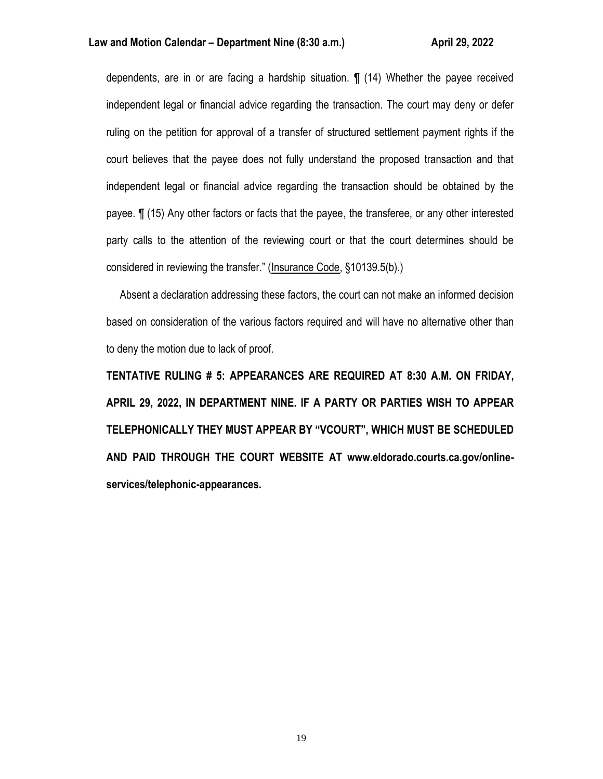dependents, are in or are facing a hardship situation. ¶ (14) Whether the payee received independent legal or financial advice regarding the transaction. The court may deny or defer ruling on the petition for approval of a transfer of structured settlement payment rights if the court believes that the payee does not fully understand the proposed transaction and that independent legal or financial advice regarding the transaction should be obtained by the payee. ¶ (15) Any other factors or facts that the payee, the transferee, or any other interested party calls to the attention of the reviewing court or that the court determines should be considered in reviewing the transfer." (Insurance Code, §10139.5(b).)

 Absent a declaration addressing these factors, the court can not make an informed decision based on consideration of the various factors required and will have no alternative other than to deny the motion due to lack of proof.

**TENTATIVE RULING # 5: APPEARANCES ARE REQUIRED AT 8:30 A.M. ON FRIDAY, APRIL 29, 2022, IN DEPARTMENT NINE. IF A PARTY OR PARTIES WISH TO APPEAR TELEPHONICALLY THEY MUST APPEAR BY "VCOURT", WHICH MUST BE SCHEDULED AND PAID THROUGH THE COURT WEBSITE AT www.eldorado.courts.ca.gov/onlineservices/telephonic-appearances.**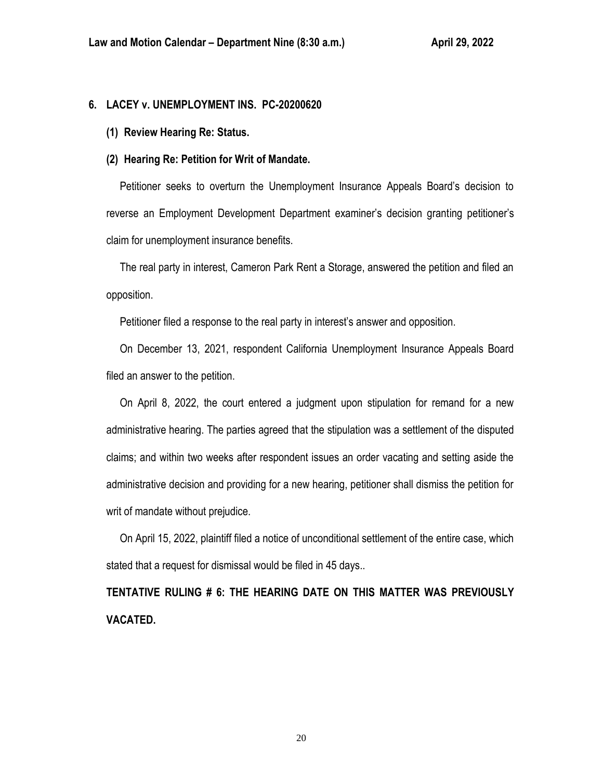# **6. LACEY v. UNEMPLOYMENT INS. PC-20200620**

**(1) Review Hearing Re: Status.**

## **(2) Hearing Re: Petition for Writ of Mandate.**

 Petitioner seeks to overturn the Unemployment Insurance Appeals Board's decision to reverse an Employment Development Department examiner's decision granting petitioner's claim for unemployment insurance benefits.

 The real party in interest, Cameron Park Rent a Storage, answered the petition and filed an opposition.

Petitioner filed a response to the real party in interest's answer and opposition.

 On December 13, 2021, respondent California Unemployment Insurance Appeals Board filed an answer to the petition.

 On April 8, 2022, the court entered a judgment upon stipulation for remand for a new administrative hearing. The parties agreed that the stipulation was a settlement of the disputed claims; and within two weeks after respondent issues an order vacating and setting aside the administrative decision and providing for a new hearing, petitioner shall dismiss the petition for writ of mandate without prejudice.

 On April 15, 2022, plaintiff filed a notice of unconditional settlement of the entire case, which stated that a request for dismissal would be filed in 45 days..

**TENTATIVE RULING # 6: THE HEARING DATE ON THIS MATTER WAS PREVIOUSLY VACATED.**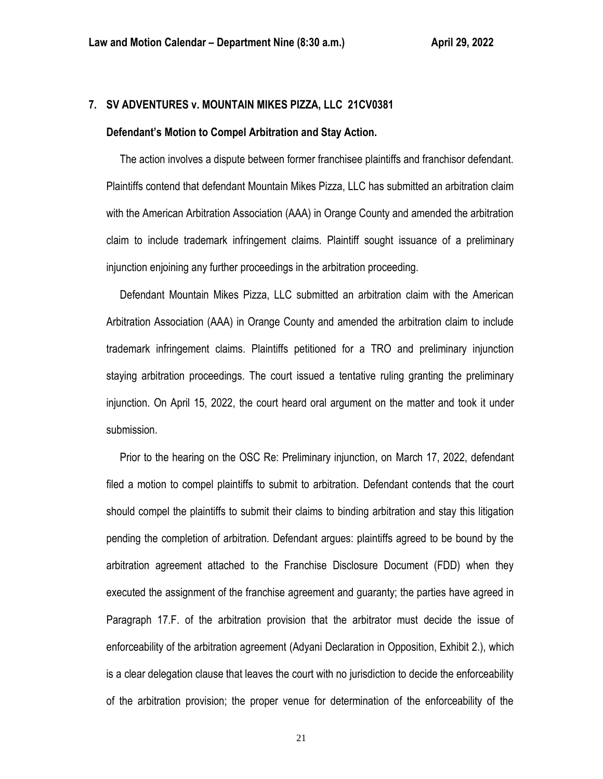## **7. SV ADVENTURES v. MOUNTAIN MIKES PIZZA, LLC 21CV0381**

#### **Defendant's Motion to Compel Arbitration and Stay Action.**

 The action involves a dispute between former franchisee plaintiffs and franchisor defendant. Plaintiffs contend that defendant Mountain Mikes Pizza, LLC has submitted an arbitration claim with the American Arbitration Association (AAA) in Orange County and amended the arbitration claim to include trademark infringement claims. Plaintiff sought issuance of a preliminary injunction enjoining any further proceedings in the arbitration proceeding.

 Defendant Mountain Mikes Pizza, LLC submitted an arbitration claim with the American Arbitration Association (AAA) in Orange County and amended the arbitration claim to include trademark infringement claims. Plaintiffs petitioned for a TRO and preliminary injunction staying arbitration proceedings. The court issued a tentative ruling granting the preliminary injunction. On April 15, 2022, the court heard oral argument on the matter and took it under submission.

 Prior to the hearing on the OSC Re: Preliminary injunction, on March 17, 2022, defendant filed a motion to compel plaintiffs to submit to arbitration. Defendant contends that the court should compel the plaintiffs to submit their claims to binding arbitration and stay this litigation pending the completion of arbitration. Defendant argues: plaintiffs agreed to be bound by the arbitration agreement attached to the Franchise Disclosure Document (FDD) when they executed the assignment of the franchise agreement and guaranty; the parties have agreed in Paragraph 17.F. of the arbitration provision that the arbitrator must decide the issue of enforceability of the arbitration agreement (Adyani Declaration in Opposition, Exhibit 2.), which is a clear delegation clause that leaves the court with no jurisdiction to decide the enforceability of the arbitration provision; the proper venue for determination of the enforceability of the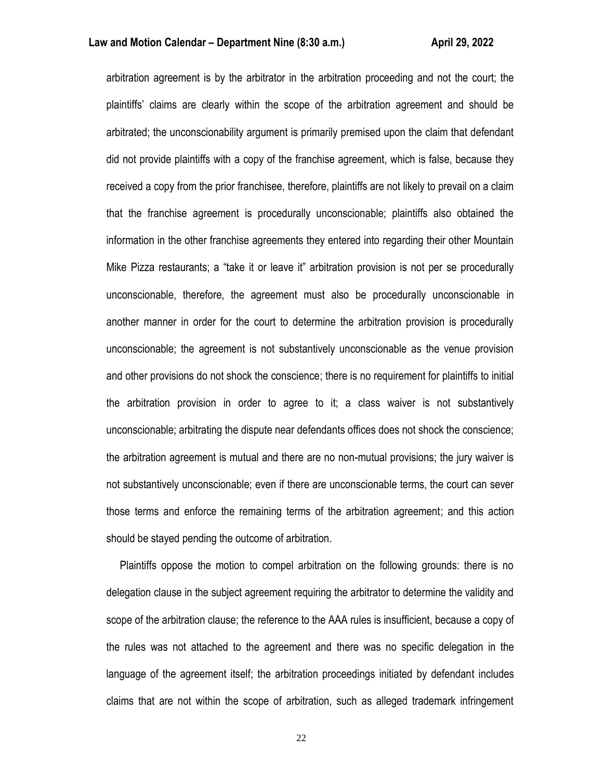arbitration agreement is by the arbitrator in the arbitration proceeding and not the court; the plaintiffs' claims are clearly within the scope of the arbitration agreement and should be arbitrated; the unconscionability argument is primarily premised upon the claim that defendant did not provide plaintiffs with a copy of the franchise agreement, which is false, because they received a copy from the prior franchisee, therefore, plaintiffs are not likely to prevail on a claim that the franchise agreement is procedurally unconscionable; plaintiffs also obtained the information in the other franchise agreements they entered into regarding their other Mountain Mike Pizza restaurants; a "take it or leave it" arbitration provision is not per se procedurally unconscionable, therefore, the agreement must also be procedurally unconscionable in another manner in order for the court to determine the arbitration provision is procedurally unconscionable; the agreement is not substantively unconscionable as the venue provision and other provisions do not shock the conscience; there is no requirement for plaintiffs to initial the arbitration provision in order to agree to it; a class waiver is not substantively unconscionable; arbitrating the dispute near defendants offices does not shock the conscience; the arbitration agreement is mutual and there are no non-mutual provisions; the jury waiver is not substantively unconscionable; even if there are unconscionable terms, the court can sever those terms and enforce the remaining terms of the arbitration agreement; and this action should be stayed pending the outcome of arbitration.

 Plaintiffs oppose the motion to compel arbitration on the following grounds: there is no delegation clause in the subject agreement requiring the arbitrator to determine the validity and scope of the arbitration clause; the reference to the AAA rules is insufficient, because a copy of the rules was not attached to the agreement and there was no specific delegation in the language of the agreement itself; the arbitration proceedings initiated by defendant includes claims that are not within the scope of arbitration, such as alleged trademark infringement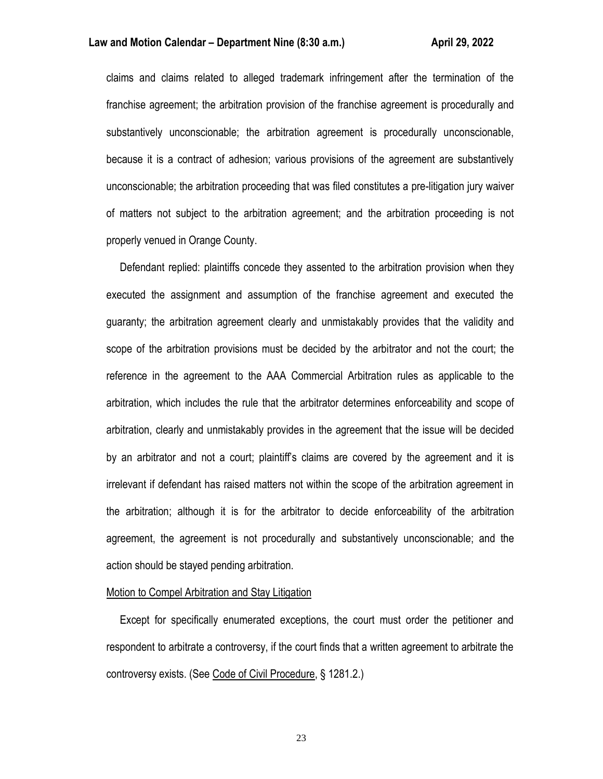claims and claims related to alleged trademark infringement after the termination of the franchise agreement; the arbitration provision of the franchise agreement is procedurally and substantively unconscionable; the arbitration agreement is procedurally unconscionable, because it is a contract of adhesion; various provisions of the agreement are substantively unconscionable; the arbitration proceeding that was filed constitutes a pre-litigation jury waiver of matters not subject to the arbitration agreement; and the arbitration proceeding is not properly venued in Orange County.

 Defendant replied: plaintiffs concede they assented to the arbitration provision when they executed the assignment and assumption of the franchise agreement and executed the guaranty; the arbitration agreement clearly and unmistakably provides that the validity and scope of the arbitration provisions must be decided by the arbitrator and not the court; the reference in the agreement to the AAA Commercial Arbitration rules as applicable to the arbitration, which includes the rule that the arbitrator determines enforceability and scope of arbitration, clearly and unmistakably provides in the agreement that the issue will be decided by an arbitrator and not a court; plaintiff's claims are covered by the agreement and it is irrelevant if defendant has raised matters not within the scope of the arbitration agreement in the arbitration; although it is for the arbitrator to decide enforceability of the arbitration agreement, the agreement is not procedurally and substantively unconscionable; and the action should be stayed pending arbitration.

#### Motion to Compel Arbitration and Stay Litigation

 Except for specifically enumerated exceptions, the court must order the petitioner and respondent to arbitrate a controversy, if the court finds that a written agreement to arbitrate the controversy exists. (See Code of Civil Procedure, § 1281.2.)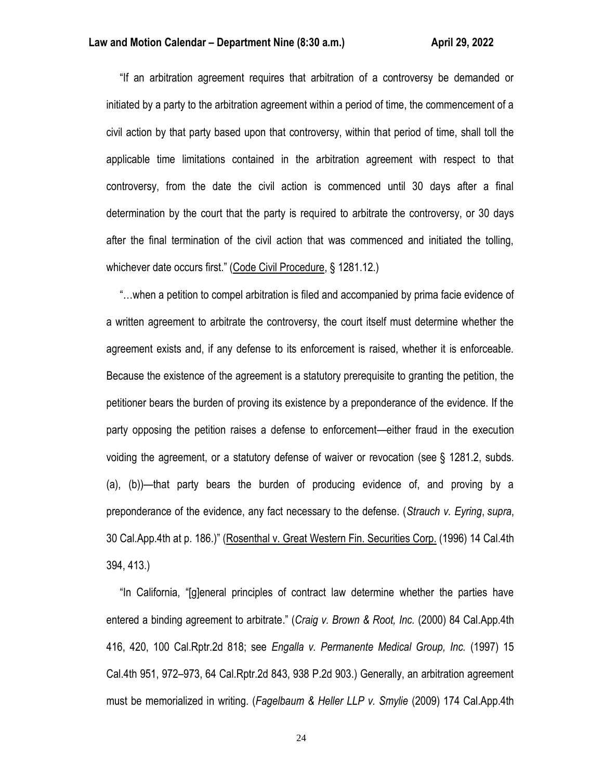"If an arbitration agreement requires that arbitration of a controversy be demanded or initiated by a party to the arbitration agreement within a period of time, the commencement of a civil action by that party based upon that controversy, within that period of time, shall toll the applicable time limitations contained in the arbitration agreement with respect to that controversy, from the date the civil action is commenced until 30 days after a final determination by the court that the party is required to arbitrate the controversy, or 30 days after the final termination of the civil action that was commenced and initiated the tolling, whichever date occurs first." (Code Civil Procedure, § 1281.12.)

 "…when a petition to compel arbitration is filed and accompanied by prima facie evidence of a written agreement to arbitrate the controversy, the court itself must determine whether the agreement exists and, if any defense to its enforcement is raised, whether it is enforceable. Because the existence of the agreement is a statutory prerequisite to granting the petition, the petitioner bears the burden of proving its existence by a preponderance of the evidence. If the party opposing the petition raises a defense to enforcement—either fraud in the execution voiding the agreement, or a statutory defense of waiver or revocation (see § 1281.2, subds. (a), (b))—that party bears the burden of producing evidence of, and proving by a preponderance of the evidence, any fact necessary to the defense. (*Strauch v. Eyring*, *supra*, 30 Cal.App.4th at p. 186.)" (Rosenthal v. Great Western Fin. Securities Corp. (1996) 14 Cal.4th 394, 413.)

 "In California, "[g]eneral principles of contract law determine whether the parties have entered a binding agreement to arbitrate." (*Craig v. Brown & Root, Inc.* (2000) 84 Cal.App.4th 416, 420, 100 Cal.Rptr.2d 818; see *Engalla v. Permanente Medical Group, Inc.* (1997) 15 Cal.4th 951, 972–973, 64 Cal.Rptr.2d 843, 938 P.2d 903.) Generally, an arbitration agreement must be memorialized in writing. (*Fagelbaum & Heller LLP v. Smylie* (2009) 174 Cal.App.4th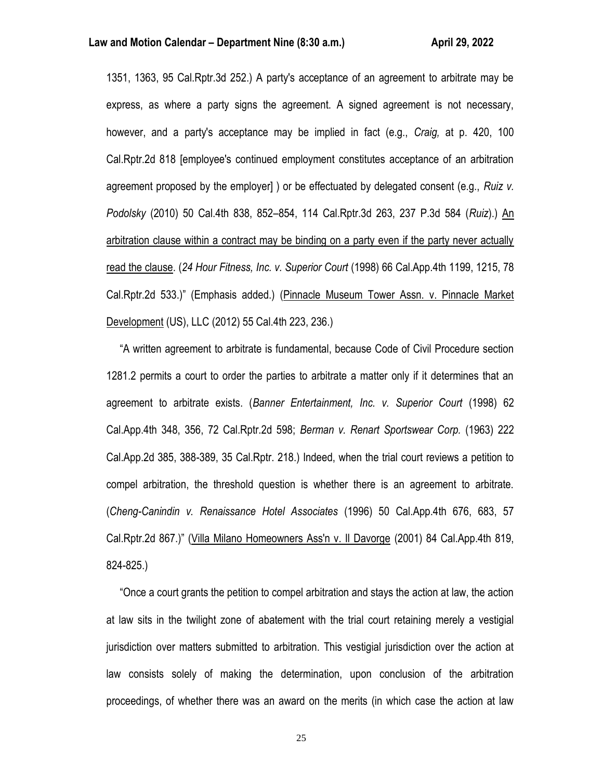1351, 1363, 95 Cal.Rptr.3d 252.) A party's acceptance of an agreement to arbitrate may be express, as where a party signs the agreement. A signed agreement is not necessary, however, and a party's acceptance may be implied in fact (e.g., *Craig,* at p. 420, 100 Cal.Rptr.2d 818 [employee's continued employment constitutes acceptance of an arbitration agreement proposed by the employer] ) or be effectuated by delegated consent (e.g., *Ruiz v. Podolsky* (2010) 50 Cal.4th 838, 852–854, 114 Cal.Rptr.3d 263, 237 P.3d 584 (*Ruiz*).) An arbitration clause within a contract may be binding on a party even if the party never actually read the clause. (*24 Hour Fitness, Inc. v. Superior Court* (1998) 66 Cal.App.4th 1199, 1215, 78 Cal.Rptr.2d 533.)" (Emphasis added.) (Pinnacle Museum Tower Assn. v. Pinnacle Market Development (US), LLC (2012) 55 Cal.4th 223, 236.)

 "A written agreement to arbitrate is fundamental, because Code of Civil Procedure section 1281.2 permits a court to order the parties to arbitrate a matter only if it determines that an agreement to arbitrate exists. (*Banner Entertainment, Inc. v. Superior Court* (1998) 62 Cal.App.4th 348, 356, 72 Cal.Rptr.2d 598; *Berman v. Renart Sportswear Corp.* (1963) 222 Cal.App.2d 385, 388-389, 35 Cal.Rptr. 218.) Indeed, when the trial court reviews a petition to compel arbitration, the threshold question is whether there is an agreement to arbitrate. (*Cheng-Canindin v. Renaissance Hotel Associates* (1996) 50 Cal.App.4th 676, 683, 57 Cal.Rptr.2d 867.)" (Villa Milano Homeowners Ass'n v. Il Davorge (2001) 84 Cal.App.4th 819, 824-825.)

 "Once a court grants the petition to compel arbitration and stays the action at law, the action at law sits in the twilight zone of abatement with the trial court retaining merely a vestigial jurisdiction over matters submitted to arbitration. This vestigial jurisdiction over the action at law consists solely of making the determination, upon conclusion of the arbitration proceedings, of whether there was an award on the merits (in which case the action at law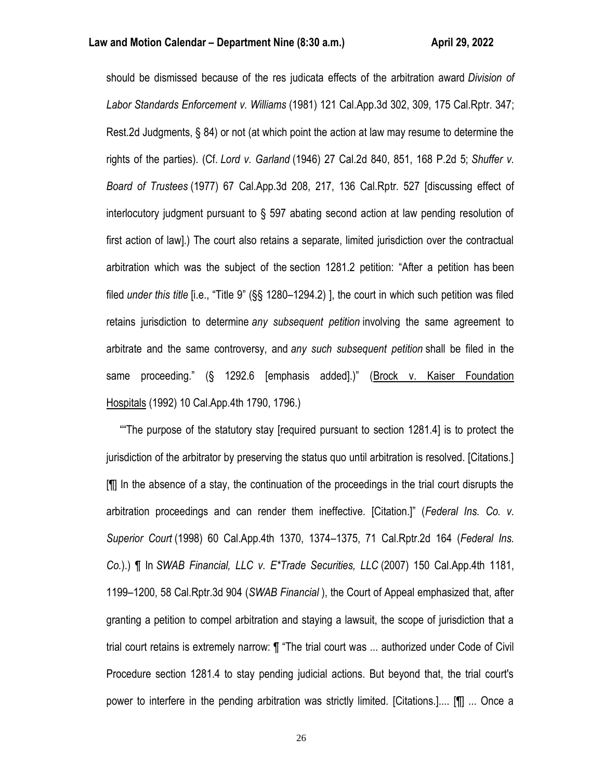should be dismissed because of the res judicata effects of the arbitration award *Division of Labor Standards Enforcement v. Williams* (1981) 121 Cal.App.3d 302, 309, 175 Cal.Rptr. 347; Rest.2d Judgments, § 84) or not (at which point the action at law may resume to determine the rights of the parties). (Cf. *Lord v. Garland* (1946) 27 Cal.2d 840, 851, 168 P.2d 5; *Shuffer v. Board of Trustees* (1977) 67 Cal.App.3d 208, 217, 136 Cal.Rptr. 527 [discussing effect of interlocutory judgment pursuant to § 597 abating second action at law pending resolution of first action of law].) The court also retains a separate, limited jurisdiction over the contractual arbitration which was the subject of the section 1281.2 petition: "After a petition has been filed *under this title* [i.e., "Title 9" (§§ 1280–1294.2) ], the court in which such petition was filed retains jurisdiction to determine *any subsequent petition* involving the same agreement to arbitrate and the same controversy, and *any such subsequent petition* shall be filed in the same proceeding." (§ 1292.6 [emphasis added].)" (Brock v. Kaiser Foundation Hospitals (1992) 10 Cal.App.4th 1790, 1796.)

 ""The purpose of the statutory stay [required pursuant to section 1281.4] is to protect the jurisdiction of the arbitrator by preserving the status quo until arbitration is resolved. [Citations.] [¶] In the absence of a stay, the continuation of the proceedings in the trial court disrupts the arbitration proceedings and can render them ineffective. [Citation.]" (*Federal Ins. Co. v. Superior Court* (1998) 60 Cal.App.4th 1370, 1374–1375, 71 Cal.Rptr.2d 164 (*Federal Ins. Co.*).) ¶ In *SWAB Financial, LLC v. E\*Trade Securities, LLC* (2007) 150 Cal.App.4th 1181, 1199–1200, 58 Cal.Rptr.3d 904 (*SWAB Financial* ), the Court of Appeal emphasized that, after granting a petition to compel arbitration and staying a lawsuit, the scope of jurisdiction that a trial court retains is extremely narrow: ¶ "The trial court was ... authorized under Code of Civil Procedure section 1281.4 to stay pending judicial actions. But beyond that, the trial court's power to interfere in the pending arbitration was strictly limited. [Citations.].... [¶] ... Once a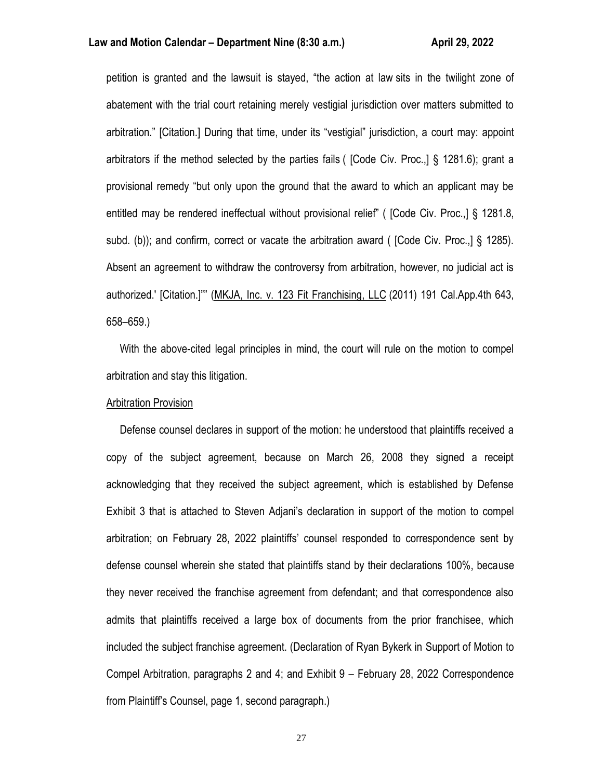petition is granted and the lawsuit is stayed, "the action at law sits in the twilight zone of abatement with the trial court retaining merely vestigial jurisdiction over matters submitted to arbitration." [Citation.] During that time, under its "vestigial" jurisdiction, a court may: appoint arbitrators if the method selected by the parties fails ( [Code Civ. Proc.,] § 1281.6); grant a provisional remedy "but only upon the ground that the award to which an applicant may be entitled may be rendered ineffectual without provisional relief" ( [Code Civ. Proc.,] § 1281.8, subd. (b)); and confirm, correct or vacate the arbitration award ( [Code Civ. Proc.,] § 1285). Absent an agreement to withdraw the controversy from arbitration, however, no judicial act is authorized.' [Citation.]"" (MKJA, Inc. v. 123 Fit Franchising, LLC (2011) 191 Cal.App.4th 643, 658–659.)

 With the above-cited legal principles in mind, the court will rule on the motion to compel arbitration and stay this litigation.

## Arbitration Provision

 Defense counsel declares in support of the motion: he understood that plaintiffs received a copy of the subject agreement, because on March 26, 2008 they signed a receipt acknowledging that they received the subject agreement, which is established by Defense Exhibit 3 that is attached to Steven Adjani's declaration in support of the motion to compel arbitration; on February 28, 2022 plaintiffs' counsel responded to correspondence sent by defense counsel wherein she stated that plaintiffs stand by their declarations 100%, because they never received the franchise agreement from defendant; and that correspondence also admits that plaintiffs received a large box of documents from the prior franchisee, which included the subject franchise agreement. (Declaration of Ryan Bykerk in Support of Motion to Compel Arbitration, paragraphs 2 and 4; and Exhibit 9 – February 28, 2022 Correspondence from Plaintiff's Counsel, page 1, second paragraph.)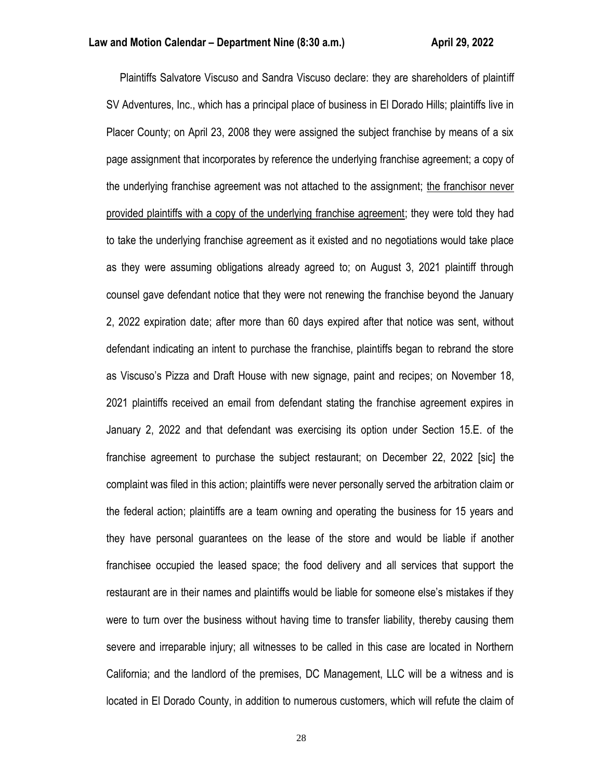Plaintiffs Salvatore Viscuso and Sandra Viscuso declare: they are shareholders of plaintiff SV Adventures, Inc., which has a principal place of business in El Dorado Hills; plaintiffs live in Placer County; on April 23, 2008 they were assigned the subject franchise by means of a six page assignment that incorporates by reference the underlying franchise agreement; a copy of the underlying franchise agreement was not attached to the assignment; the franchisor never provided plaintiffs with a copy of the underlying franchise agreement; they were told they had to take the underlying franchise agreement as it existed and no negotiations would take place as they were assuming obligations already agreed to; on August 3, 2021 plaintiff through counsel gave defendant notice that they were not renewing the franchise beyond the January 2, 2022 expiration date; after more than 60 days expired after that notice was sent, without defendant indicating an intent to purchase the franchise, plaintiffs began to rebrand the store as Viscuso's Pizza and Draft House with new signage, paint and recipes; on November 18, 2021 plaintiffs received an email from defendant stating the franchise agreement expires in January 2, 2022 and that defendant was exercising its option under Section 15.E. of the franchise agreement to purchase the subject restaurant; on December 22, 2022 [sic] the complaint was filed in this action; plaintiffs were never personally served the arbitration claim or the federal action; plaintiffs are a team owning and operating the business for 15 years and they have personal guarantees on the lease of the store and would be liable if another franchisee occupied the leased space; the food delivery and all services that support the restaurant are in their names and plaintiffs would be liable for someone else's mistakes if they were to turn over the business without having time to transfer liability, thereby causing them severe and irreparable injury; all witnesses to be called in this case are located in Northern California; and the landlord of the premises, DC Management, LLC will be a witness and is located in El Dorado County, in addition to numerous customers, which will refute the claim of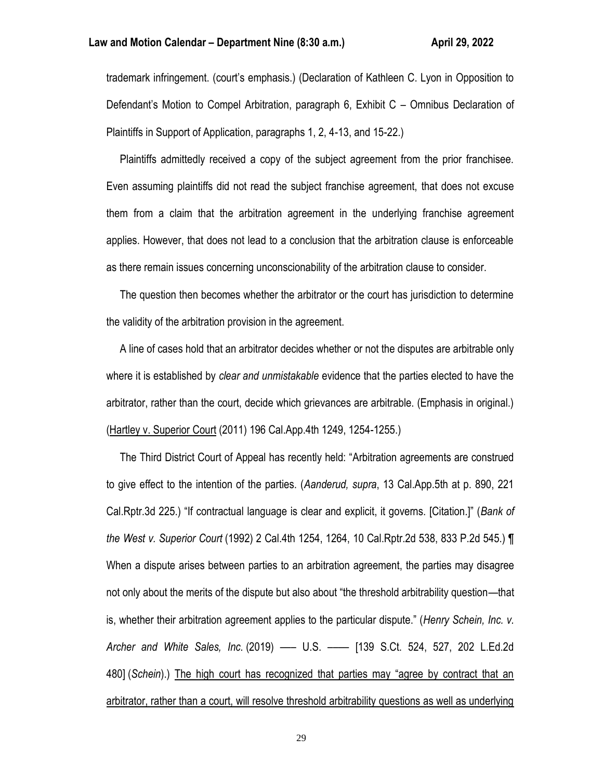trademark infringement. (court's emphasis.) (Declaration of Kathleen C. Lyon in Opposition to Defendant's Motion to Compel Arbitration, paragraph 6, Exhibit C – Omnibus Declaration of Plaintiffs in Support of Application, paragraphs 1, 2, 4-13, and 15-22.)

 Plaintiffs admittedly received a copy of the subject agreement from the prior franchisee. Even assuming plaintiffs did not read the subject franchise agreement, that does not excuse them from a claim that the arbitration agreement in the underlying franchise agreement applies. However, that does not lead to a conclusion that the arbitration clause is enforceable as there remain issues concerning unconscionability of the arbitration clause to consider.

 The question then becomes whether the arbitrator or the court has jurisdiction to determine the validity of the arbitration provision in the agreement.

 A line of cases hold that an arbitrator decides whether or not the disputes are arbitrable only where it is established by *clear and unmistakable* evidence that the parties elected to have the arbitrator, rather than the court, decide which grievances are arbitrable. (Emphasis in original.) (Hartley v. Superior Court (2011) 196 Cal.App.4th 1249, 1254-1255.)

 The Third District Court of Appeal has recently held: "Arbitration agreements are construed to give effect to the intention of the parties. (*Aanderud, supra*, 13 Cal.App.5th at p. 890, 221 Cal.Rptr.3d 225.) "If contractual language is clear and explicit, it governs. [Citation.]" (*Bank of the West v. Superior Court* (1992) 2 Cal.4th 1254, 1264, 10 Cal.Rptr.2d 538, 833 P.2d 545.) ¶ When a dispute arises between parties to an arbitration agreement, the parties may disagree not only about the merits of the dispute but also about "the threshold arbitrability question—that is, whether their arbitration agreement applies to the particular dispute." (*Henry Schein, Inc. v. Archer and White Sales, Inc.* (2019) ––– U.S. –––– [139 S.Ct. 524, 527, 202 L.Ed.2d 480] (*Schein*).) The high court has recognized that parties may "agree by contract that an arbitrator, rather than a court, will resolve threshold arbitrability questions as well as underlying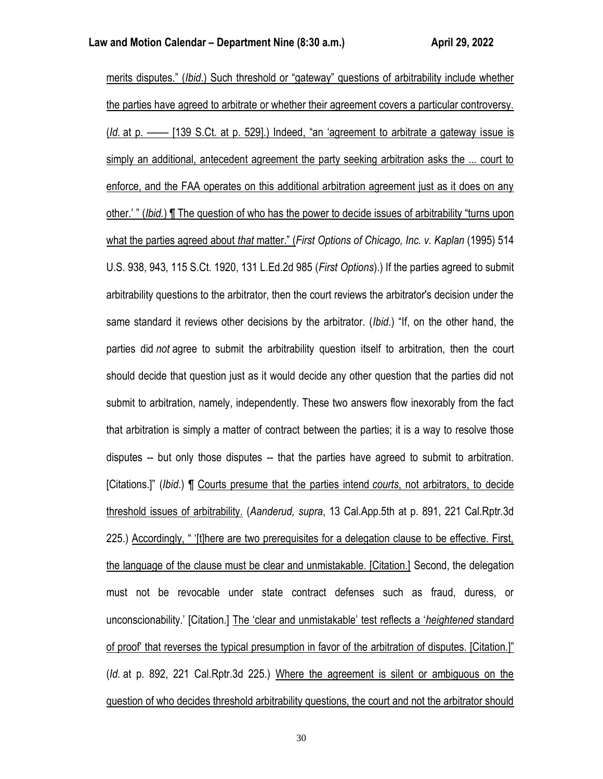merits disputes." (*Ibid*.) Such threshold or "gateway" questions of arbitrability include whether the parties have agreed to arbitrate or whether their agreement covers a particular controversy. (*Id.* at p. –––– [139 S.Ct. at p. 529].) Indeed, "an 'agreement to arbitrate a gateway issue is simply an additional, antecedent agreement the party seeking arbitration asks the ... court to enforce, and the FAA operates on this additional arbitration agreement just as it does on any other.' " (*Ibid.*) ¶ The question of who has the power to decide issues of arbitrability "turns upon what the parties agreed about *that* matter." (*First Options of Chicago, Inc. v. Kaplan* (1995) 514 U.S. 938, 943, 115 S.Ct. 1920, 131 L.Ed.2d 985 (*First Options*).) If the parties agreed to submit arbitrability questions to the arbitrator, then the court reviews the arbitrator's decision under the same standard it reviews other decisions by the arbitrator. (*Ibid.*) "If, on the other hand, the parties did *not* agree to submit the arbitrability question itself to arbitration, then the court should decide that question just as it would decide any other question that the parties did not submit to arbitration, namely, independently. These two answers flow inexorably from the fact that arbitration is simply a matter of contract between the parties; it is a way to resolve those disputes -- but only those disputes -- that the parties have agreed to submit to arbitration. [Citations.]" (*Ibid*.) ¶ Courts presume that the parties intend *courts*, not arbitrators, to decide threshold issues of arbitrability. (*Aanderud, supra*, 13 Cal.App.5th at p. 891, 221 Cal.Rptr.3d 225.) Accordingly, " '[t]here are two prerequisites for a delegation clause to be effective. First, the language of the clause must be clear and unmistakable. [Citation.] Second, the delegation must not be revocable under state contract defenses such as fraud, duress, or unconscionability.' [Citation.] The 'clear and unmistakable' test reflects a '*heightened* standard of proof' that reverses the typical presumption in favor of the arbitration of disputes. [Citation.]" (*Id.* at p. 892, 221 Cal.Rptr.3d 225.) Where the agreement is silent or ambiguous on the question of who decides threshold arbitrability questions, the court and not the arbitrator should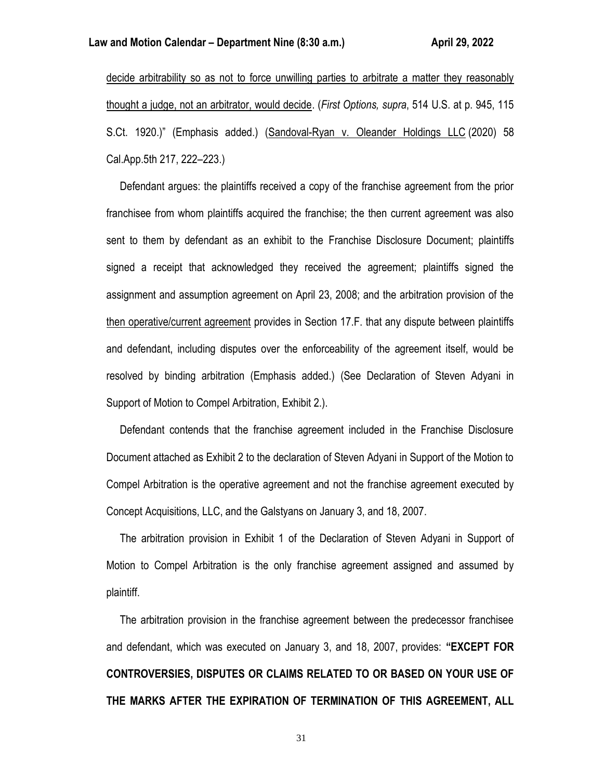decide arbitrability so as not to force unwilling parties to arbitrate a matter they reasonably thought a judge, not an arbitrator, would decide. (*First Options, supra*, 514 U.S. at p. 945, 115 S.Ct. 1920.)" (Emphasis added.) (Sandoval-Ryan v. Oleander Holdings LLC (2020) 58 Cal.App.5th 217, 222–223.)

 Defendant argues: the plaintiffs received a copy of the franchise agreement from the prior franchisee from whom plaintiffs acquired the franchise; the then current agreement was also sent to them by defendant as an exhibit to the Franchise Disclosure Document; plaintiffs signed a receipt that acknowledged they received the agreement; plaintiffs signed the assignment and assumption agreement on April 23, 2008; and the arbitration provision of the then operative/current agreement provides in Section 17.F. that any dispute between plaintiffs and defendant, including disputes over the enforceability of the agreement itself, would be resolved by binding arbitration (Emphasis added.) (See Declaration of Steven Adyani in Support of Motion to Compel Arbitration, Exhibit 2.).

 Defendant contends that the franchise agreement included in the Franchise Disclosure Document attached as Exhibit 2 to the declaration of Steven Adyani in Support of the Motion to Compel Arbitration is the operative agreement and not the franchise agreement executed by Concept Acquisitions, LLC, and the Galstyans on January 3, and 18, 2007.

 The arbitration provision in Exhibit 1 of the Declaration of Steven Adyani in Support of Motion to Compel Arbitration is the only franchise agreement assigned and assumed by plaintiff.

 The arbitration provision in the franchise agreement between the predecessor franchisee and defendant, which was executed on January 3, and 18, 2007, provides: **"EXCEPT FOR CONTROVERSIES, DISPUTES OR CLAIMS RELATED TO OR BASED ON YOUR USE OF THE MARKS AFTER THE EXPIRATION OF TERMINATION OF THIS AGREEMENT, ALL**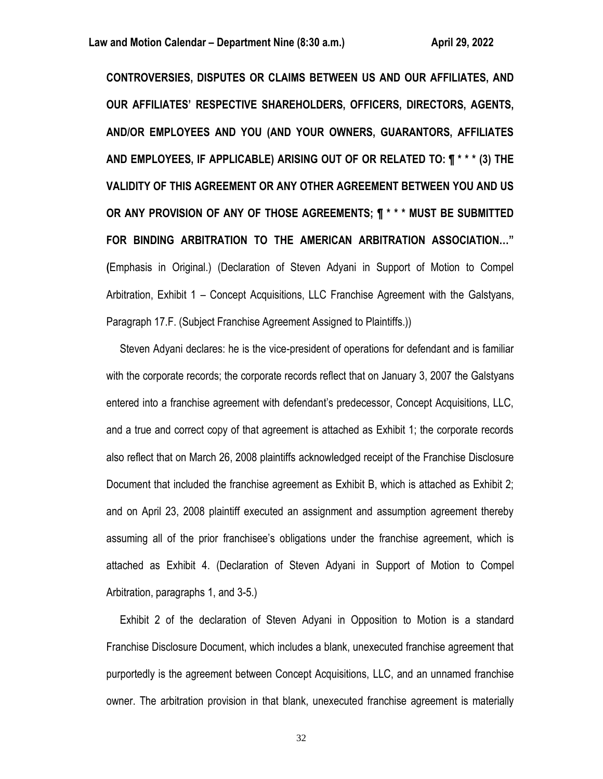**CONTROVERSIES, DISPUTES OR CLAIMS BETWEEN US AND OUR AFFILIATES, AND OUR AFFILIATES' RESPECTIVE SHAREHOLDERS, OFFICERS, DIRECTORS, AGENTS, AND/OR EMPLOYEES AND YOU (AND YOUR OWNERS, GUARANTORS, AFFILIATES AND EMPLOYEES, IF APPLICABLE) ARISING OUT OF OR RELATED TO: ¶ \* \* \* (3) THE VALIDITY OF THIS AGREEMENT OR ANY OTHER AGREEMENT BETWEEN YOU AND US OR ANY PROVISION OF ANY OF THOSE AGREEMENTS; ¶ \* \* \* MUST BE SUBMITTED FOR BINDING ARBITRATION TO THE AMERICAN ARBITRATION ASSOCIATION…" (**Emphasis in Original.) (Declaration of Steven Adyani in Support of Motion to Compel Arbitration, Exhibit 1 – Concept Acquisitions, LLC Franchise Agreement with the Galstyans, Paragraph 17.F. (Subject Franchise Agreement Assigned to Plaintiffs.))

 Steven Adyani declares: he is the vice-president of operations for defendant and is familiar with the corporate records; the corporate records reflect that on January 3, 2007 the Galstyans entered into a franchise agreement with defendant's predecessor, Concept Acquisitions, LLC, and a true and correct copy of that agreement is attached as Exhibit 1; the corporate records also reflect that on March 26, 2008 plaintiffs acknowledged receipt of the Franchise Disclosure Document that included the franchise agreement as Exhibit B, which is attached as Exhibit 2; and on April 23, 2008 plaintiff executed an assignment and assumption agreement thereby assuming all of the prior franchisee's obligations under the franchise agreement, which is attached as Exhibit 4. (Declaration of Steven Adyani in Support of Motion to Compel Arbitration, paragraphs 1, and 3-5.)

 Exhibit 2 of the declaration of Steven Adyani in Opposition to Motion is a standard Franchise Disclosure Document, which includes a blank, unexecuted franchise agreement that purportedly is the agreement between Concept Acquisitions, LLC, and an unnamed franchise owner. The arbitration provision in that blank, unexecuted franchise agreement is materially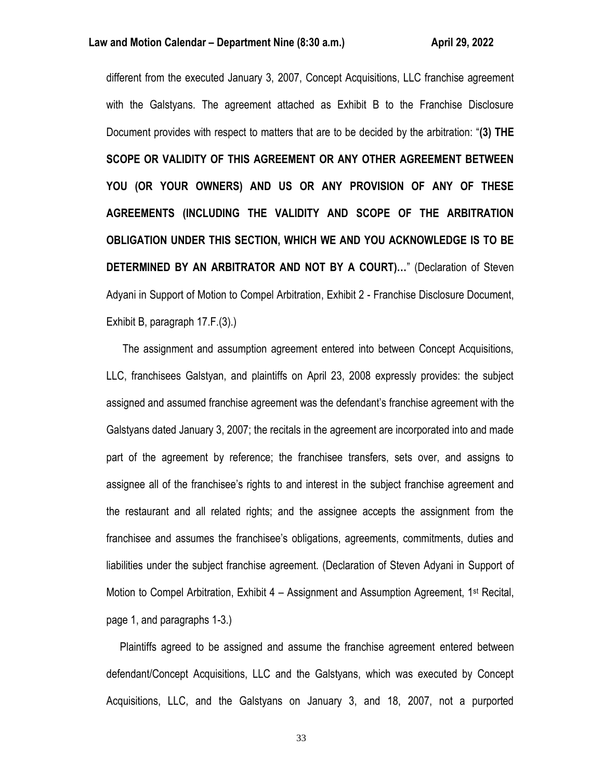different from the executed January 3, 2007, Concept Acquisitions, LLC franchise agreement with the Galstyans. The agreement attached as Exhibit B to the Franchise Disclosure Document provides with respect to matters that are to be decided by the arbitration: "**(3) THE SCOPE OR VALIDITY OF THIS AGREEMENT OR ANY OTHER AGREEMENT BETWEEN YOU (OR YOUR OWNERS) AND US OR ANY PROVISION OF ANY OF THESE AGREEMENTS (INCLUDING THE VALIDITY AND SCOPE OF THE ARBITRATION OBLIGATION UNDER THIS SECTION, WHICH WE AND YOU ACKNOWLEDGE IS TO BE DETERMINED BY AN ARBITRATOR AND NOT BY A COURT)…**" (Declaration of Steven Adyani in Support of Motion to Compel Arbitration, Exhibit 2 - Franchise Disclosure Document, Exhibit B, paragraph 17.F.(3).)

 The assignment and assumption agreement entered into between Concept Acquisitions, LLC, franchisees Galstyan, and plaintiffs on April 23, 2008 expressly provides: the subject assigned and assumed franchise agreement was the defendant's franchise agreement with the Galstyans dated January 3, 2007; the recitals in the agreement are incorporated into and made part of the agreement by reference; the franchisee transfers, sets over, and assigns to assignee all of the franchisee's rights to and interest in the subject franchise agreement and the restaurant and all related rights; and the assignee accepts the assignment from the franchisee and assumes the franchisee's obligations, agreements, commitments, duties and liabilities under the subject franchise agreement. (Declaration of Steven Adyani in Support of Motion to Compel Arbitration, Exhibit  $4 -$  Assignment and Assumption Agreement, 1<sup>st</sup> Recital, page 1, and paragraphs 1-3.)

 Plaintiffs agreed to be assigned and assume the franchise agreement entered between defendant/Concept Acquisitions, LLC and the Galstyans, which was executed by Concept Acquisitions, LLC, and the Galstyans on January 3, and 18, 2007, not a purported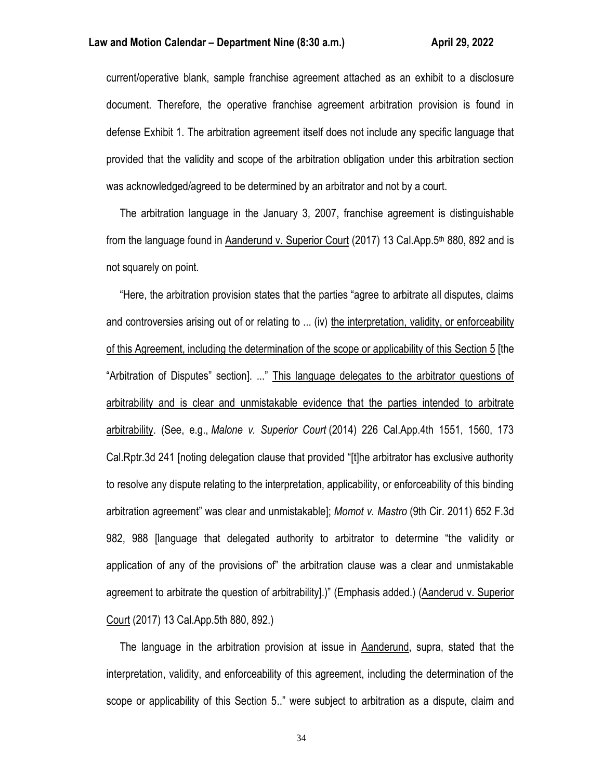## **Law and Motion Calendar – Department Nine (8:30 a.m.) <b>April 29, 2022**

current/operative blank, sample franchise agreement attached as an exhibit to a disclosure document. Therefore, the operative franchise agreement arbitration provision is found in defense Exhibit 1. The arbitration agreement itself does not include any specific language that provided that the validity and scope of the arbitration obligation under this arbitration section was acknowledged/agreed to be determined by an arbitrator and not by a court.

 The arbitration language in the January 3, 2007, franchise agreement is distinguishable from the language found in Aanderund v. Superior Court (2017) 13 Cal.App.5<sup>th</sup> 880, 892 and is not squarely on point.

 "Here, the arbitration provision states that the parties "agree to arbitrate all disputes, claims and controversies arising out of or relating to ... (iv) the interpretation, validity, or enforceability of this Agreement, including the determination of the scope or applicability of this Section 5 [the "Arbitration of Disputes" section]. ..." This language delegates to the arbitrator questions of arbitrability and is clear and unmistakable evidence that the parties intended to arbitrate arbitrability. (See, e.g., *Malone v. Superior Court* (2014) 226 Cal.App.4th 1551, 1560, 173 Cal.Rptr.3d 241 [noting delegation clause that provided "[t]he arbitrator has exclusive authority to resolve any dispute relating to the interpretation, applicability, or enforceability of this binding arbitration agreement" was clear and unmistakable]; *Momot v. Mastro* (9th Cir. 2011) 652 F.3d 982, 988 [language that delegated authority to arbitrator to determine "the validity or application of any of the provisions of" the arbitration clause was a clear and unmistakable agreement to arbitrate the question of arbitrability].)" (Emphasis added.) (Aanderud v. Superior Court (2017) 13 Cal.App.5th 880, 892.)

 The language in the arbitration provision at issue in Aanderund, supra, stated that the interpretation, validity, and enforceability of this agreement, including the determination of the scope or applicability of this Section 5.." were subject to arbitration as a dispute, claim and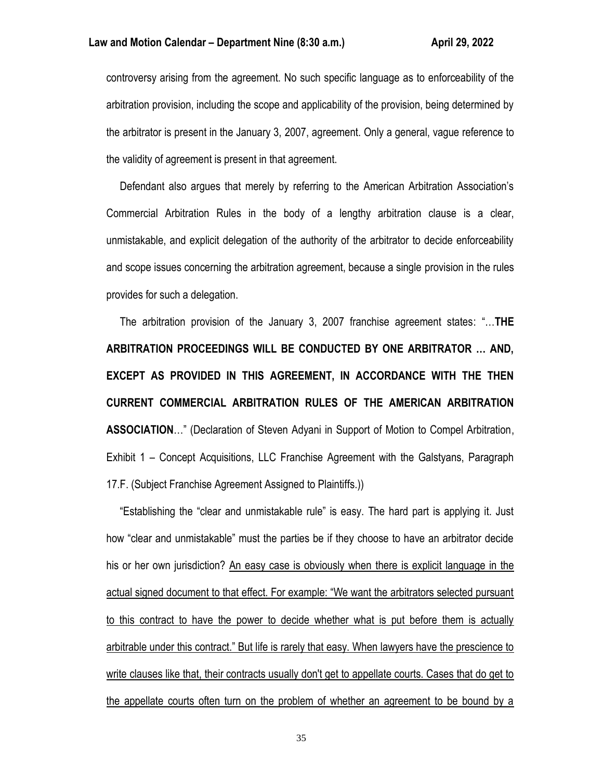controversy arising from the agreement. No such specific language as to enforceability of the arbitration provision, including the scope and applicability of the provision, being determined by the arbitrator is present in the January 3, 2007, agreement. Only a general, vague reference to the validity of agreement is present in that agreement.

 Defendant also argues that merely by referring to the American Arbitration Association's Commercial Arbitration Rules in the body of a lengthy arbitration clause is a clear, unmistakable, and explicit delegation of the authority of the arbitrator to decide enforceability and scope issues concerning the arbitration agreement, because a single provision in the rules provides for such a delegation.

 The arbitration provision of the January 3, 2007 franchise agreement states: "…**THE ARBITRATION PROCEEDINGS WILL BE CONDUCTED BY ONE ARBITRATOR … AND, EXCEPT AS PROVIDED IN THIS AGREEMENT, IN ACCORDANCE WITH THE THEN CURRENT COMMERCIAL ARBITRATION RULES OF THE AMERICAN ARBITRATION ASSOCIATION**…" (Declaration of Steven Adyani in Support of Motion to Compel Arbitration, Exhibit 1 – Concept Acquisitions, LLC Franchise Agreement with the Galstyans, Paragraph 17.F. (Subject Franchise Agreement Assigned to Plaintiffs.))

 "Establishing the "clear and unmistakable rule" is easy. The hard part is applying it. Just how "clear and unmistakable" must the parties be if they choose to have an arbitrator decide his or her own jurisdiction? An easy case is obviously when there is explicit language in the actual signed document to that effect. For example: "We want the arbitrators selected pursuant to this contract to have the power to decide whether what is put before them is actually arbitrable under this contract." But life is rarely that easy. When lawyers have the prescience to write clauses like that, their contracts usually don't get to appellate courts. Cases that do get to the appellate courts often turn on the problem of whether an agreement to be bound by a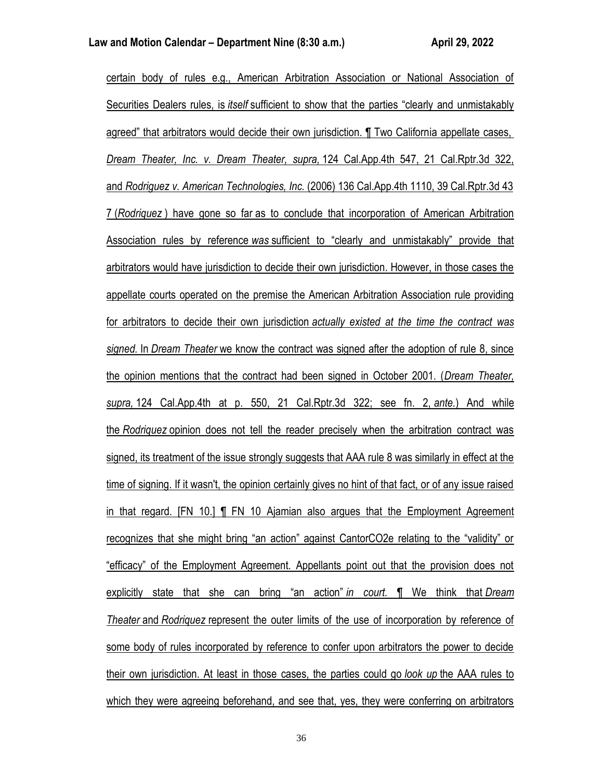certain body of rules e.g., American Arbitration Association or National Association of Securities Dealers rules, is *itself* sufficient to show that the parties "clearly and unmistakably agreed" that arbitrators would decide their own jurisdiction. ¶ Two California appellate cases, *Dream Theater, Inc. v. Dream Theater, supra,* 124 Cal.App.4th 547, 21 Cal.Rptr.3d 322, and *Rodriguez v. American Technologies, Inc.* (2006) 136 Cal.App.4th 1110, 39 Cal.Rptr.3d 43 7 (*Rodriquez* ) have gone so far as to conclude that incorporation of American Arbitration Association rules by reference *was* sufficient to "clearly and unmistakably" provide that arbitrators would have jurisdiction to decide their own jurisdiction. However, in those cases the appellate courts operated on the premise the American Arbitration Association rule providing for arbitrators to decide their own jurisdiction *actually existed at the time the contract was signed.* In *Dream Theater* we know the contract was signed after the adoption of rule 8, since the opinion mentions that the contract had been signed in October 2001. (*Dream Theater, supra,* 124 Cal.App.4th at p. 550, 21 Cal.Rptr.3d 322; see fn. 2, *ante.*) And while the *Rodriquez* opinion does not tell the reader precisely when the arbitration contract was signed, its treatment of the issue strongly suggests that AAA rule 8 was similarly in effect at the time of signing. If it wasn't, the opinion certainly gives no hint of that fact, or of any issue raised in that regard. [FN 10.] ¶ FN 10 Ajamian also argues that the Employment Agreement recognizes that she might bring "an action" against CantorCO2e relating to the "validity" or "efficacy" of the Employment Agreement. Appellants point out that the provision does not explicitly state that she can bring "an action" *in court.* ¶ We think that *Dream Theater* and *Rodriquez* represent the outer limits of the use of incorporation by reference of some body of rules incorporated by reference to confer upon arbitrators the power to decide their own jurisdiction. At least in those cases, the parties could go *look up* the AAA rules to which they were agreeing beforehand, and see that, yes, they were conferring on arbitrators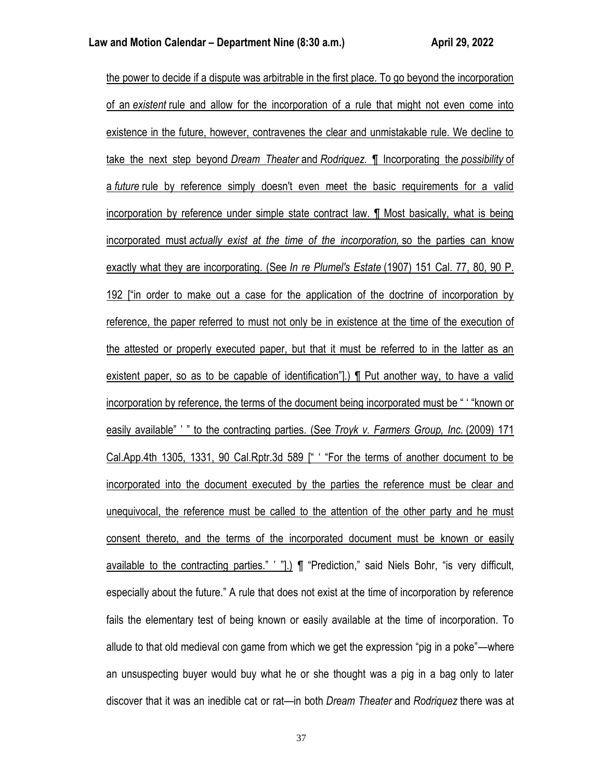the power to decide if a dispute was arbitrable in the first place. To go beyond the incorporation of an *existent* rule and allow for the incorporation of a rule that might not even come into existence in the future, however, contravenes the clear and unmistakable rule. We decline to take the next step beyond *Dream Theater* and *Rodriquez.* ¶ Incorporating the *possibility* of a *future* rule by reference simply doesn't even meet the basic requirements for a valid incorporation by reference under simple state contract law. ¶ Most basically, what is being incorporated must *actually exist at the time of the incorporation,* so the parties can know exactly what they are incorporating. (See *In re Plumel's Estate* (1907) 151 Cal. 77, 80, 90 P. 192 ["in order to make out a case for the application of the doctrine of incorporation by reference, the paper referred to must not only be in existence at the time of the execution of the attested or properly executed paper, but that it must be referred to in the latter as an existent paper, so as to be capable of identification"].) ¶ Put another way, to have a valid incorporation by reference, the terms of the document being incorporated must be " ' "known or easily available" ' " to the contracting parties. (See *Troyk v. Farmers Group, Inc.* (2009) 171 Cal.App.4th 1305, 1331, 90 Cal.Rptr.3d 589 [" ' "For the terms of another document to be incorporated into the document executed by the parties the reference must be clear and unequivocal, the reference must be called to the attention of the other party and he must consent thereto, and the terms of the incorporated document must be known or easily available to the contracting parties." ' "].) ¶ "Prediction," said Niels Bohr, "is very difficult, especially about the future." A rule that does not exist at the time of incorporation by reference fails the elementary test of being known or easily available at the time of incorporation. To allude to that old medieval con game from which we get the expression "pig in a poke"—where an unsuspecting buyer would buy what he or she thought was a pig in a bag only to later discover that it was an inedible cat or rat—in both *Dream Theater* and *Rodriquez* there was at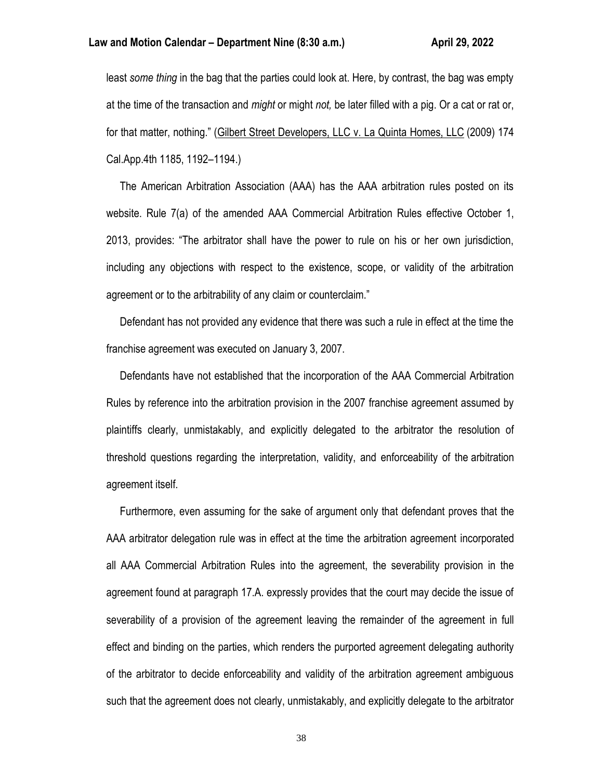least *some thing* in the bag that the parties could look at. Here, by contrast, the bag was empty at the time of the transaction and *might* or might *not,* be later filled with a pig. Or a cat or rat or, for that matter, nothing." (Gilbert Street Developers, LLC v. La Quinta Homes, LLC (2009) 174 Cal.App.4th 1185, 1192–1194.)

 The American Arbitration Association (AAA) has the AAA arbitration rules posted on its website. Rule 7(a) of the amended AAA Commercial Arbitration Rules effective October 1, 2013, provides: "The arbitrator shall have the power to rule on his or her own jurisdiction, including any objections with respect to the existence, scope, or validity of the arbitration agreement or to the arbitrability of any claim or counterclaim."

 Defendant has not provided any evidence that there was such a rule in effect at the time the franchise agreement was executed on January 3, 2007.

 Defendants have not established that the incorporation of the AAA Commercial Arbitration Rules by reference into the arbitration provision in the 2007 franchise agreement assumed by plaintiffs clearly, unmistakably, and explicitly delegated to the arbitrator the resolution of threshold questions regarding the interpretation, validity, and enforceability of the arbitration agreement itself.

 Furthermore, even assuming for the sake of argument only that defendant proves that the AAA arbitrator delegation rule was in effect at the time the arbitration agreement incorporated all AAA Commercial Arbitration Rules into the agreement, the severability provision in the agreement found at paragraph 17.A. expressly provides that the court may decide the issue of severability of a provision of the agreement leaving the remainder of the agreement in full effect and binding on the parties, which renders the purported agreement delegating authority of the arbitrator to decide enforceability and validity of the arbitration agreement ambiguous such that the agreement does not clearly, unmistakably, and explicitly delegate to the arbitrator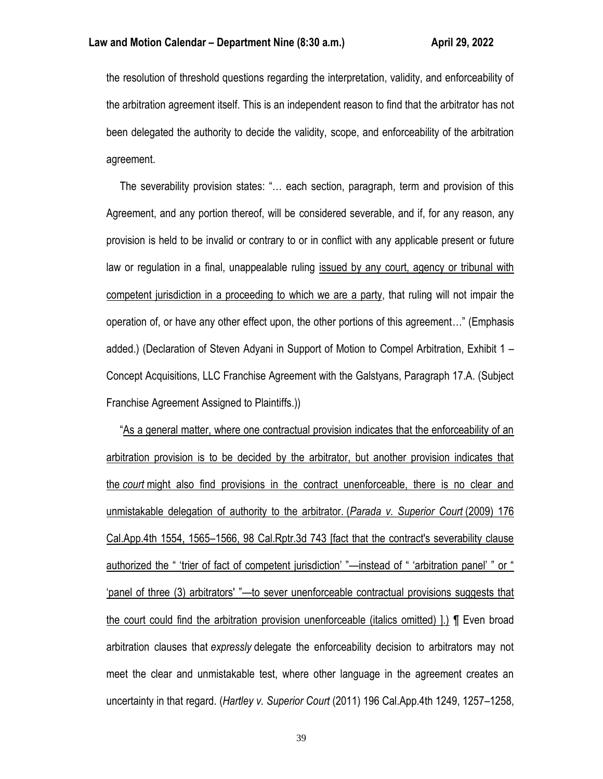the resolution of threshold questions regarding the interpretation, validity, and enforceability of the arbitration agreement itself. This is an independent reason to find that the arbitrator has not been delegated the authority to decide the validity, scope, and enforceability of the arbitration agreement.

 The severability provision states: "… each section, paragraph, term and provision of this Agreement, and any portion thereof, will be considered severable, and if, for any reason, any provision is held to be invalid or contrary to or in conflict with any applicable present or future law or regulation in a final, unappealable ruling issued by any court, agency or tribunal with competent jurisdiction in a proceeding to which we are a party, that ruling will not impair the operation of, or have any other effect upon, the other portions of this agreement…" (Emphasis added.) (Declaration of Steven Adyani in Support of Motion to Compel Arbitration, Exhibit 1 – Concept Acquisitions, LLC Franchise Agreement with the Galstyans, Paragraph 17.A. (Subject Franchise Agreement Assigned to Plaintiffs.))

 "As a general matter, where one contractual provision indicates that the enforceability of an arbitration provision is to be decided by the arbitrator, but another provision indicates that the *court* might also find provisions in the contract unenforceable, there is no clear and unmistakable delegation of authority to the arbitrator. (*Parada v. Superior Court* (2009) 176 Cal.App.4th 1554, 1565–1566, 98 Cal.Rptr.3d 743 [fact that the contract's severability clause authorized the " 'trier of fact of competent jurisdiction' "—instead of " 'arbitration panel' " or " 'panel of three (3) arbitrators' "—to sever unenforceable contractual provisions suggests that the court could find the arbitration provision unenforceable (italics omitted) ].) ¶ Even broad arbitration clauses that *expressly* delegate the enforceability decision to arbitrators may not meet the clear and unmistakable test, where other language in the agreement creates an uncertainty in that regard. (*Hartley v. Superior Court* (2011) 196 Cal.App.4th 1249, 1257–1258,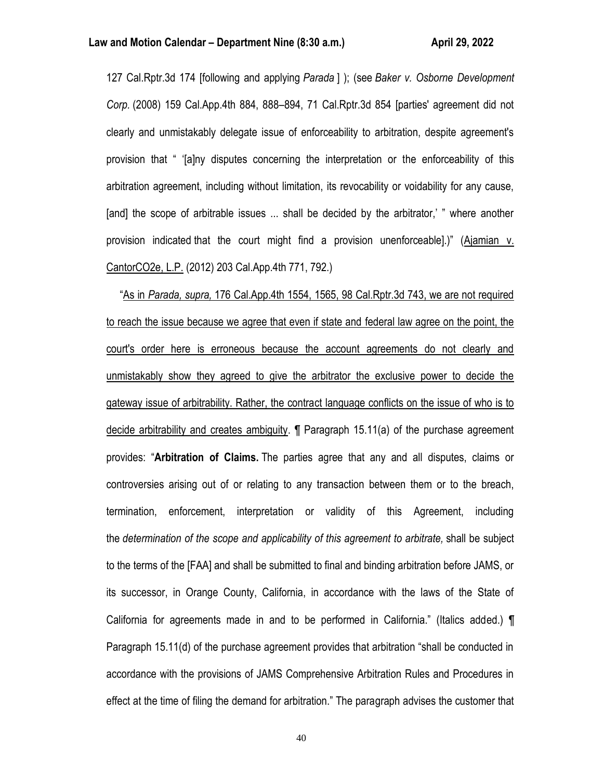127 Cal.Rptr.3d 174 [following and applying *Parada* ] ); (see *Baker v. Osborne Development Corp.* (2008) 159 Cal.App.4th 884, 888–894, 71 Cal.Rptr.3d 854 [parties' agreement did not clearly and unmistakably delegate issue of enforceability to arbitration, despite agreement's provision that " '[a]ny disputes concerning the interpretation or the enforceability of this arbitration agreement, including without limitation, its revocability or voidability for any cause, [and] the scope of arbitrable issues ... shall be decided by the arbitrator,' " where another provision indicated that the court might find a provision unenforceable].)" (Ajamian v. CantorCO2e, L.P. (2012) 203 Cal.App.4th 771, 792.)

 "As in *Parada, supra,* 176 Cal.App.4th 1554, 1565, 98 Cal.Rptr.3d 743, we are not required to reach the issue because we agree that even if state and federal law agree on the point, the court's order here is erroneous because the account agreements do not clearly and unmistakably show they agreed to give the arbitrator the exclusive power to decide the gateway issue of arbitrability. Rather, the contract language conflicts on the issue of who is to decide arbitrability and creates ambiguity. ¶ Paragraph 15.11(a) of the purchase agreement provides: "**Arbitration of Claims.** The parties agree that any and all disputes, claims or controversies arising out of or relating to any transaction between them or to the breach, termination, enforcement, interpretation or validity of this Agreement, including the *determination of the scope and applicability of this agreement to arbitrate,* shall be subject to the terms of the [FAA] and shall be submitted to final and binding arbitration before JAMS, or its successor, in Orange County, California, in accordance with the laws of the State of California for agreements made in and to be performed in California." (Italics added.) ¶ Paragraph 15.11(d) of the purchase agreement provides that arbitration "shall be conducted in accordance with the provisions of JAMS Comprehensive Arbitration Rules and Procedures in effect at the time of filing the demand for arbitration." The paragraph advises the customer that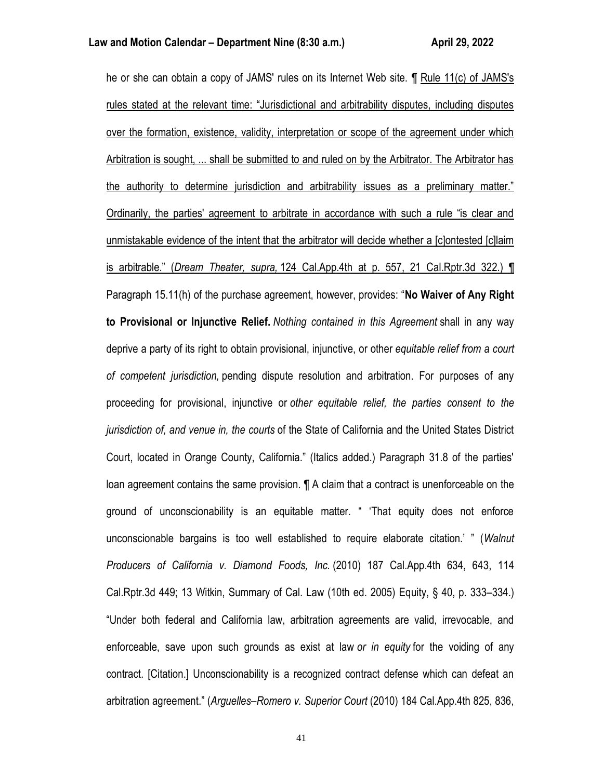he or she can obtain a copy of JAMS' rules on its Internet Web site. ¶ Rule 11(c) of JAMS's rules stated at the relevant time: "Jurisdictional and arbitrability disputes, including disputes over the formation, existence, validity, interpretation or scope of the agreement under which Arbitration is sought, ... shall be submitted to and ruled on by the Arbitrator. The Arbitrator has the authority to determine jurisdiction and arbitrability issues as a preliminary matter." Ordinarily, the parties' agreement to arbitrate in accordance with such a rule "is clear and unmistakable evidence of the intent that the arbitrator will decide whether a [c]ontested [c]laim is arbitrable." (*Dream Theater, supra,* 124 Cal.App.4th at p. 557, 21 Cal.Rptr.3d 322.) ¶ Paragraph 15.11(h) of the purchase agreement, however, provides: "**No Waiver of Any Right to Provisional or Injunctive Relief.** *Nothing contained in this Agreement* shall in any way deprive a party of its right to obtain provisional, injunctive, or other *equitable relief from a court of competent jurisdiction,* pending dispute resolution and arbitration. For purposes of any proceeding for provisional, injunctive or *other equitable relief, the parties consent to the jurisdiction of, and venue in, the courts* of the State of California and the United States District Court, located in Orange County, California." (Italics added.) Paragraph 31.8 of the parties' loan agreement contains the same provision. ¶ A claim that a contract is unenforceable on the ground of unconscionability is an equitable matter. " 'That equity does not enforce unconscionable bargains is too well established to require elaborate citation.' " (*Walnut Producers of California v. Diamond Foods, Inc.* (2010) 187 Cal.App.4th 634, 643, 114 Cal.Rptr.3d 449; 13 Witkin, Summary of Cal. Law (10th ed. 2005) Equity, § 40, p. 333–334.) "Under both federal and California law, arbitration agreements are valid, irrevocable, and enforceable, save upon such grounds as exist at law *or in equity* for the voiding of any contract. [Citation.] Unconscionability is a recognized contract defense which can defeat an arbitration agreement." (*Arguelles–Romero v. Superior Court* (2010) 184 Cal.App.4th 825, 836,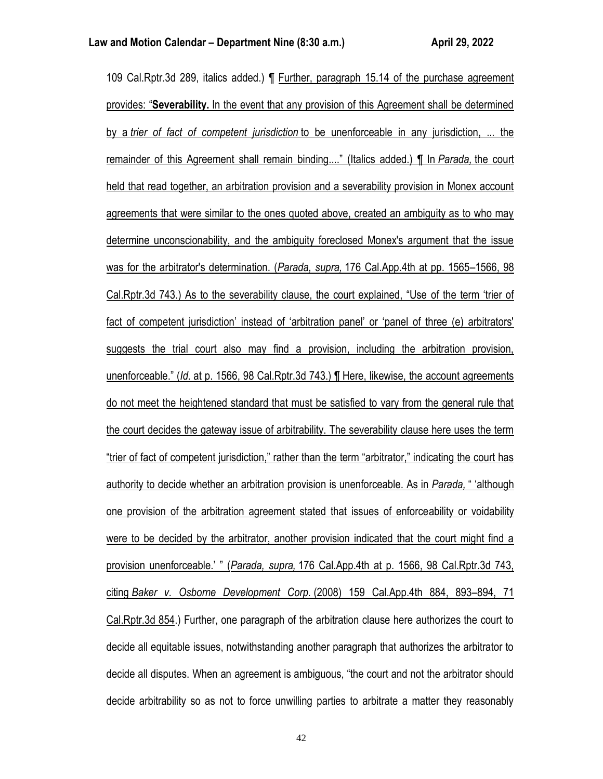109 Cal.Rptr.3d 289, italics added.) ¶ Further, paragraph 15.14 of the purchase agreement provides: "**Severability.** In the event that any provision of this Agreement shall be determined by a *trier of fact of competent jurisdiction* to be unenforceable in any jurisdiction, ... the remainder of this Agreement shall remain binding...." (Italics added.) ¶ In *Parada,* the court held that read together, an arbitration provision and a severability provision in Monex account agreements that were similar to the ones quoted above, created an ambiguity as to who may determine unconscionability, and the ambiguity foreclosed Monex's argument that the issue was for the arbitrator's determination. (*Parada, supra,* 176 Cal.App.4th at pp. 1565–1566, 98 Cal.Rptr.3d 743.) As to the severability clause, the court explained, "Use of the term 'trier of fact of competent jurisdiction' instead of 'arbitration panel' or 'panel of three (e) arbitrators' suggests the trial court also may find a provision, including the arbitration provision, unenforceable." (*Id.* at p. 1566, 98 Cal.Rptr.3d 743.) ¶ Here, likewise, the account agreements do not meet the heightened standard that must be satisfied to vary from the general rule that the court decides the gateway issue of arbitrability. The severability clause here uses the term "trier of fact of competent jurisdiction," rather than the term "arbitrator," indicating the court has authority to decide whether an arbitration provision is unenforceable. As in *Parada,* " 'although one provision of the arbitration agreement stated that issues of enforceability or voidability were to be decided by the arbitrator, another provision indicated that the court might find a provision unenforceable.' " (*Parada, supra,* 176 Cal.App.4th at p. 1566, 98 Cal.Rptr.3d 743, citing *Baker v. Osborne Development Corp.* (2008) 159 Cal.App.4th 884, 893–894, 71 Cal.Rptr.3d 854.) Further, one paragraph of the arbitration clause here authorizes the court to decide all equitable issues, notwithstanding another paragraph that authorizes the arbitrator to decide all disputes. When an agreement is ambiguous, "the court and not the arbitrator should decide arbitrability so as not to force unwilling parties to arbitrate a matter they reasonably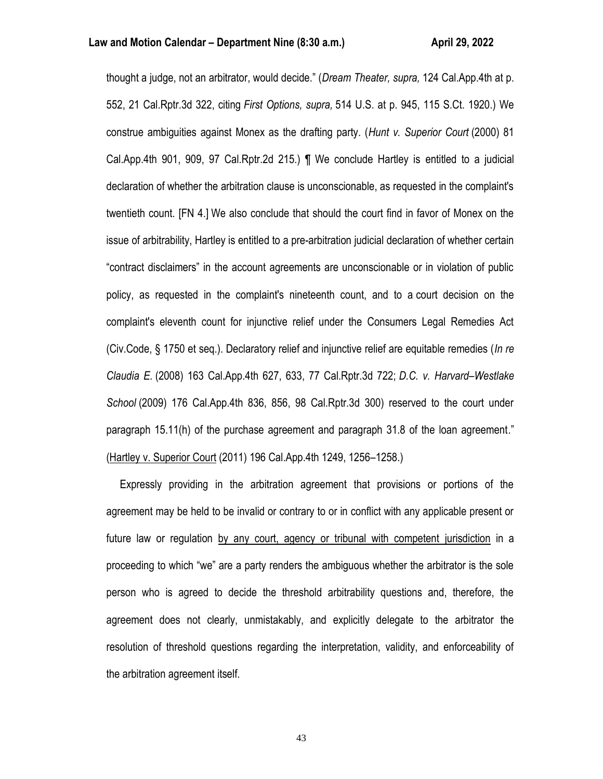thought a judge, not an arbitrator, would decide." (*Dream Theater, supra,* 124 Cal.App.4th at p. 552, 21 Cal.Rptr.3d 322, citing *First Options, supra,* 514 U.S. at p. 945, 115 S.Ct. 1920.) We construe ambiguities against Monex as the drafting party. (*Hunt v. Superior Court* (2000) 81 Cal.App.4th 901, 909, 97 Cal.Rptr.2d 215.) ¶ We conclude Hartley is entitled to a judicial declaration of whether the arbitration clause is unconscionable, as requested in the complaint's twentieth count. [FN 4.] We also conclude that should the court find in favor of Monex on the issue of arbitrability, Hartley is entitled to a pre-arbitration judicial declaration of whether certain "contract disclaimers" in the account agreements are unconscionable or in violation of public policy, as requested in the complaint's nineteenth count, and to a court decision on the complaint's eleventh count for injunctive relief under the Consumers Legal Remedies Act (Civ.Code, § 1750 et seq.). Declaratory relief and injunctive relief are equitable remedies (*In re Claudia E.* (2008) 163 Cal.App.4th 627, 633, 77 Cal.Rptr.3d 722; *D.C. v. Harvard–Westlake School* (2009) 176 Cal.App.4th 836, 856, 98 Cal.Rptr.3d 300) reserved to the court under paragraph 15.11(h) of the purchase agreement and paragraph 31.8 of the loan agreement." (Hartley v. Superior Court (2011) 196 Cal.App.4th 1249, 1256–1258.)

 Expressly providing in the arbitration agreement that provisions or portions of the agreement may be held to be invalid or contrary to or in conflict with any applicable present or future law or regulation by any court, agency or tribunal with competent jurisdiction in a proceeding to which "we" are a party renders the ambiguous whether the arbitrator is the sole person who is agreed to decide the threshold arbitrability questions and, therefore, the agreement does not clearly, unmistakably, and explicitly delegate to the arbitrator the resolution of threshold questions regarding the interpretation, validity, and enforceability of the arbitration agreement itself.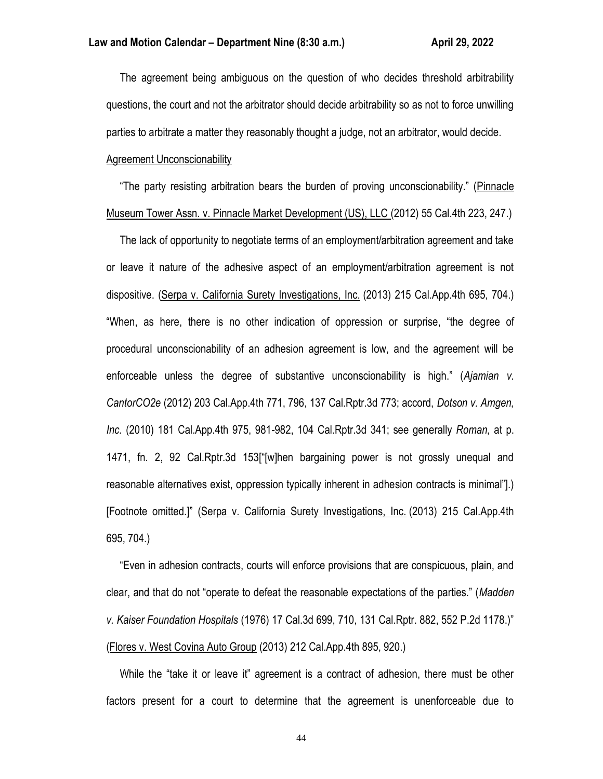The agreement being ambiguous on the question of who decides threshold arbitrability questions, the court and not the arbitrator should decide arbitrability so as not to force unwilling parties to arbitrate a matter they reasonably thought a judge, not an arbitrator, would decide.

# Agreement Unconscionability

 "The party resisting arbitration bears the burden of proving unconscionability." (Pinnacle Museum Tower Assn. v. Pinnacle Market Development (US), LLC (2012) 55 Cal.4th 223, 247.)

 The lack of opportunity to negotiate terms of an employment/arbitration agreement and take or leave it nature of the adhesive aspect of an employment/arbitration agreement is not dispositive. (Serpa v. California Surety Investigations, Inc. (2013) 215 Cal.App.4th 695, 704.) "When, as here, there is no other indication of oppression or surprise, "the degree of procedural unconscionability of an adhesion agreement is low, and the agreement will be enforceable unless the degree of substantive unconscionability is high." (*Ajamian v. CantorCO2e* (2012) 203 Cal.App.4th 771, 796, 137 Cal.Rptr.3d 773; accord, *Dotson v. Amgen, Inc.* (2010) 181 Cal.App.4th 975, 981-982, 104 Cal.Rptr.3d 341; see generally *Roman,* at p. 1471, fn. 2, 92 Cal.Rptr.3d 153["[w]hen bargaining power is not grossly unequal and reasonable alternatives exist, oppression typically inherent in adhesion contracts is minimal"].) [Footnote omitted.]" (Serpa v. California Surety Investigations, Inc. (2013) 215 Cal.App.4th 695, 704.)

 "Even in adhesion contracts, courts will enforce provisions that are conspicuous, plain, and clear, and that do not "operate to defeat the reasonable expectations of the parties." (*Madden v. Kaiser Foundation Hospitals* (1976) 17 Cal.3d 699, 710, 131 Cal.Rptr. 882, 552 P.2d 1178.)" (Flores v. West Covina Auto Group (2013) 212 Cal.App.4th 895, 920.)

 While the "take it or leave it" agreement is a contract of adhesion, there must be other factors present for a court to determine that the agreement is unenforceable due to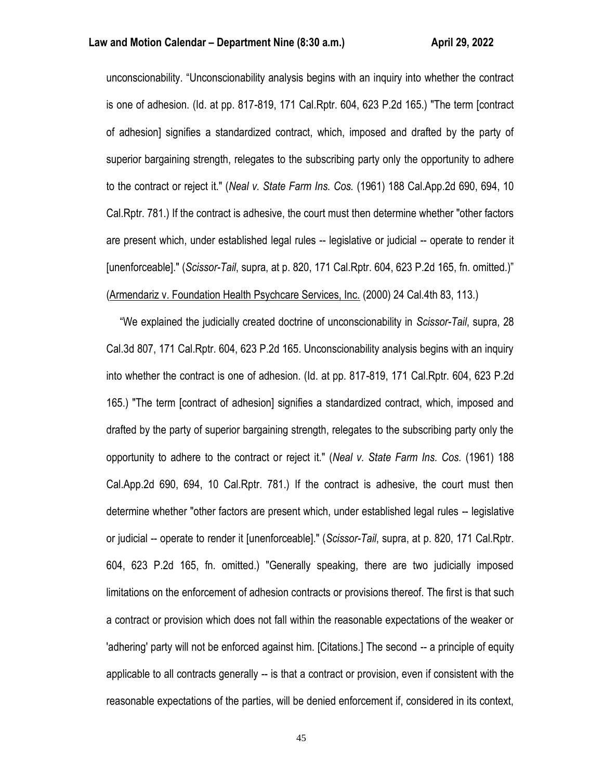### **Law and Motion Calendar – Department Nine (8:30 a.m.) <b>April 29, 2022**

unconscionability. "Unconscionability analysis begins with an inquiry into whether the contract is one of adhesion. (Id. at pp. 817-819, 171 Cal.Rptr. 604, 623 P.2d 165.) "The term [contract of adhesion] signifies a standardized contract, which, imposed and drafted by the party of superior bargaining strength, relegates to the subscribing party only the opportunity to adhere to the contract or reject it." (*Neal v. State Farm Ins. Cos.* (1961) 188 Cal.App.2d 690, 694, 10 Cal.Rptr. 781.) If the contract is adhesive, the court must then determine whether "other factors are present which, under established legal rules -- legislative or judicial -- operate to render it [unenforceable]." (*Scissor-Tail*, supra, at p. 820, 171 Cal.Rptr. 604, 623 P.2d 165, fn. omitted.)" (Armendariz v. Foundation Health Psychcare Services, Inc. (2000) 24 Cal.4th 83, 113.)

 "We explained the judicially created doctrine of unconscionability in *Scissor-Tail*, supra, 28 Cal.3d 807, 171 Cal.Rptr. 604, 623 P.2d 165. Unconscionability analysis begins with an inquiry into whether the contract is one of adhesion. (Id. at pp. 817-819, 171 Cal.Rptr. 604, 623 P.2d 165.) "The term [contract of adhesion] signifies a standardized contract, which, imposed and drafted by the party of superior bargaining strength, relegates to the subscribing party only the opportunity to adhere to the contract or reject it." (*Neal v. State Farm Ins. Cos.* (1961) 188 Cal.App.2d 690, 694, 10 Cal.Rptr. 781.) If the contract is adhesive, the court must then determine whether "other factors are present which, under established legal rules -- legislative or judicial -- operate to render it [unenforceable]." (*Scissor-Tail*, supra, at p. 820, 171 Cal.Rptr. 604, 623 P.2d 165, fn. omitted.) "Generally speaking, there are two judicially imposed limitations on the enforcement of adhesion contracts or provisions thereof. The first is that such a contract or provision which does not fall within the reasonable expectations of the weaker or 'adhering' party will not be enforced against him. [Citations.] The second -- a principle of equity applicable to all contracts generally -- is that a contract or provision, even if consistent with the reasonable expectations of the parties, will be denied enforcement if, considered in its context,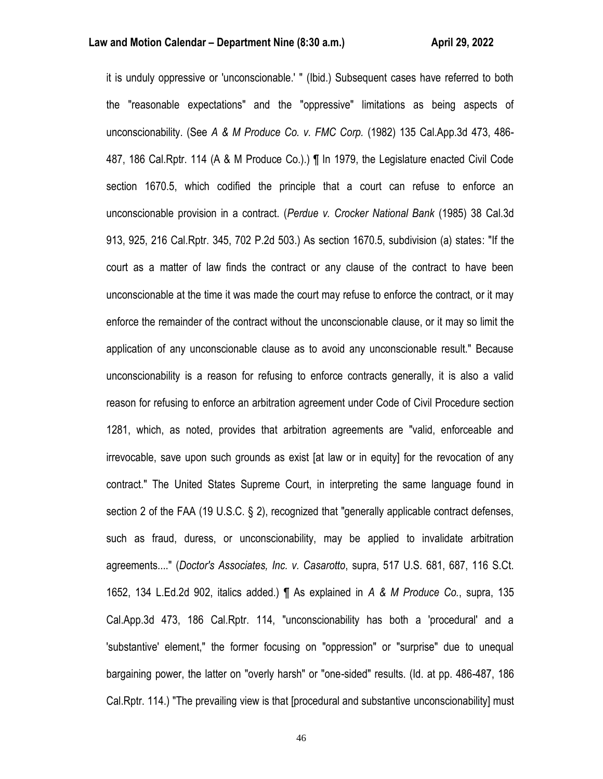it is unduly oppressive or 'unconscionable.' " (Ibid.) Subsequent cases have referred to both the "reasonable expectations" and the "oppressive" limitations as being aspects of unconscionability. (See *A & M Produce Co. v. FMC Corp.* (1982) 135 Cal.App.3d 473, 486- 487, 186 Cal.Rptr. 114 (A & M Produce Co.).) ¶ In 1979, the Legislature enacted Civil Code section 1670.5, which codified the principle that a court can refuse to enforce an unconscionable provision in a contract. (*Perdue v. Crocker National Bank* (1985) 38 Cal.3d 913, 925, 216 Cal.Rptr. 345, 702 P.2d 503.) As section 1670.5, subdivision (a) states: "If the court as a matter of law finds the contract or any clause of the contract to have been unconscionable at the time it was made the court may refuse to enforce the contract, or it may enforce the remainder of the contract without the unconscionable clause, or it may so limit the application of any unconscionable clause as to avoid any unconscionable result." Because unconscionability is a reason for refusing to enforce contracts generally, it is also a valid reason for refusing to enforce an arbitration agreement under Code of Civil Procedure section 1281, which, as noted, provides that arbitration agreements are "valid, enforceable and irrevocable, save upon such grounds as exist [at law or in equity] for the revocation of any contract." The United States Supreme Court, in interpreting the same language found in section 2 of the FAA (19 U.S.C. § 2), recognized that "generally applicable contract defenses, such as fraud, duress, or unconscionability, may be applied to invalidate arbitration agreements...." (*Doctor's Associates, Inc. v. Casarotto*, supra, 517 U.S. 681, 687, 116 S.Ct. 1652, 134 L.Ed.2d 902, italics added.) ¶ As explained in *A & M Produce Co.*, supra, 135 Cal.App.3d 473, 186 Cal.Rptr. 114, "unconscionability has both a 'procedural' and a 'substantive' element," the former focusing on "oppression" or "surprise" due to unequal bargaining power, the latter on "overly harsh" or "one-sided" results. (Id. at pp. 486-487, 186 Cal.Rptr. 114.) "The prevailing view is that [procedural and substantive unconscionability] must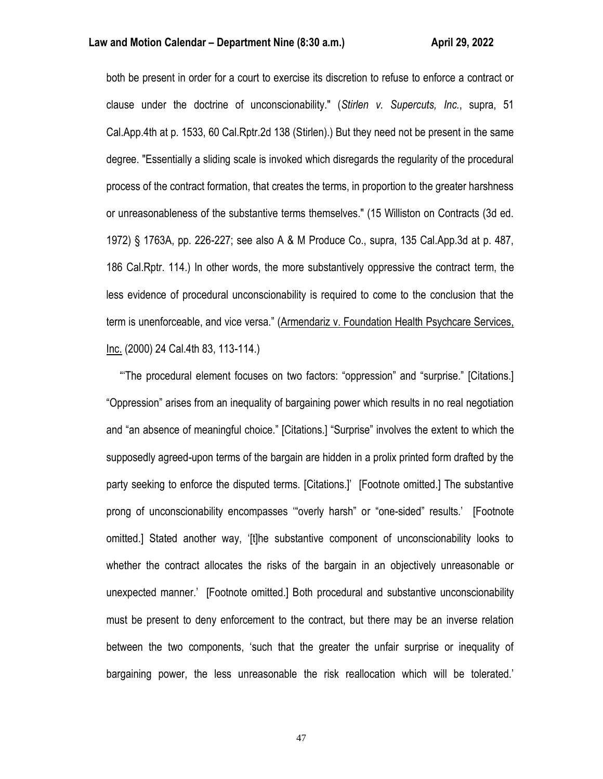### **Law and Motion Calendar – Department Nine (8:30 a.m.) <b>All Accord Accord Accord Accord Accord Accord Accord Accord**

both be present in order for a court to exercise its discretion to refuse to enforce a contract or clause under the doctrine of unconscionability." (*Stirlen v. Supercuts, Inc.*, supra, 51 Cal.App.4th at p. 1533, 60 Cal.Rptr.2d 138 (Stirlen).) But they need not be present in the same degree. "Essentially a sliding scale is invoked which disregards the regularity of the procedural process of the contract formation, that creates the terms, in proportion to the greater harshness or unreasonableness of the substantive terms themselves." (15 Williston on Contracts (3d ed. 1972) § 1763A, pp. 226-227; see also A & M Produce Co., supra, 135 Cal.App.3d at p. 487, 186 Cal.Rptr. 114.) In other words, the more substantively oppressive the contract term, the less evidence of procedural unconscionability is required to come to the conclusion that the term is unenforceable, and vice versa." (Armendariz v. Foundation Health Psychcare Services, Inc. (2000) 24 Cal.4th 83, 113-114.)

 "'The procedural element focuses on two factors: "oppression" and "surprise." [Citations.] "Oppression" arises from an inequality of bargaining power which results in no real negotiation and "an absence of meaningful choice." [Citations.] "Surprise" involves the extent to which the supposedly agreed-upon terms of the bargain are hidden in a prolix printed form drafted by the party seeking to enforce the disputed terms. [Citations.]' [Footnote omitted.] The substantive prong of unconscionability encompasses '"overly harsh" or "one-sided" results.' [Footnote omitted.] Stated another way, '[t]he substantive component of unconscionability looks to whether the contract allocates the risks of the bargain in an objectively unreasonable or unexpected manner.' [Footnote omitted.] Both procedural and substantive unconscionability must be present to deny enforcement to the contract, but there may be an inverse relation between the two components, 'such that the greater the unfair surprise or inequality of bargaining power, the less unreasonable the risk reallocation which will be tolerated.'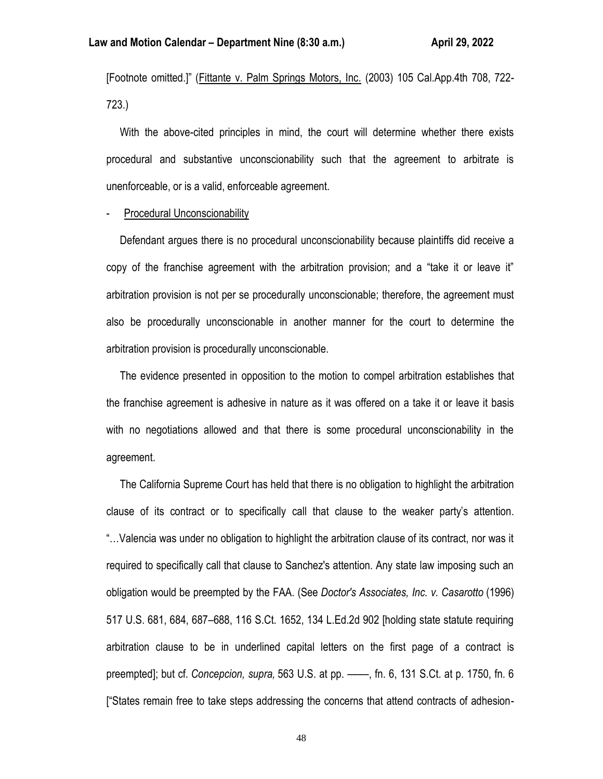[Footnote omitted.]" (Fittante v. Palm Springs Motors, Inc. (2003) 105 Cal.App.4th 708, 722- 723.)

 With the above-cited principles in mind, the court will determine whether there exists procedural and substantive unconscionability such that the agreement to arbitrate is unenforceable, or is a valid, enforceable agreement.

#### Procedural Unconscionability

 Defendant argues there is no procedural unconscionability because plaintiffs did receive a copy of the franchise agreement with the arbitration provision; and a "take it or leave it" arbitration provision is not per se procedurally unconscionable; therefore, the agreement must also be procedurally unconscionable in another manner for the court to determine the arbitration provision is procedurally unconscionable.

 The evidence presented in opposition to the motion to compel arbitration establishes that the franchise agreement is adhesive in nature as it was offered on a take it or leave it basis with no negotiations allowed and that there is some procedural unconscionability in the agreement.

 The California Supreme Court has held that there is no obligation to highlight the arbitration clause of its contract or to specifically call that clause to the weaker party's attention. "…Valencia was under no obligation to highlight the arbitration clause of its contract, nor was it required to specifically call that clause to Sanchez's attention. Any state law imposing such an obligation would be preempted by the FAA. (See *Doctor's Associates, Inc. v. Casarotto* (1996) 517 U.S. 681, 684, 687–688, 116 S.Ct. 1652, 134 L.Ed.2d 902 [holding state statute requiring arbitration clause to be in underlined capital letters on the first page of a contract is preempted]; but cf. *Concepcion, supra,* 563 U.S. at pp. ––––, fn. 6, 131 S.Ct. at p. 1750, fn. 6 ["States remain free to take steps addressing the concerns that attend contracts of adhesion-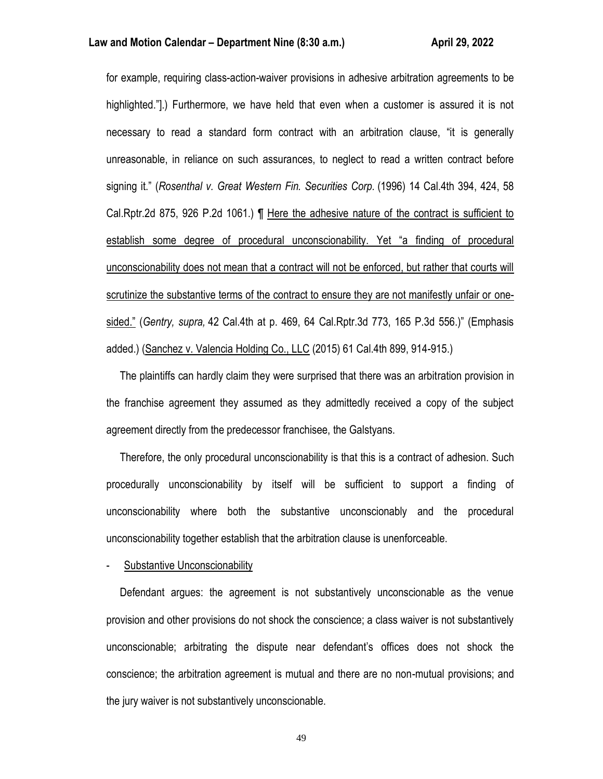for example, requiring class-action-waiver provisions in adhesive arbitration agreements to be highlighted."].) Furthermore, we have held that even when a customer is assured it is not necessary to read a standard form contract with an arbitration clause, "it is generally unreasonable, in reliance on such assurances, to neglect to read a written contract before signing it." (*Rosenthal v. Great Western Fin. Securities Corp.* (1996) 14 Cal.4th 394, 424, 58 Cal.Rptr.2d 875, 926 P.2d 1061.) ¶ Here the adhesive nature of the contract is sufficient to establish some degree of procedural unconscionability. Yet "a finding of procedural unconscionability does not mean that a contract will not be enforced, but rather that courts will scrutinize the substantive terms of the contract to ensure they are not manifestly unfair or onesided." (*Gentry, supra,* 42 Cal.4th at p. 469, 64 Cal.Rptr.3d 773, 165 P.3d 556.)" (Emphasis added.) (Sanchez v. Valencia Holding Co., LLC (2015) 61 Cal.4th 899, 914-915.)

 The plaintiffs can hardly claim they were surprised that there was an arbitration provision in the franchise agreement they assumed as they admittedly received a copy of the subject agreement directly from the predecessor franchisee, the Galstyans.

 Therefore, the only procedural unconscionability is that this is a contract of adhesion. Such procedurally unconscionability by itself will be sufficient to support a finding of unconscionability where both the substantive unconscionably and the procedural unconscionability together establish that the arbitration clause is unenforceable.

Substantive Unconscionability

 Defendant argues: the agreement is not substantively unconscionable as the venue provision and other provisions do not shock the conscience; a class waiver is not substantively unconscionable; arbitrating the dispute near defendant's offices does not shock the conscience; the arbitration agreement is mutual and there are no non-mutual provisions; and the jury waiver is not substantively unconscionable.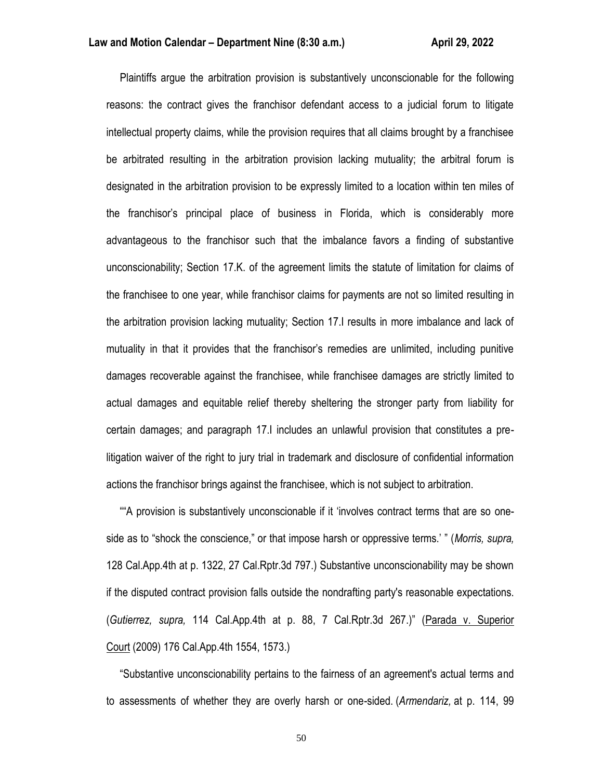Plaintiffs argue the arbitration provision is substantively unconscionable for the following reasons: the contract gives the franchisor defendant access to a judicial forum to litigate intellectual property claims, while the provision requires that all claims brought by a franchisee be arbitrated resulting in the arbitration provision lacking mutuality; the arbitral forum is designated in the arbitration provision to be expressly limited to a location within ten miles of the franchisor's principal place of business in Florida, which is considerably more advantageous to the franchisor such that the imbalance favors a finding of substantive unconscionability; Section 17.K. of the agreement limits the statute of limitation for claims of the franchisee to one year, while franchisor claims for payments are not so limited resulting in the arbitration provision lacking mutuality; Section 17.I results in more imbalance and lack of mutuality in that it provides that the franchisor's remedies are unlimited, including punitive damages recoverable against the franchisee, while franchisee damages are strictly limited to actual damages and equitable relief thereby sheltering the stronger party from liability for certain damages; and paragraph 17.I includes an unlawful provision that constitutes a prelitigation waiver of the right to jury trial in trademark and disclosure of confidential information actions the franchisor brings against the franchisee, which is not subject to arbitration.

 ""A provision is substantively unconscionable if it 'involves contract terms that are so oneside as to "shock the conscience," or that impose harsh or oppressive terms.' " (*Morris, supra,* 128 Cal.App.4th at p. 1322, 27 Cal.Rptr.3d 797.) Substantive unconscionability may be shown if the disputed contract provision falls outside the nondrafting party's reasonable expectations. (*Gutierrez, supra,* 114 Cal.App.4th at p. 88, 7 Cal.Rptr.3d 267.)" (Parada v. Superior Court (2009) 176 Cal.App.4th 1554, 1573.)

 "Substantive unconscionability pertains to the fairness of an agreement's actual terms and to assessments of whether they are overly harsh or one-sided. (*Armendariz,* at p. 114, 99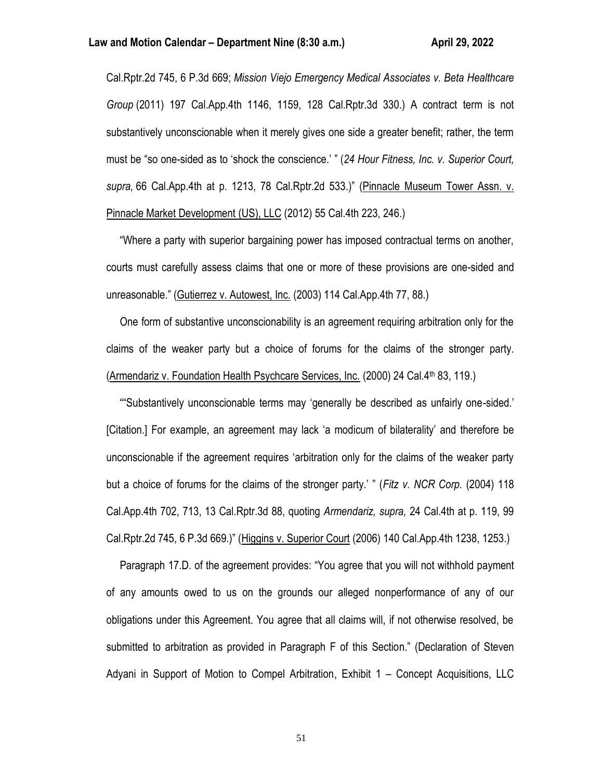Cal.Rptr.2d 745, 6 P.3d 669; *Mission Viejo Emergency Medical Associates v. Beta Healthcare Group* (2011) 197 Cal.App.4th 1146, 1159, 128 Cal.Rptr.3d 330.) A contract term is not substantively unconscionable when it merely gives one side a greater benefit; rather, the term must be "so one-sided as to 'shock the conscience.' " (*24 Hour Fitness, Inc. v. Superior Court, supra,* 66 Cal.App.4th at p. 1213, 78 Cal.Rptr.2d 533.)" (Pinnacle Museum Tower Assn. v. Pinnacle Market Development (US), LLC (2012) 55 Cal.4th 223, 246.)

 "Where a party with superior bargaining power has imposed contractual terms on another, courts must carefully assess claims that one or more of these provisions are one-sided and unreasonable." (Gutierrez v. Autowest, Inc. (2003) 114 Cal.App.4th 77, 88.)

 One form of substantive unconscionability is an agreement requiring arbitration only for the claims of the weaker party but a choice of forums for the claims of the stronger party. (Armendariz v. Foundation Health Psychcare Services, Inc.  $(2000)$  24 Cal. $4<sup>th</sup>$  83, 119.)

 ""Substantively unconscionable terms may 'generally be described as unfairly one-sided.' [Citation.] For example, an agreement may lack 'a modicum of bilaterality' and therefore be unconscionable if the agreement requires 'arbitration only for the claims of the weaker party but a choice of forums for the claims of the stronger party.' " (*Fitz v. NCR Corp.* (2004) 118 Cal.App.4th 702, 713, 13 Cal.Rptr.3d 88, quoting *Armendariz, supra,* 24 Cal.4th at p. 119, 99 Cal.Rptr.2d 745, 6 P.3d 669.)" (Higgins v. Superior Court (2006) 140 Cal.App.4th 1238, 1253.)

 Paragraph 17.D. of the agreement provides: "You agree that you will not withhold payment of any amounts owed to us on the grounds our alleged nonperformance of any of our obligations under this Agreement. You agree that all claims will, if not otherwise resolved, be submitted to arbitration as provided in Paragraph F of this Section." (Declaration of Steven Adyani in Support of Motion to Compel Arbitration, Exhibit 1 – Concept Acquisitions, LLC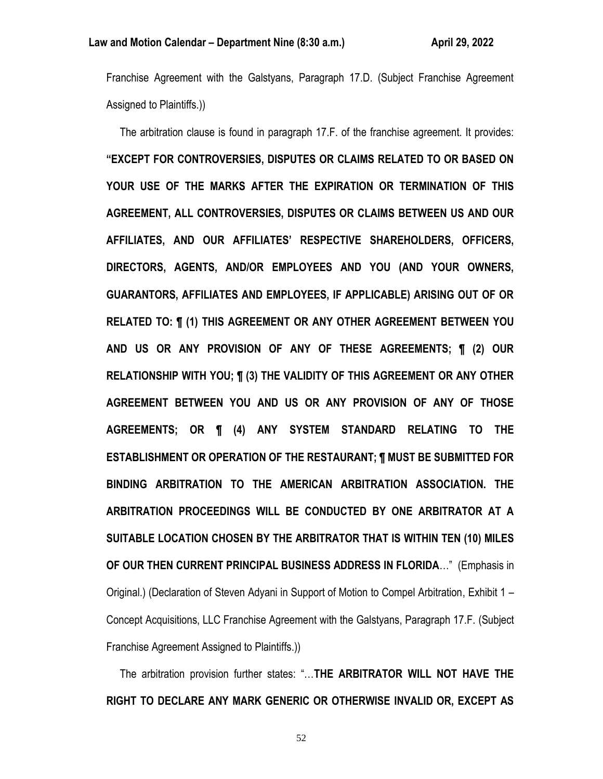Franchise Agreement with the Galstyans, Paragraph 17.D. (Subject Franchise Agreement Assigned to Plaintiffs.))

 The arbitration clause is found in paragraph 17.F. of the franchise agreement. It provides: **"EXCEPT FOR CONTROVERSIES, DISPUTES OR CLAIMS RELATED TO OR BASED ON YOUR USE OF THE MARKS AFTER THE EXPIRATION OR TERMINATION OF THIS AGREEMENT, ALL CONTROVERSIES, DISPUTES OR CLAIMS BETWEEN US AND OUR AFFILIATES, AND OUR AFFILIATES' RESPECTIVE SHAREHOLDERS, OFFICERS, DIRECTORS, AGENTS, AND/OR EMPLOYEES AND YOU (AND YOUR OWNERS, GUARANTORS, AFFILIATES AND EMPLOYEES, IF APPLICABLE) ARISING OUT OF OR RELATED TO: ¶ (1) THIS AGREEMENT OR ANY OTHER AGREEMENT BETWEEN YOU AND US OR ANY PROVISION OF ANY OF THESE AGREEMENTS; ¶ (2) OUR RELATIONSHIP WITH YOU; ¶ (3) THE VALIDITY OF THIS AGREEMENT OR ANY OTHER AGREEMENT BETWEEN YOU AND US OR ANY PROVISION OF ANY OF THOSE AGREEMENTS; OR ¶ (4) ANY SYSTEM STANDARD RELATING TO THE ESTABLISHMENT OR OPERATION OF THE RESTAURANT; ¶ MUST BE SUBMITTED FOR BINDING ARBITRATION TO THE AMERICAN ARBITRATION ASSOCIATION. THE ARBITRATION PROCEEDINGS WILL BE CONDUCTED BY ONE ARBITRATOR AT A SUITABLE LOCATION CHOSEN BY THE ARBITRATOR THAT IS WITHIN TEN (10) MILES OF OUR THEN CURRENT PRINCIPAL BUSINESS ADDRESS IN FLORIDA**…" (Emphasis in Original.) (Declaration of Steven Adyani in Support of Motion to Compel Arbitration, Exhibit 1 – Concept Acquisitions, LLC Franchise Agreement with the Galstyans, Paragraph 17.F. (Subject Franchise Agreement Assigned to Plaintiffs.))

 The arbitration provision further states: "…**THE ARBITRATOR WILL NOT HAVE THE RIGHT TO DECLARE ANY MARK GENERIC OR OTHERWISE INVALID OR, EXCEPT AS**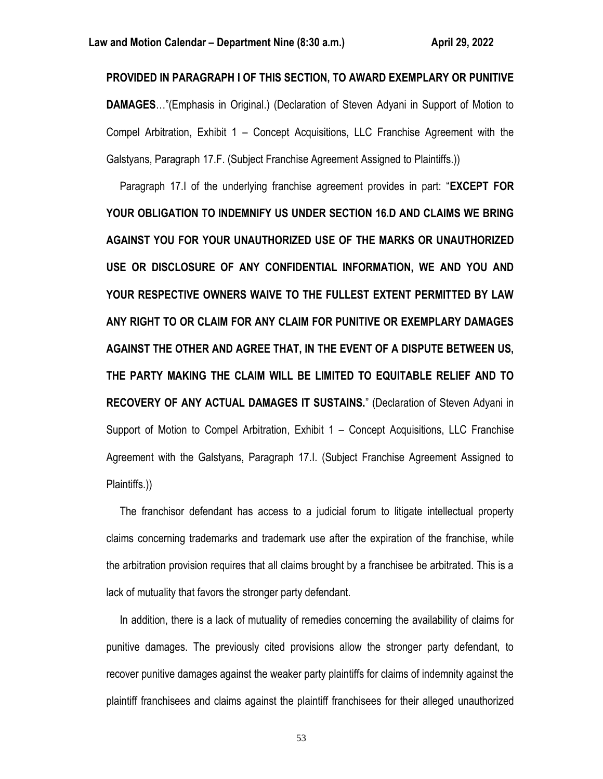**PROVIDED IN PARAGRAPH I OF THIS SECTION, TO AWARD EXEMPLARY OR PUNITIVE DAMAGES**…"(Emphasis in Original.) (Declaration of Steven Adyani in Support of Motion to Compel Arbitration, Exhibit 1 – Concept Acquisitions, LLC Franchise Agreement with the Galstyans, Paragraph 17.F. (Subject Franchise Agreement Assigned to Plaintiffs.))

 Paragraph 17.I of the underlying franchise agreement provides in part: "**EXCEPT FOR YOUR OBLIGATION TO INDEMNIFY US UNDER SECTION 16.D AND CLAIMS WE BRING AGAINST YOU FOR YOUR UNAUTHORIZED USE OF THE MARKS OR UNAUTHORIZED USE OR DISCLOSURE OF ANY CONFIDENTIAL INFORMATION, WE AND YOU AND YOUR RESPECTIVE OWNERS WAIVE TO THE FULLEST EXTENT PERMITTED BY LAW ANY RIGHT TO OR CLAIM FOR ANY CLAIM FOR PUNITIVE OR EXEMPLARY DAMAGES AGAINST THE OTHER AND AGREE THAT, IN THE EVENT OF A DISPUTE BETWEEN US, THE PARTY MAKING THE CLAIM WILL BE LIMITED TO EQUITABLE RELIEF AND TO RECOVERY OF ANY ACTUAL DAMAGES IT SUSTAINS.**" (Declaration of Steven Adyani in Support of Motion to Compel Arbitration, Exhibit 1 – Concept Acquisitions, LLC Franchise Agreement with the Galstyans, Paragraph 17.I. (Subject Franchise Agreement Assigned to Plaintiffs.))

 The franchisor defendant has access to a judicial forum to litigate intellectual property claims concerning trademarks and trademark use after the expiration of the franchise, while the arbitration provision requires that all claims brought by a franchisee be arbitrated. This is a lack of mutuality that favors the stronger party defendant.

 In addition, there is a lack of mutuality of remedies concerning the availability of claims for punitive damages. The previously cited provisions allow the stronger party defendant, to recover punitive damages against the weaker party plaintiffs for claims of indemnity against the plaintiff franchisees and claims against the plaintiff franchisees for their alleged unauthorized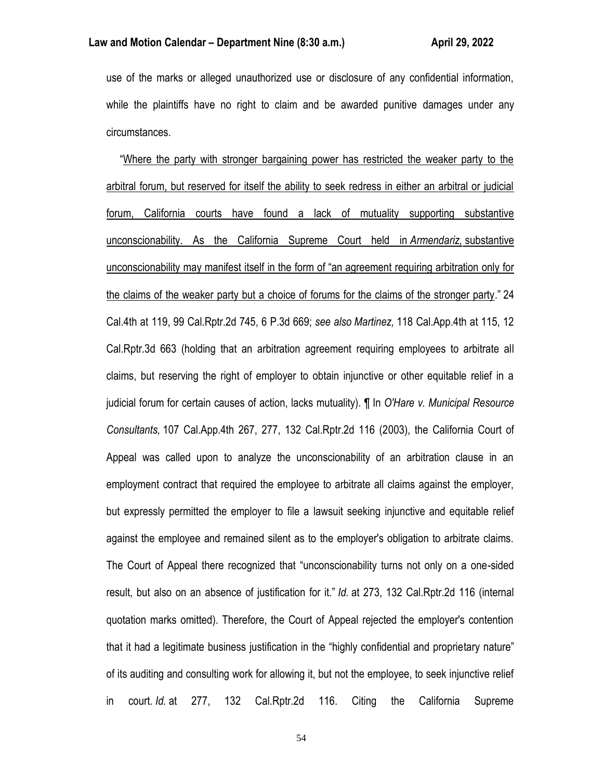use of the marks or alleged unauthorized use or disclosure of any confidential information, while the plaintiffs have no right to claim and be awarded punitive damages under any circumstances.

 "Where the party with stronger bargaining power has restricted the weaker party to the arbitral forum, but reserved for itself the ability to seek redress in either an arbitral or judicial forum, California courts have found a lack of mutuality supporting substantive unconscionability. As the California Supreme Court held in *Armendariz,* substantive unconscionability may manifest itself in the form of "an agreement requiring arbitration only for the claims of the weaker party but a choice of forums for the claims of the stronger party." 24 Cal.4th at 119, 99 Cal.Rptr.2d 745, 6 P.3d 669; *see also Martinez,* 118 Cal.App.4th at 115, 12 Cal.Rptr.3d 663 (holding that an arbitration agreement requiring employees to arbitrate all claims, but reserving the right of employer to obtain injunctive or other equitable relief in a judicial forum for certain causes of action, lacks mutuality). ¶ In *O'Hare v. Municipal Resource Consultants,* 107 Cal.App.4th 267, 277, 132 Cal.Rptr.2d 116 (2003), the California Court of Appeal was called upon to analyze the unconscionability of an arbitration clause in an employment contract that required the employee to arbitrate all claims against the employer, but expressly permitted the employer to file a lawsuit seeking injunctive and equitable relief against the employee and remained silent as to the employer's obligation to arbitrate claims. The Court of Appeal there recognized that "unconscionability turns not only on a one-sided result, but also on an absence of justification for it." *Id.* at 273, 132 Cal.Rptr.2d 116 (internal quotation marks omitted). Therefore, the Court of Appeal rejected the employer's contention that it had a legitimate business justification in the "highly confidential and proprietary nature" of its auditing and consulting work for allowing it, but not the employee, to seek injunctive relief in court. *Id.* at 277, 132 Cal.Rptr.2d 116. Citing the California Supreme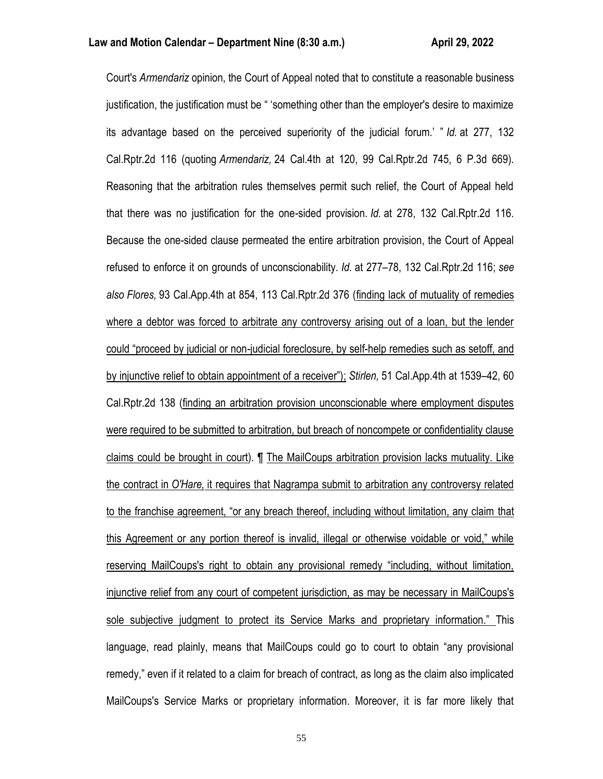Court's *Armendariz* opinion, the Court of Appeal noted that to constitute a reasonable business justification, the justification must be " 'something other than the employer's desire to maximize its advantage based on the perceived superiority of the judicial forum.' " *Id.* at 277, 132 Cal.Rptr.2d 116 (quoting *Armendariz,* 24 Cal.4th at 120, 99 Cal.Rptr.2d 745, 6 P.3d 669). Reasoning that the arbitration rules themselves permit such relief, the Court of Appeal held that there was no justification for the one-sided provision. *Id.* at 278, 132 Cal.Rptr.2d 116. Because the one-sided clause permeated the entire arbitration provision, the Court of Appeal refused to enforce it on grounds of unconscionability. *Id.* at 277–78, 132 Cal.Rptr.2d 116; *see also Flores,* 93 Cal.App.4th at 854, 113 Cal.Rptr.2d 376 (finding lack of mutuality of remedies where a debtor was forced to arbitrate any controversy arising out of a loan, but the lender could "proceed by judicial or non-judicial foreclosure, by self-help remedies such as setoff, and by injunctive relief to obtain appointment of a receiver"); *Stirlen,* 51 Cal.App.4th at 1539–42, 60 Cal.Rptr.2d 138 (finding an arbitration provision unconscionable where employment disputes were required to be submitted to arbitration, but breach of noncompete or confidentiality clause claims could be brought in court). ¶ The MailCoups arbitration provision lacks mutuality. Like the contract in *O'Hare,* it requires that Nagrampa submit to arbitration any controversy related to the franchise agreement, "or any breach thereof, including without limitation, any claim that this Agreement or any portion thereof is invalid, illegal or otherwise voidable or void," while reserving MailCoups's right to obtain any provisional remedy "including, without limitation, injunctive relief from any court of competent jurisdiction, as may be necessary in MailCoups's sole subjective judgment to protect its Service Marks and proprietary information." This language, read plainly, means that MailCoups could go to court to obtain "any provisional remedy," even if it related to a claim for breach of contract, as long as the claim also implicated MailCoups's Service Marks or proprietary information. Moreover, it is far more likely that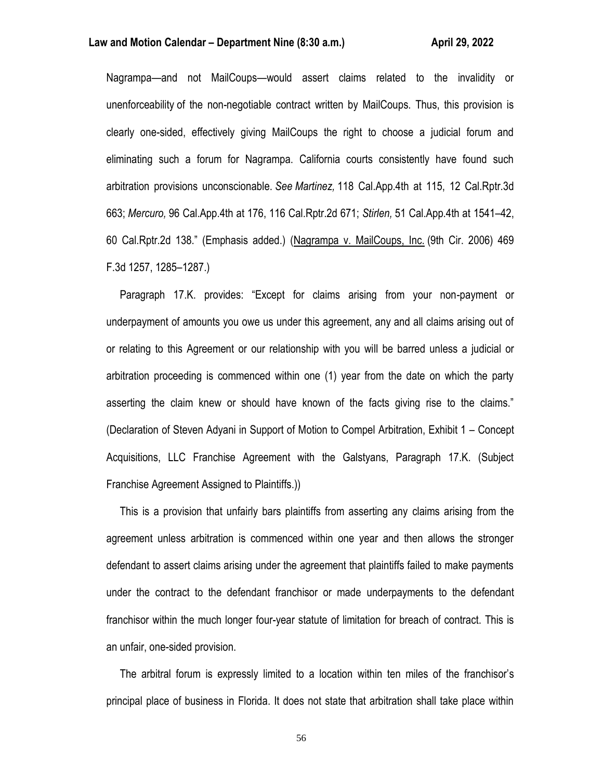### **Law and Motion Calendar – Department Nine (8:30 a.m.) <b>All Accord Accord Accord Accord Accord Accord Accord Accord**

Nagrampa—and not MailCoups—would assert claims related to the invalidity or unenforceability of the non-negotiable contract written by MailCoups. Thus, this provision is clearly one-sided, effectively giving MailCoups the right to choose a judicial forum and eliminating such a forum for Nagrampa. California courts consistently have found such arbitration provisions unconscionable. *See Martinez,* 118 Cal.App.4th at 115, 12 Cal.Rptr.3d 663; *Mercuro,* 96 Cal.App.4th at 176, 116 Cal.Rptr.2d 671; *Stirlen,* 51 Cal.App.4th at 1541–42, 60 Cal.Rptr.2d 138." (Emphasis added.) (Nagrampa v. MailCoups, Inc. (9th Cir. 2006) 469 F.3d 1257, 1285–1287.)

 Paragraph 17.K. provides: "Except for claims arising from your non-payment or underpayment of amounts you owe us under this agreement, any and all claims arising out of or relating to this Agreement or our relationship with you will be barred unless a judicial or arbitration proceeding is commenced within one (1) year from the date on which the party asserting the claim knew or should have known of the facts giving rise to the claims." (Declaration of Steven Adyani in Support of Motion to Compel Arbitration, Exhibit 1 – Concept Acquisitions, LLC Franchise Agreement with the Galstyans, Paragraph 17.K. (Subject Franchise Agreement Assigned to Plaintiffs.))

 This is a provision that unfairly bars plaintiffs from asserting any claims arising from the agreement unless arbitration is commenced within one year and then allows the stronger defendant to assert claims arising under the agreement that plaintiffs failed to make payments under the contract to the defendant franchisor or made underpayments to the defendant franchisor within the much longer four-year statute of limitation for breach of contract. This is an unfair, one-sided provision.

 The arbitral forum is expressly limited to a location within ten miles of the franchisor's principal place of business in Florida. It does not state that arbitration shall take place within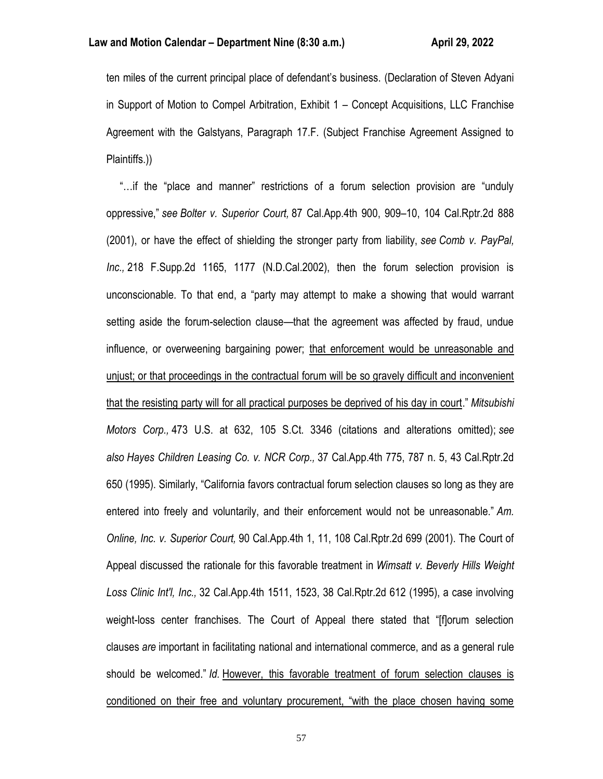ten miles of the current principal place of defendant's business. (Declaration of Steven Adyani in Support of Motion to Compel Arbitration, Exhibit 1 – Concept Acquisitions, LLC Franchise Agreement with the Galstyans, Paragraph 17.F. (Subject Franchise Agreement Assigned to Plaintiffs.))

 "…if the "place and manner" restrictions of a forum selection provision are "unduly oppressive," *see Bolter v. Superior Court,* 87 Cal.App.4th 900, 909–10, 104 Cal.Rptr.2d 888 (2001), or have the effect of shielding the stronger party from liability, *see Comb v. PayPal, Inc.,* 218 F.Supp.2d 1165, 1177 (N.D.Cal.2002), then the forum selection provision is unconscionable. To that end, a "party may attempt to make a showing that would warrant setting aside the forum-selection clause—that the agreement was affected by fraud, undue influence, or overweening bargaining power; that enforcement would be unreasonable and unjust; or that proceedings in the contractual forum will be so gravely difficult and inconvenient that the resisting party will for all practical purposes be deprived of his day in court." *Mitsubishi Motors Corp.,* 473 U.S. at 632, 105 S.Ct. 3346 (citations and alterations omitted); *see also Hayes Children Leasing Co. v. NCR Corp.,* 37 Cal.App.4th 775, 787 n. 5, 43 Cal.Rptr.2d 650 (1995). Similarly, "California favors contractual forum selection clauses so long as they are entered into freely and voluntarily, and their enforcement would not be unreasonable." *Am. Online, Inc. v. Superior Court,* 90 Cal.App.4th 1, 11, 108 Cal.Rptr.2d 699 (2001). The Court of Appeal discussed the rationale for this favorable treatment in *Wimsatt v. Beverly Hills Weight Loss Clinic Int'l, Inc.,* 32 Cal.App.4th 1511, 1523, 38 Cal.Rptr.2d 612 (1995), a case involving weight-loss center franchises. The Court of Appeal there stated that "[f]orum selection clauses *are* important in facilitating national and international commerce, and as a general rule should be welcomed." *Id.* However, this favorable treatment of forum selection clauses is conditioned on their free and voluntary procurement, "with the place chosen having some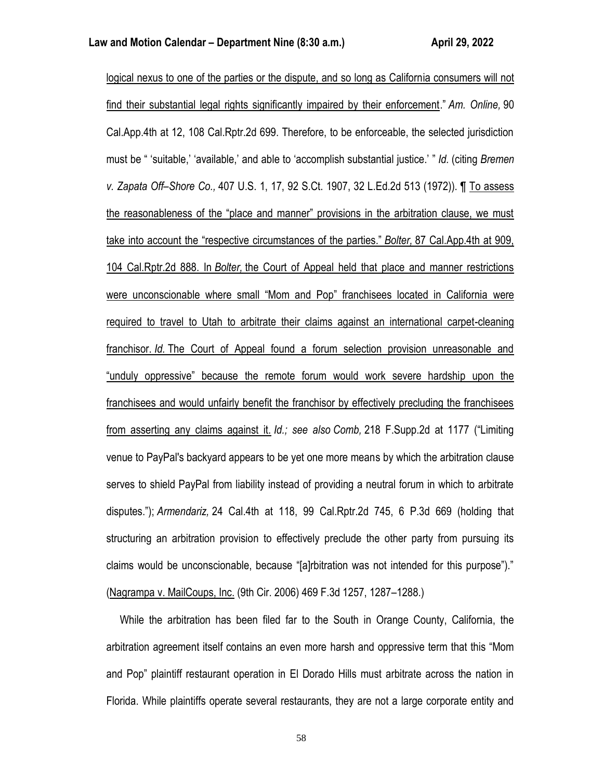logical nexus to one of the parties or the dispute, and so long as California consumers will not find their substantial legal rights significantly impaired by their enforcement." *Am. Online,* 90 Cal.App.4th at 12, 108 Cal.Rptr.2d 699. Therefore, to be enforceable, the selected jurisdiction must be " 'suitable,' 'available,' and able to 'accomplish substantial justice.' " *Id.* (citing *Bremen v. Zapata Off–Shore Co.,* 407 U.S. 1, 17, 92 S.Ct. 1907, 32 L.Ed.2d 513 (1972)). ¶ To assess the reasonableness of the "place and manner" provisions in the arbitration clause, we must take into account the "respective circumstances of the parties." *Bolter,* 87 Cal.App.4th at 909, 104 Cal.Rptr.2d 888. In *Bolter,* the Court of Appeal held that place and manner restrictions were unconscionable where small "Mom and Pop" franchisees located in California were required to travel to Utah to arbitrate their claims against an international carpet-cleaning franchisor. *Id.* The Court of Appeal found a forum selection provision unreasonable and "unduly oppressive" because the remote forum would work severe hardship upon the franchisees and would unfairly benefit the franchisor by effectively precluding the franchisees from asserting any claims against it. *Id.; see also Comb,* 218 F.Supp.2d at 1177 ("Limiting venue to PayPal's backyard appears to be yet one more means by which the arbitration clause serves to shield PayPal from liability instead of providing a neutral forum in which to arbitrate disputes."); *Armendariz,* 24 Cal.4th at 118, 99 Cal.Rptr.2d 745, 6 P.3d 669 (holding that structuring an arbitration provision to effectively preclude the other party from pursuing its claims would be unconscionable, because "[a]rbitration was not intended for this purpose")." (Nagrampa v. MailCoups, Inc. (9th Cir. 2006) 469 F.3d 1257, 1287–1288.)

 While the arbitration has been filed far to the South in Orange County, California, the arbitration agreement itself contains an even more harsh and oppressive term that this "Mom and Pop" plaintiff restaurant operation in El Dorado Hills must arbitrate across the nation in Florida. While plaintiffs operate several restaurants, they are not a large corporate entity and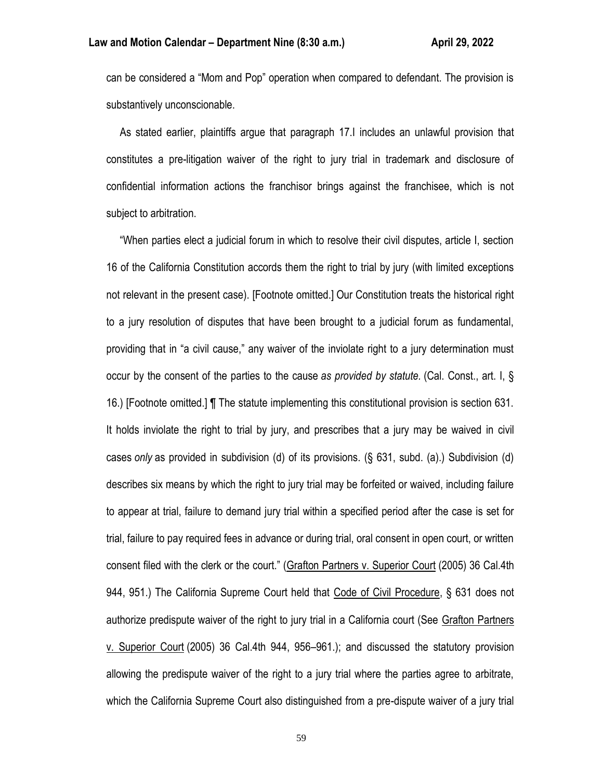can be considered a "Mom and Pop" operation when compared to defendant. The provision is substantively unconscionable.

 As stated earlier, plaintiffs argue that paragraph 17.I includes an unlawful provision that constitutes a pre-litigation waiver of the right to jury trial in trademark and disclosure of confidential information actions the franchisor brings against the franchisee, which is not subject to arbitration.

 "When parties elect a judicial forum in which to resolve their civil disputes, article I, section 16 of the California Constitution accords them the right to trial by jury (with limited exceptions not relevant in the present case). [Footnote omitted.] Our Constitution treats the historical right to a jury resolution of disputes that have been brought to a judicial forum as fundamental, providing that in "a civil cause," any waiver of the inviolate right to a jury determination must occur by the consent of the parties to the cause *as provided by statute.* (Cal. Const., art. I, § 16.) [Footnote omitted.] ¶ The statute implementing this constitutional provision is section 631. It holds inviolate the right to trial by jury, and prescribes that a jury may be waived in civil cases *only* as provided in subdivision (d) of its provisions. (§ 631, subd. (a).) Subdivision (d) describes six means by which the right to jury trial may be forfeited or waived, including failure to appear at trial, failure to demand jury trial within a specified period after the case is set for trial, failure to pay required fees in advance or during trial, oral consent in open court, or written consent filed with the clerk or the court." (Grafton Partners v. Superior Court (2005) 36 Cal.4th 944, 951.) The California Supreme Court held that Code of Civil Procedure, § 631 does not authorize predispute waiver of the right to jury trial in a California court (See Grafton Partners v. Superior Court (2005) 36 Cal.4th 944, 956–961.); and discussed the statutory provision allowing the predispute waiver of the right to a jury trial where the parties agree to arbitrate, which the California Supreme Court also distinguished from a pre-dispute waiver of a jury trial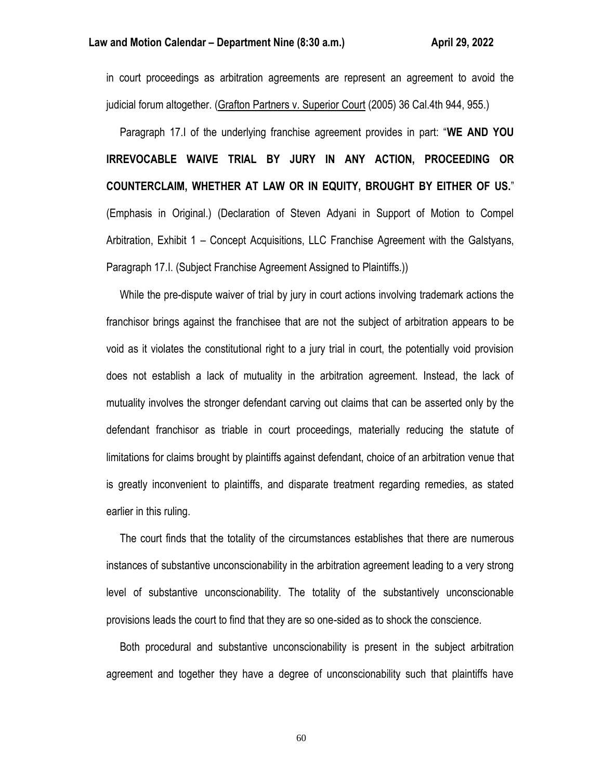in court proceedings as arbitration agreements are represent an agreement to avoid the judicial forum altogether. (Grafton Partners v. Superior Court (2005) 36 Cal.4th 944, 955.)

 Paragraph 17.I of the underlying franchise agreement provides in part: "**WE AND YOU IRREVOCABLE WAIVE TRIAL BY JURY IN ANY ACTION, PROCEEDING OR COUNTERCLAIM, WHETHER AT LAW OR IN EQUITY, BROUGHT BY EITHER OF US.**" (Emphasis in Original.) (Declaration of Steven Adyani in Support of Motion to Compel Arbitration, Exhibit 1 – Concept Acquisitions, LLC Franchise Agreement with the Galstyans, Paragraph 17.I. (Subject Franchise Agreement Assigned to Plaintiffs.))

 While the pre-dispute waiver of trial by jury in court actions involving trademark actions the franchisor brings against the franchisee that are not the subject of arbitration appears to be void as it violates the constitutional right to a jury trial in court, the potentially void provision does not establish a lack of mutuality in the arbitration agreement. Instead, the lack of mutuality involves the stronger defendant carving out claims that can be asserted only by the defendant franchisor as triable in court proceedings, materially reducing the statute of limitations for claims brought by plaintiffs against defendant, choice of an arbitration venue that is greatly inconvenient to plaintiffs, and disparate treatment regarding remedies, as stated earlier in this ruling.

 The court finds that the totality of the circumstances establishes that there are numerous instances of substantive unconscionability in the arbitration agreement leading to a very strong level of substantive unconscionability. The totality of the substantively unconscionable provisions leads the court to find that they are so one-sided as to shock the conscience.

 Both procedural and substantive unconscionability is present in the subject arbitration agreement and together they have a degree of unconscionability such that plaintiffs have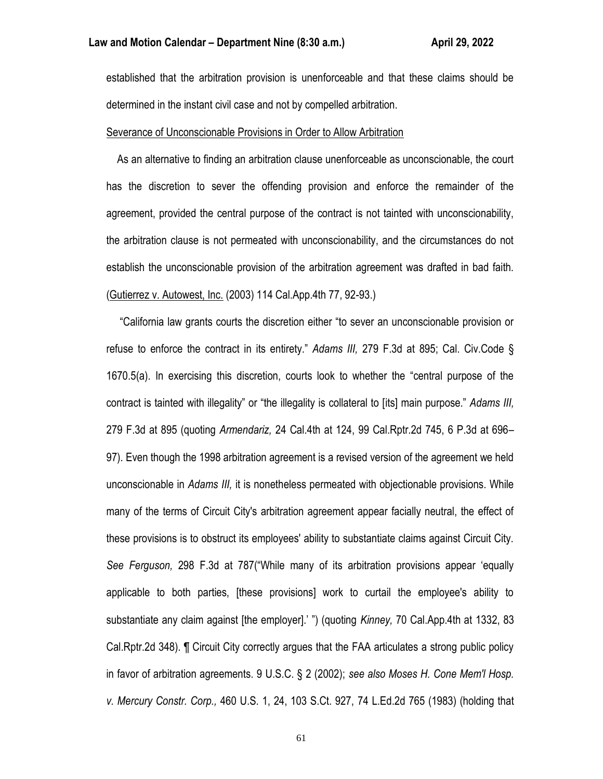established that the arbitration provision is unenforceable and that these claims should be determined in the instant civil case and not by compelled arbitration.

#### Severance of Unconscionable Provisions in Order to Allow Arbitration

 As an alternative to finding an arbitration clause unenforceable as unconscionable, the court has the discretion to sever the offending provision and enforce the remainder of the agreement, provided the central purpose of the contract is not tainted with unconscionability, the arbitration clause is not permeated with unconscionability, and the circumstances do not establish the unconscionable provision of the arbitration agreement was drafted in bad faith. (Gutierrez v. Autowest, Inc. (2003) 114 Cal.App.4th 77, 92-93.)

 "California law grants courts the discretion either "to sever an unconscionable provision or refuse to enforce the contract in its entirety." *Adams III,* 279 F.3d at 895; Cal. Civ.Code § 1670.5(a). In exercising this discretion, courts look to whether the "central purpose of the contract is tainted with illegality" or "the illegality is collateral to [its] main purpose." *Adams III,* 279 F.3d at 895 (quoting *Armendariz,* 24 Cal.4th at 124, 99 Cal.Rptr.2d 745, 6 P.3d at 696– 97). Even though the 1998 arbitration agreement is a revised version of the agreement we held unconscionable in *Adams III,* it is nonetheless permeated with objectionable provisions. While many of the terms of Circuit City's arbitration agreement appear facially neutral, the effect of these provisions is to obstruct its employees' ability to substantiate claims against Circuit City. *See Ferguson,* 298 F.3d at 787("While many of its arbitration provisions appear 'equally applicable to both parties, [these provisions] work to curtail the employee's ability to substantiate any claim against [the employer].' ") (quoting *Kinney,* 70 Cal.App.4th at 1332, 83 Cal.Rptr.2d 348). ¶ Circuit City correctly argues that the FAA articulates a strong public policy in favor of arbitration agreements. 9 U.S.C. § 2 (2002); *see also Moses H. Cone Mem'l Hosp. v. Mercury Constr. Corp.,* 460 U.S. 1, 24, 103 S.Ct. 927, 74 L.Ed.2d 765 (1983) (holding that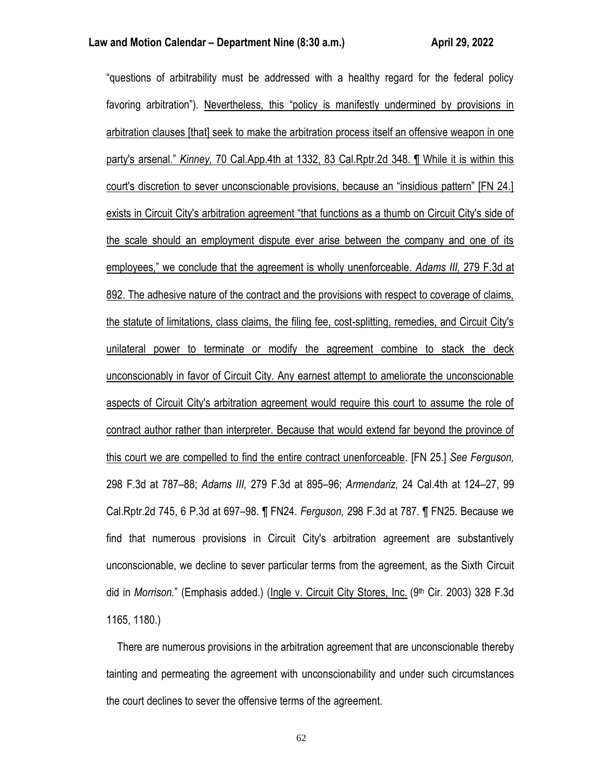"questions of arbitrability must be addressed with a healthy regard for the federal policy favoring arbitration"). Nevertheless, this "policy is manifestly undermined by provisions in arbitration clauses [that] seek to make the arbitration process itself an offensive weapon in one party's arsenal." *Kinney,* 70 Cal.App.4th at 1332, 83 Cal.Rptr.2d 348. ¶ While it is within this court's discretion to sever unconscionable provisions, because an "insidious pattern" [FN 24.] exists in Circuit City's arbitration agreement "that functions as a thumb on Circuit City's side of the scale should an employment dispute ever arise between the company and one of its employees," we conclude that the agreement is wholly unenforceable. *Adams III,* 279 F.3d at 892. The adhesive nature of the contract and the provisions with respect to coverage of claims, the statute of limitations, class claims, the filing fee, cost-splitting, remedies, and Circuit City's unilateral power to terminate or modify the agreement combine to stack the deck unconscionably in favor of Circuit City. Any earnest attempt to ameliorate the unconscionable aspects of Circuit City's arbitration agreement would require this court to assume the role of contract author rather than interpreter. Because that would extend far beyond the province of this court we are compelled to find the entire contract unenforceable. [FN 25.] *See Ferguson,* 298 F.3d at 787–88; *Adams III,* 279 F.3d at 895–96; *Armendariz,* 24 Cal.4th at 124–27, 99 Cal.Rptr.2d 745, 6 P.3d at 697–98. ¶ FN24. *Ferguson,* 298 F.3d at 787. ¶ FN25. Because we find that numerous provisions in Circuit City's arbitration agreement are substantively unconscionable, we decline to sever particular terms from the agreement, as the Sixth Circuit did in *Morrison.*" (Emphasis added.) (Ingle v. Circuit City Stores, Inc. (9th Cir. 2003) 328 F.3d 1165, 1180.)

 There are numerous provisions in the arbitration agreement that are unconscionable thereby tainting and permeating the agreement with unconscionability and under such circumstances the court declines to sever the offensive terms of the agreement.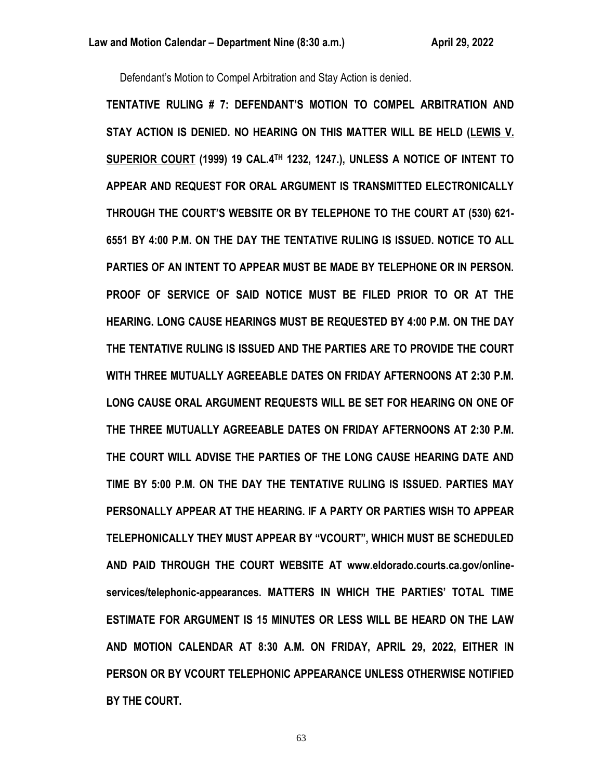Defendant's Motion to Compel Arbitration and Stay Action is denied.

**TENTATIVE RULING # 7: DEFENDANT'S MOTION TO COMPEL ARBITRATION AND STAY ACTION IS DENIED. NO HEARING ON THIS MATTER WILL BE HELD (LEWIS V. SUPERIOR COURT (1999) 19 CAL.4TH 1232, 1247.), UNLESS A NOTICE OF INTENT TO APPEAR AND REQUEST FOR ORAL ARGUMENT IS TRANSMITTED ELECTRONICALLY THROUGH THE COURT'S WEBSITE OR BY TELEPHONE TO THE COURT AT (530) 621- 6551 BY 4:00 P.M. ON THE DAY THE TENTATIVE RULING IS ISSUED. NOTICE TO ALL PARTIES OF AN INTENT TO APPEAR MUST BE MADE BY TELEPHONE OR IN PERSON. PROOF OF SERVICE OF SAID NOTICE MUST BE FILED PRIOR TO OR AT THE HEARING. LONG CAUSE HEARINGS MUST BE REQUESTED BY 4:00 P.M. ON THE DAY THE TENTATIVE RULING IS ISSUED AND THE PARTIES ARE TO PROVIDE THE COURT WITH THREE MUTUALLY AGREEABLE DATES ON FRIDAY AFTERNOONS AT 2:30 P.M. LONG CAUSE ORAL ARGUMENT REQUESTS WILL BE SET FOR HEARING ON ONE OF THE THREE MUTUALLY AGREEABLE DATES ON FRIDAY AFTERNOONS AT 2:30 P.M. THE COURT WILL ADVISE THE PARTIES OF THE LONG CAUSE HEARING DATE AND TIME BY 5:00 P.M. ON THE DAY THE TENTATIVE RULING IS ISSUED. PARTIES MAY PERSONALLY APPEAR AT THE HEARING. IF A PARTY OR PARTIES WISH TO APPEAR TELEPHONICALLY THEY MUST APPEAR BY "VCOURT", WHICH MUST BE SCHEDULED AND PAID THROUGH THE COURT WEBSITE AT www.eldorado.courts.ca.gov/onlineservices/telephonic-appearances. MATTERS IN WHICH THE PARTIES' TOTAL TIME ESTIMATE FOR ARGUMENT IS 15 MINUTES OR LESS WILL BE HEARD ON THE LAW AND MOTION CALENDAR AT 8:30 A.M. ON FRIDAY, APRIL 29, 2022, EITHER IN PERSON OR BY VCOURT TELEPHONIC APPEARANCE UNLESS OTHERWISE NOTIFIED BY THE COURT.**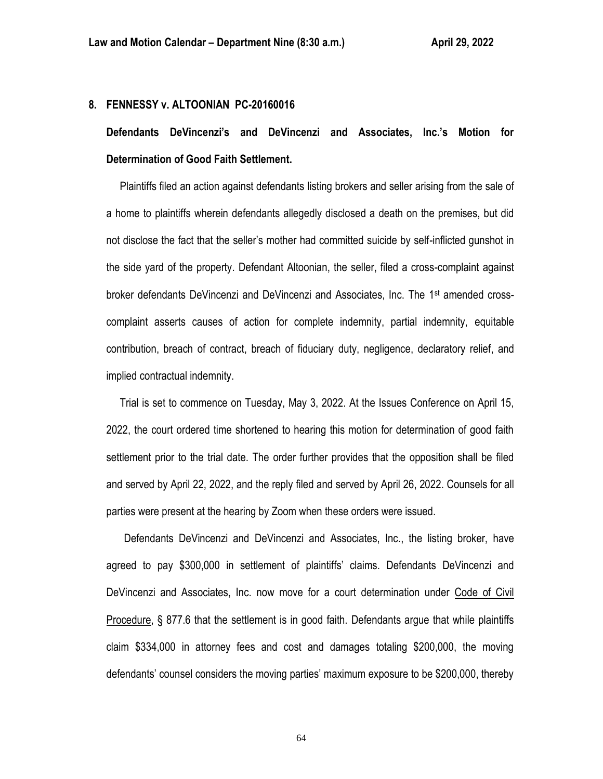### **8. FENNESSY v. ALTOONIAN PC-20160016**

**Defendants DeVincenzi's and DeVincenzi and Associates, Inc.'s Motion for Determination of Good Faith Settlement.**

 Plaintiffs filed an action against defendants listing brokers and seller arising from the sale of a home to plaintiffs wherein defendants allegedly disclosed a death on the premises, but did not disclose the fact that the seller's mother had committed suicide by self-inflicted gunshot in the side yard of the property. Defendant Altoonian, the seller, filed a cross-complaint against broker defendants DeVincenzi and DeVincenzi and Associates, Inc. The 1st amended crosscomplaint asserts causes of action for complete indemnity, partial indemnity, equitable contribution, breach of contract, breach of fiduciary duty, negligence, declaratory relief, and implied contractual indemnity.

 Trial is set to commence on Tuesday, May 3, 2022. At the Issues Conference on April 15, 2022, the court ordered time shortened to hearing this motion for determination of good faith settlement prior to the trial date. The order further provides that the opposition shall be filed and served by April 22, 2022, and the reply filed and served by April 26, 2022. Counsels for all parties were present at the hearing by Zoom when these orders were issued.

Defendants DeVincenzi and DeVincenzi and Associates, Inc., the listing broker, have agreed to pay \$300,000 in settlement of plaintiffs' claims. Defendants DeVincenzi and DeVincenzi and Associates, Inc. now move for a court determination under Code of Civil Procedure, § 877.6 that the settlement is in good faith. Defendants argue that while plaintiffs claim \$334,000 in attorney fees and cost and damages totaling \$200,000, the moving defendants' counsel considers the moving parties' maximum exposure to be \$200,000, thereby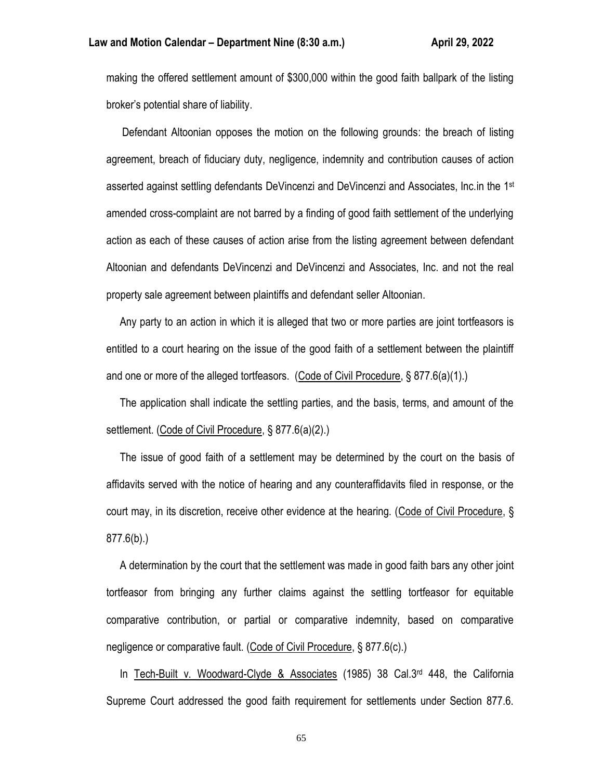making the offered settlement amount of \$300,000 within the good faith ballpark of the listing broker's potential share of liability.

 Defendant Altoonian opposes the motion on the following grounds: the breach of listing agreement, breach of fiduciary duty, negligence, indemnity and contribution causes of action asserted against settling defendants DeVincenzi and DeVincenzi and Associates, Inc.in the 1st amended cross-complaint are not barred by a finding of good faith settlement of the underlying action as each of these causes of action arise from the listing agreement between defendant Altoonian and defendants DeVincenzi and DeVincenzi and Associates, Inc. and not the real property sale agreement between plaintiffs and defendant seller Altoonian.

 Any party to an action in which it is alleged that two or more parties are joint tortfeasors is entitled to a court hearing on the issue of the good faith of a settlement between the plaintiff and one or more of the alleged tortfeasors. (Code of Civil Procedure, § 877.6(a)(1).)

 The application shall indicate the settling parties, and the basis, terms, and amount of the settlement. (Code of Civil Procedure, § 877.6(a)(2).)

 The issue of good faith of a settlement may be determined by the court on the basis of affidavits served with the notice of hearing and any counteraffidavits filed in response, or the court may, in its discretion, receive other evidence at the hearing. (Code of Civil Procedure, § 877.6(b).)

 A determination by the court that the settlement was made in good faith bars any other joint tortfeasor from bringing any further claims against the settling tortfeasor for equitable comparative contribution, or partial or comparative indemnity, based on comparative negligence or comparative fault. (Code of Civil Procedure, § 877.6(c).)

 In Tech-Built v. Woodward-Clyde & Associates (1985) 38 Cal.3rd 448, the California Supreme Court addressed the good faith requirement for settlements under Section 877.6.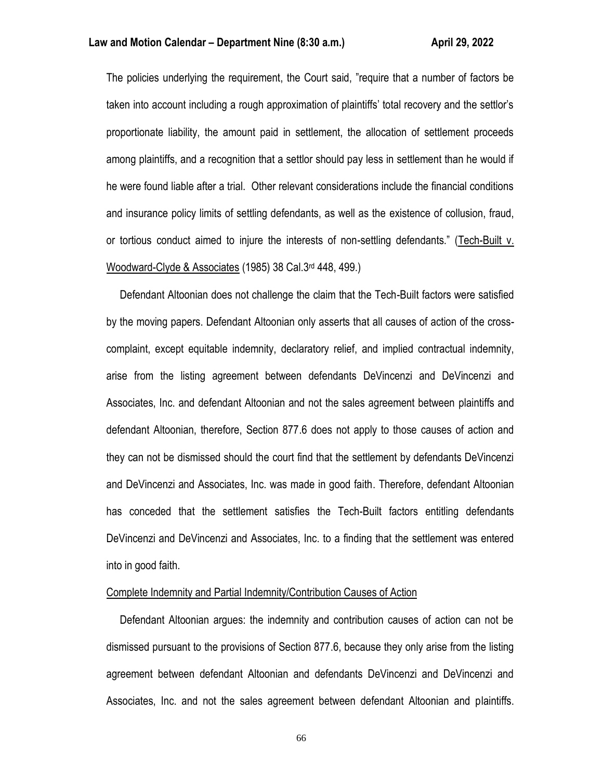The policies underlying the requirement, the Court said, "require that a number of factors be taken into account including a rough approximation of plaintiffs' total recovery and the settlor's proportionate liability, the amount paid in settlement, the allocation of settlement proceeds among plaintiffs, and a recognition that a settlor should pay less in settlement than he would if he were found liable after a trial. Other relevant considerations include the financial conditions and insurance policy limits of settling defendants, as well as the existence of collusion, fraud, or tortious conduct aimed to injure the interests of non-settling defendants." (Tech-Built v. Woodward-Clyde & Associates (1985) 38 Cal.3rd 448, 499.)

 Defendant Altoonian does not challenge the claim that the Tech-Built factors were satisfied by the moving papers. Defendant Altoonian only asserts that all causes of action of the crosscomplaint, except equitable indemnity, declaratory relief, and implied contractual indemnity, arise from the listing agreement between defendants DeVincenzi and DeVincenzi and Associates, Inc. and defendant Altoonian and not the sales agreement between plaintiffs and defendant Altoonian, therefore, Section 877.6 does not apply to those causes of action and they can not be dismissed should the court find that the settlement by defendants DeVincenzi and DeVincenzi and Associates, Inc. was made in good faith. Therefore, defendant Altoonian has conceded that the settlement satisfies the Tech-Built factors entitling defendants DeVincenzi and DeVincenzi and Associates, Inc. to a finding that the settlement was entered into in good faith.

## Complete Indemnity and Partial Indemnity/Contribution Causes of Action

 Defendant Altoonian argues: the indemnity and contribution causes of action can not be dismissed pursuant to the provisions of Section 877.6, because they only arise from the listing agreement between defendant Altoonian and defendants DeVincenzi and DeVincenzi and Associates, Inc. and not the sales agreement between defendant Altoonian and plaintiffs.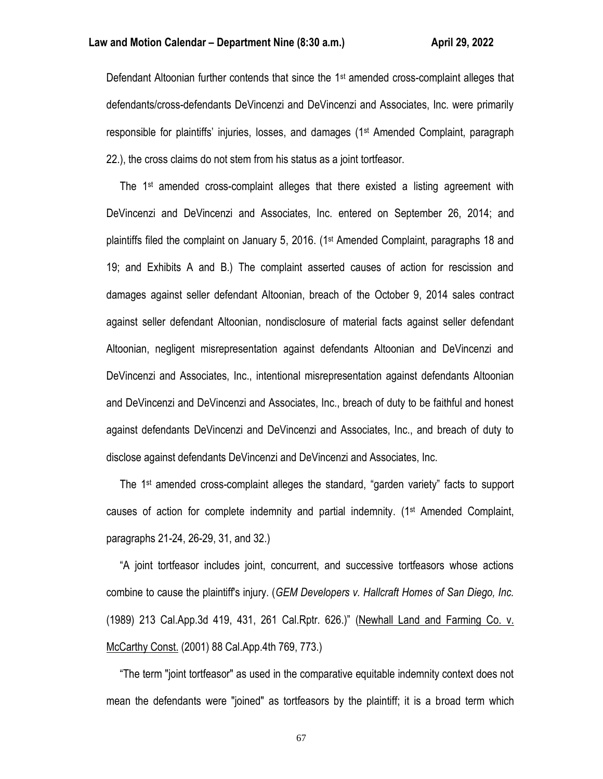Defendant Altoonian further contends that since the 1<sup>st</sup> amended cross-complaint alleges that defendants/cross-defendants DeVincenzi and DeVincenzi and Associates, Inc. were primarily responsible for plaintiffs' injuries, losses, and damages (1st Amended Complaint, paragraph 22.), the cross claims do not stem from his status as a joint tortfeasor.

The  $1<sup>st</sup>$  amended cross-complaint alleges that there existed a listing agreement with DeVincenzi and DeVincenzi and Associates, Inc. entered on September 26, 2014; and plaintiffs filed the complaint on January 5, 2016. (1st Amended Complaint, paragraphs 18 and 19; and Exhibits A and B.) The complaint asserted causes of action for rescission and damages against seller defendant Altoonian, breach of the October 9, 2014 sales contract against seller defendant Altoonian, nondisclosure of material facts against seller defendant Altoonian, negligent misrepresentation against defendants Altoonian and DeVincenzi and DeVincenzi and Associates, Inc., intentional misrepresentation against defendants Altoonian and DeVincenzi and DeVincenzi and Associates, Inc., breach of duty to be faithful and honest against defendants DeVincenzi and DeVincenzi and Associates, Inc., and breach of duty to disclose against defendants DeVincenzi and DeVincenzi and Associates, Inc.

The 1<sup>st</sup> amended cross-complaint alleges the standard, "garden variety" facts to support causes of action for complete indemnity and partial indemnity. (1st Amended Complaint, paragraphs 21-24, 26-29, 31, and 32.)

 "A joint tortfeasor includes joint, concurrent, and successive tortfeasors whose actions combine to cause the plaintiff's injury. (*GEM Developers v. Hallcraft Homes of San Diego, Inc.* (1989) 213 Cal.App.3d 419, 431, 261 Cal.Rptr. 626.)" (Newhall Land and Farming Co. v. McCarthy Const. (2001) 88 Cal.App.4th 769, 773.)

 "The term "joint tortfeasor" as used in the comparative equitable indemnity context does not mean the defendants were "joined" as tortfeasors by the plaintiff; it is a broad term which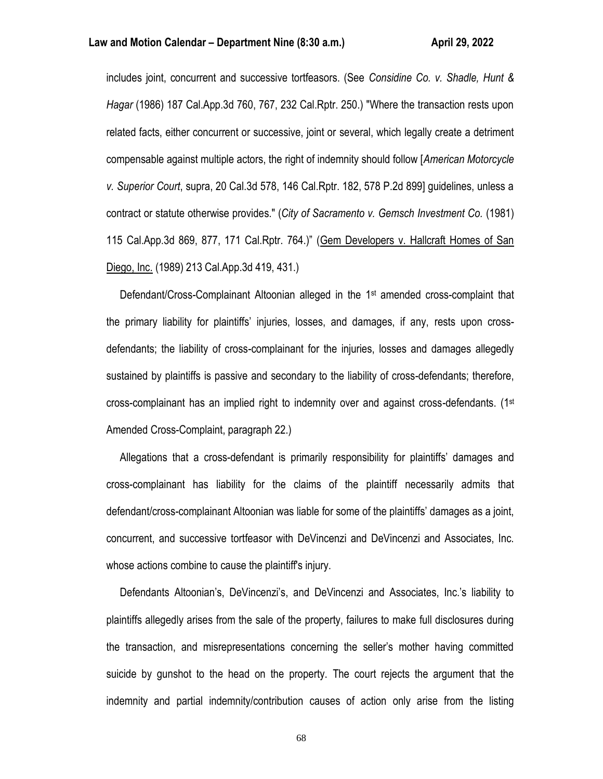includes joint, concurrent and successive tortfeasors. (See *Considine Co. v. Shadle, Hunt & Hagar* (1986) 187 Cal.App.3d 760, 767, 232 Cal.Rptr. 250.) "Where the transaction rests upon related facts, either concurrent or successive, joint or several, which legally create a detriment compensable against multiple actors, the right of indemnity should follow [*American Motorcycle v. Superior Court*, supra, 20 Cal.3d 578, 146 Cal.Rptr. 182, 578 P.2d 899] guidelines, unless a contract or statute otherwise provides." (*City of Sacramento v. Gemsch Investment Co.* (1981) 115 Cal.App.3d 869, 877, 171 Cal.Rptr. 764.)" (Gem Developers v. Hallcraft Homes of San Diego, Inc. (1989) 213 Cal.App.3d 419, 431.)

Defendant/Cross-Complainant Altoonian alleged in the 1<sup>st</sup> amended cross-complaint that the primary liability for plaintiffs' injuries, losses, and damages, if any, rests upon crossdefendants; the liability of cross-complainant for the injuries, losses and damages allegedly sustained by plaintiffs is passive and secondary to the liability of cross-defendants; therefore, cross-complainant has an implied right to indemnity over and against cross-defendants. ( $1<sup>st</sup>$ Amended Cross-Complaint, paragraph 22.)

 Allegations that a cross-defendant is primarily responsibility for plaintiffs' damages and cross-complainant has liability for the claims of the plaintiff necessarily admits that defendant/cross-complainant Altoonian was liable for some of the plaintiffs' damages as a joint, concurrent, and successive tortfeasor with DeVincenzi and DeVincenzi and Associates, Inc. whose actions combine to cause the plaintiff's injury.

 Defendants Altoonian's, DeVincenzi's, and DeVincenzi and Associates, Inc.'s liability to plaintiffs allegedly arises from the sale of the property, failures to make full disclosures during the transaction, and misrepresentations concerning the seller's mother having committed suicide by gunshot to the head on the property. The court rejects the argument that the indemnity and partial indemnity/contribution causes of action only arise from the listing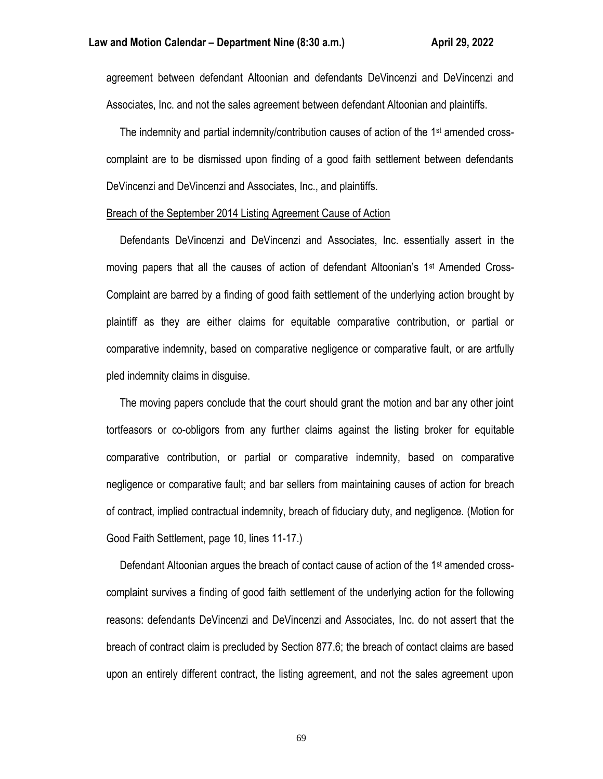agreement between defendant Altoonian and defendants DeVincenzi and DeVincenzi and Associates, Inc. and not the sales agreement between defendant Altoonian and plaintiffs.

 The indemnity and partial indemnity/contribution causes of action of the 1st amended crosscomplaint are to be dismissed upon finding of a good faith settlement between defendants DeVincenzi and DeVincenzi and Associates, Inc., and plaintiffs.

#### Breach of the September 2014 Listing Agreement Cause of Action

 Defendants DeVincenzi and DeVincenzi and Associates, Inc. essentially assert in the moving papers that all the causes of action of defendant Altoonian's 1st Amended Cross-Complaint are barred by a finding of good faith settlement of the underlying action brought by plaintiff as they are either claims for equitable comparative contribution, or partial or comparative indemnity, based on comparative negligence or comparative fault, or are artfully pled indemnity claims in disguise.

 The moving papers conclude that the court should grant the motion and bar any other joint tortfeasors or co-obligors from any further claims against the listing broker for equitable comparative contribution, or partial or comparative indemnity, based on comparative negligence or comparative fault; and bar sellers from maintaining causes of action for breach of contract, implied contractual indemnity, breach of fiduciary duty, and negligence. (Motion for Good Faith Settlement, page 10, lines 11-17.)

 Defendant Altoonian argues the breach of contact cause of action of the 1st amended crosscomplaint survives a finding of good faith settlement of the underlying action for the following reasons: defendants DeVincenzi and DeVincenzi and Associates, Inc. do not assert that the breach of contract claim is precluded by Section 877.6; the breach of contact claims are based upon an entirely different contract, the listing agreement, and not the sales agreement upon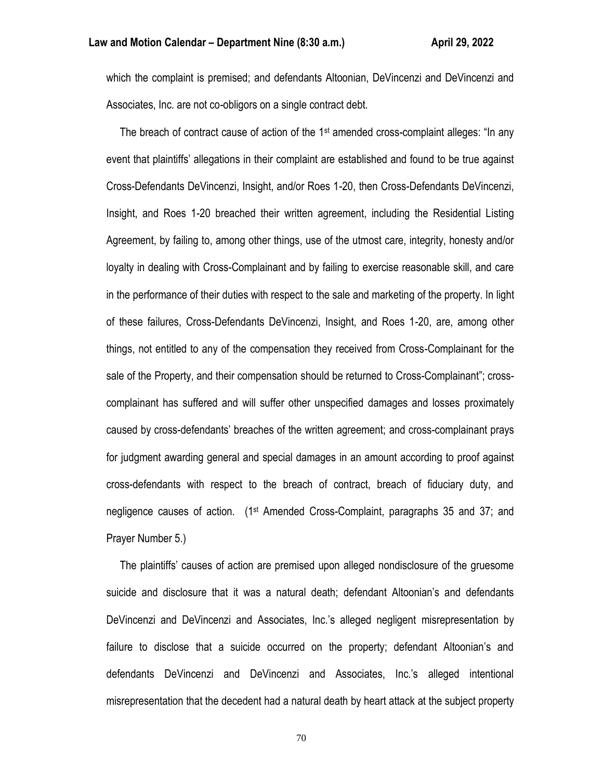which the complaint is premised; and defendants Altoonian, DeVincenzi and DeVincenzi and Associates, Inc. are not co-obligors on a single contract debt.

The breach of contract cause of action of the 1<sup>st</sup> amended cross-complaint alleges: "In any event that plaintiffs' allegations in their complaint are established and found to be true against Cross-Defendants DeVincenzi, Insight, and/or Roes 1-20, then Cross-Defendants DeVincenzi, Insight, and Roes 1-20 breached their written agreement, including the Residential Listing Agreement, by failing to, among other things, use of the utmost care, integrity, honesty and/or loyalty in dealing with Cross-Complainant and by failing to exercise reasonable skill, and care in the performance of their duties with respect to the sale and marketing of the property. In light of these failures, Cross-Defendants DeVincenzi, Insight, and Roes 1-20, are, among other things, not entitled to any of the compensation they received from Cross-Complainant for the sale of the Property, and their compensation should be returned to Cross-Complainant"; crosscomplainant has suffered and will suffer other unspecified damages and losses proximately caused by cross-defendants' breaches of the written agreement; and cross-complainant prays for judgment awarding general and special damages in an amount according to proof against cross-defendants with respect to the breach of contract, breach of fiduciary duty, and negligence causes of action. (1st Amended Cross-Complaint, paragraphs 35 and 37; and Prayer Number 5.)

 The plaintiffs' causes of action are premised upon alleged nondisclosure of the gruesome suicide and disclosure that it was a natural death; defendant Altoonian's and defendants DeVincenzi and DeVincenzi and Associates, Inc.'s alleged negligent misrepresentation by failure to disclose that a suicide occurred on the property; defendant Altoonian's and defendants DeVincenzi and DeVincenzi and Associates, Inc.'s alleged intentional misrepresentation that the decedent had a natural death by heart attack at the subject property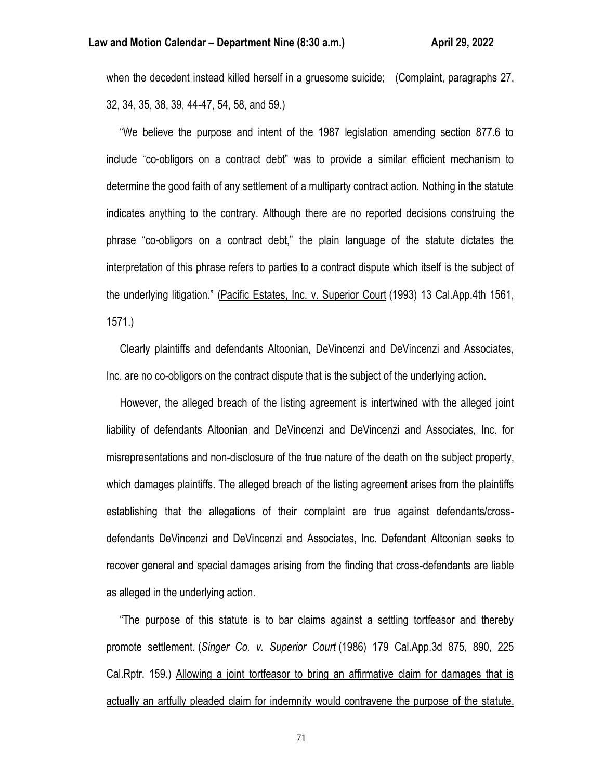when the decedent instead killed herself in a gruesome suicide; (Complaint, paragraphs 27, 32, 34, 35, 38, 39, 44-47, 54, 58, and 59.)

 "We believe the purpose and intent of the 1987 legislation amending section 877.6 to include "co-obligors on a contract debt" was to provide a similar efficient mechanism to determine the good faith of any settlement of a multiparty contract action. Nothing in the statute indicates anything to the contrary. Although there are no reported decisions construing the phrase "co-obligors on a contract debt," the plain language of the statute dictates the interpretation of this phrase refers to parties to a contract dispute which itself is the subject of the underlying litigation." (Pacific Estates, Inc. v. Superior Court (1993) 13 Cal.App.4th 1561, 1571.)

 Clearly plaintiffs and defendants Altoonian, DeVincenzi and DeVincenzi and Associates, Inc. are no co-obligors on the contract dispute that is the subject of the underlying action.

 However, the alleged breach of the listing agreement is intertwined with the alleged joint liability of defendants Altoonian and DeVincenzi and DeVincenzi and Associates, Inc. for misrepresentations and non-disclosure of the true nature of the death on the subject property, which damages plaintiffs. The alleged breach of the listing agreement arises from the plaintiffs establishing that the allegations of their complaint are true against defendants/crossdefendants DeVincenzi and DeVincenzi and Associates, Inc. Defendant Altoonian seeks to recover general and special damages arising from the finding that cross-defendants are liable as alleged in the underlying action.

 "The purpose of this statute is to bar claims against a settling tortfeasor and thereby promote settlement. (*Singer Co. v. Superior Court* (1986) 179 Cal.App.3d 875, 890, 225 Cal.Rptr. 159.) Allowing a joint tortfeasor to bring an affirmative claim for damages that is actually an artfully pleaded claim for indemnity would contravene the purpose of the statute.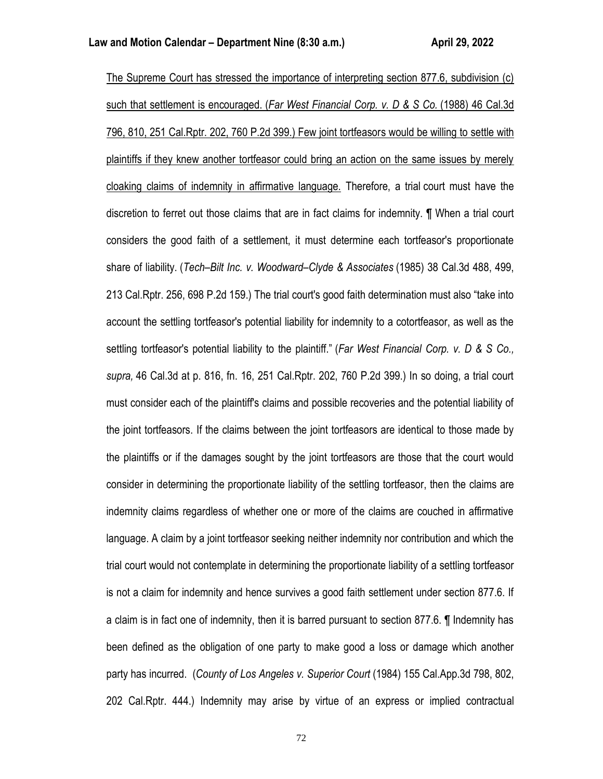The Supreme Court has stressed the importance of interpreting section 877.6, subdivision (c) such that settlement is encouraged. (*Far West Financial Corp. v. D & S Co.* (1988) 46 Cal.3d 796, 810, 251 Cal.Rptr. 202, 760 P.2d 399.) Few joint tortfeasors would be willing to settle with plaintiffs if they knew another tortfeasor could bring an action on the same issues by merely cloaking claims of indemnity in affirmative language. Therefore, a trial court must have the discretion to ferret out those claims that are in fact claims for indemnity. ¶ When a trial court considers the good faith of a settlement, it must determine each tortfeasor's proportionate share of liability. (*Tech–Bilt Inc. v. Woodward–Clyde & Associates* (1985) 38 Cal.3d 488, 499, 213 Cal.Rptr. 256, 698 P.2d 159.) The trial court's good faith determination must also "take into account the settling tortfeasor's potential liability for indemnity to a cotortfeasor, as well as the settling tortfeasor's potential liability to the plaintiff." (*Far West Financial Corp. v. D & S Co., supra,* 46 Cal.3d at p. 816, fn. 16, 251 Cal.Rptr. 202, 760 P.2d 399.) In so doing, a trial court must consider each of the plaintiff's claims and possible recoveries and the potential liability of the joint tortfeasors. If the claims between the joint tortfeasors are identical to those made by the plaintiffs or if the damages sought by the joint tortfeasors are those that the court would consider in determining the proportionate liability of the settling tortfeasor, then the claims are indemnity claims regardless of whether one or more of the claims are couched in affirmative language. A claim by a joint tortfeasor seeking neither indemnity nor contribution and which the trial court would not contemplate in determining the proportionate liability of a settling tortfeasor is not a claim for indemnity and hence survives a good faith settlement under section 877.6. If a claim is in fact one of indemnity, then it is barred pursuant to section 877.6. ¶ Indemnity has been defined as the obligation of one party to make good a loss or damage which another party has incurred. (*County of Los Angeles v. Superior Court* (1984) 155 Cal.App.3d 798, 802, 202 Cal.Rptr. 444.) Indemnity may arise by virtue of an express or implied contractual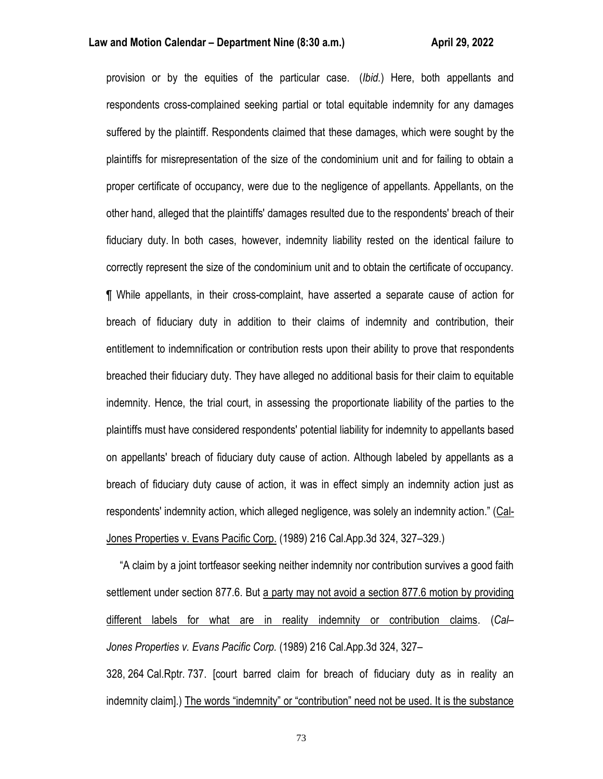provision or by the equities of the particular case. (*Ibid.*) Here, both appellants and respondents cross-complained seeking partial or total equitable indemnity for any damages suffered by the plaintiff. Respondents claimed that these damages, which were sought by the plaintiffs for misrepresentation of the size of the condominium unit and for failing to obtain a proper certificate of occupancy, were due to the negligence of appellants. Appellants, on the other hand, alleged that the plaintiffs' damages resulted due to the respondents' breach of their fiduciary duty. In both cases, however, indemnity liability rested on the identical failure to correctly represent the size of the condominium unit and to obtain the certificate of occupancy. ¶ While appellants, in their cross-complaint, have asserted a separate cause of action for breach of fiduciary duty in addition to their claims of indemnity and contribution, their entitlement to indemnification or contribution rests upon their ability to prove that respondents breached their fiduciary duty. They have alleged no additional basis for their claim to equitable indemnity. Hence, the trial court, in assessing the proportionate liability of the parties to the plaintiffs must have considered respondents' potential liability for indemnity to appellants based on appellants' breach of fiduciary duty cause of action. Although labeled by appellants as a breach of fiduciary duty cause of action, it was in effect simply an indemnity action just as respondents' indemnity action, which alleged negligence, was solely an indemnity action." (Cal-Jones Properties v. Evans Pacific Corp. (1989) 216 Cal.App.3d 324, 327–329.)

 "A claim by a joint tortfeasor seeking neither indemnity nor contribution survives a good faith settlement under section 877.6. But a party may not avoid a section 877.6 motion by providing different labels for what are in reality indemnity or contribution claims. (*Cal– Jones Properties v. Evans Pacific Corp.* (1989) 216 Cal.App.3d 324, 327–

328, 264 Cal.Rptr. 737. [court barred claim for breach of fiduciary duty as in reality an indemnity claim].) The words "indemnity" or "contribution" need not be used. It is the substance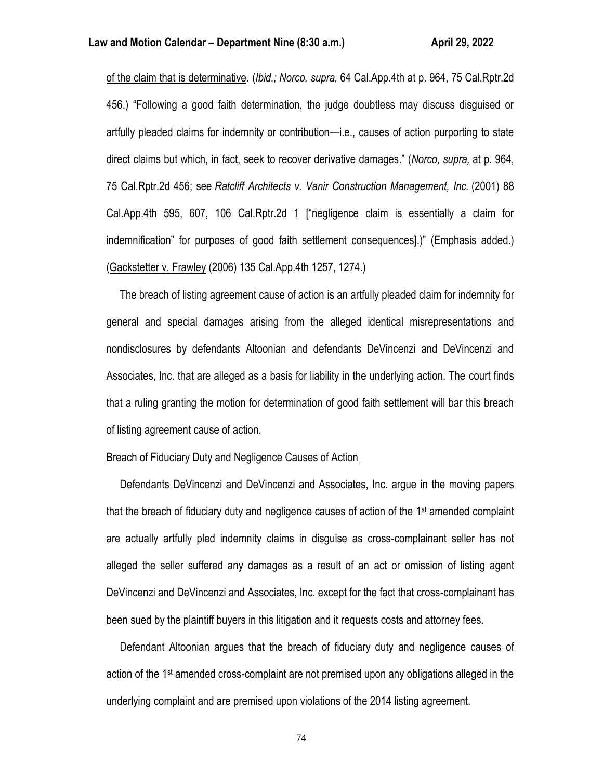of the claim that is determinative. (*Ibid.; Norco, supra,* 64 Cal.App.4th at p. 964, 75 Cal.Rptr.2d 456.) "Following a good faith determination, the judge doubtless may discuss disguised or artfully pleaded claims for indemnity or contribution—i.e., causes of action purporting to state direct claims but which, in fact, seek to recover derivative damages." (*Norco, supra,* at p. 964, 75 Cal.Rptr.2d 456; see *Ratcliff Architects v. Vanir Construction Management, Inc.* (2001) 88 Cal.App.4th 595, 607, 106 Cal.Rptr.2d 1 ["negligence claim is essentially a claim for indemnification" for purposes of good faith settlement consequences].)" (Emphasis added.) (Gackstetter v. Frawley (2006) 135 Cal.App.4th 1257, 1274.)

 The breach of listing agreement cause of action is an artfully pleaded claim for indemnity for general and special damages arising from the alleged identical misrepresentations and nondisclosures by defendants Altoonian and defendants DeVincenzi and DeVincenzi and Associates, Inc. that are alleged as a basis for liability in the underlying action. The court finds that a ruling granting the motion for determination of good faith settlement will bar this breach of listing agreement cause of action.

## Breach of Fiduciary Duty and Negligence Causes of Action

 Defendants DeVincenzi and DeVincenzi and Associates, Inc. argue in the moving papers that the breach of fiduciary duty and negligence causes of action of the 1<sup>st</sup> amended complaint are actually artfully pled indemnity claims in disguise as cross-complainant seller has not alleged the seller suffered any damages as a result of an act or omission of listing agent DeVincenzi and DeVincenzi and Associates, Inc. except for the fact that cross-complainant has been sued by the plaintiff buyers in this litigation and it requests costs and attorney fees.

 Defendant Altoonian argues that the breach of fiduciary duty and negligence causes of action of the 1st amended cross-complaint are not premised upon any obligations alleged in the underlying complaint and are premised upon violations of the 2014 listing agreement.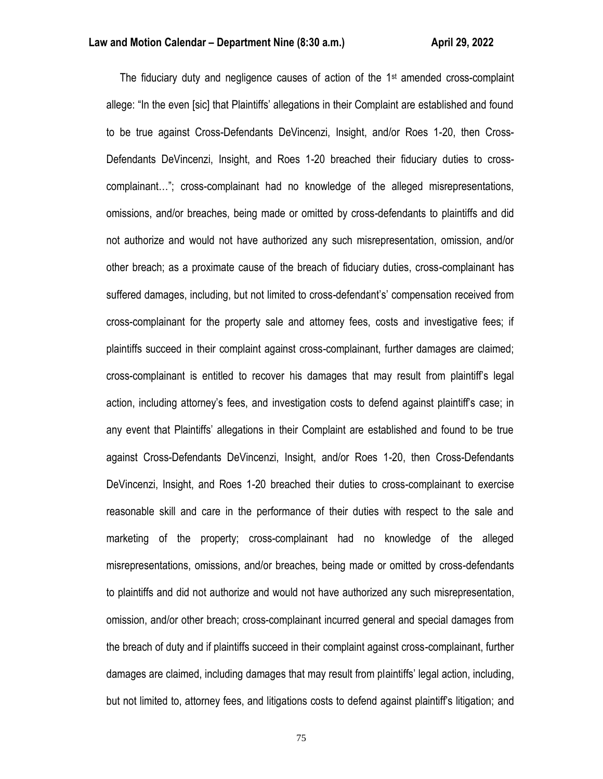The fiduciary duty and negligence causes of action of the  $1<sup>st</sup>$  amended cross-complaint allege: "In the even [sic] that Plaintiffs' allegations in their Complaint are established and found to be true against Cross-Defendants DeVincenzi, Insight, and/or Roes 1-20, then Cross-Defendants DeVincenzi, Insight, and Roes 1-20 breached their fiduciary duties to crosscomplainant…"; cross-complainant had no knowledge of the alleged misrepresentations, omissions, and/or breaches, being made or omitted by cross-defendants to plaintiffs and did not authorize and would not have authorized any such misrepresentation, omission, and/or other breach; as a proximate cause of the breach of fiduciary duties, cross-complainant has suffered damages, including, but not limited to cross-defendant's' compensation received from cross-complainant for the property sale and attorney fees, costs and investigative fees; if plaintiffs succeed in their complaint against cross-complainant, further damages are claimed; cross-complainant is entitled to recover his damages that may result from plaintiff's legal action, including attorney's fees, and investigation costs to defend against plaintiff's case; in any event that Plaintiffs' allegations in their Complaint are established and found to be true against Cross-Defendants DeVincenzi, Insight, and/or Roes 1-20, then Cross-Defendants DeVincenzi, Insight, and Roes 1-20 breached their duties to cross-complainant to exercise reasonable skill and care in the performance of their duties with respect to the sale and marketing of the property; cross-complainant had no knowledge of the alleged misrepresentations, omissions, and/or breaches, being made or omitted by cross-defendants to plaintiffs and did not authorize and would not have authorized any such misrepresentation, omission, and/or other breach; cross-complainant incurred general and special damages from the breach of duty and if plaintiffs succeed in their complaint against cross-complainant, further damages are claimed, including damages that may result from plaintiffs' legal action, including, but not limited to, attorney fees, and litigations costs to defend against plaintiff's litigation; and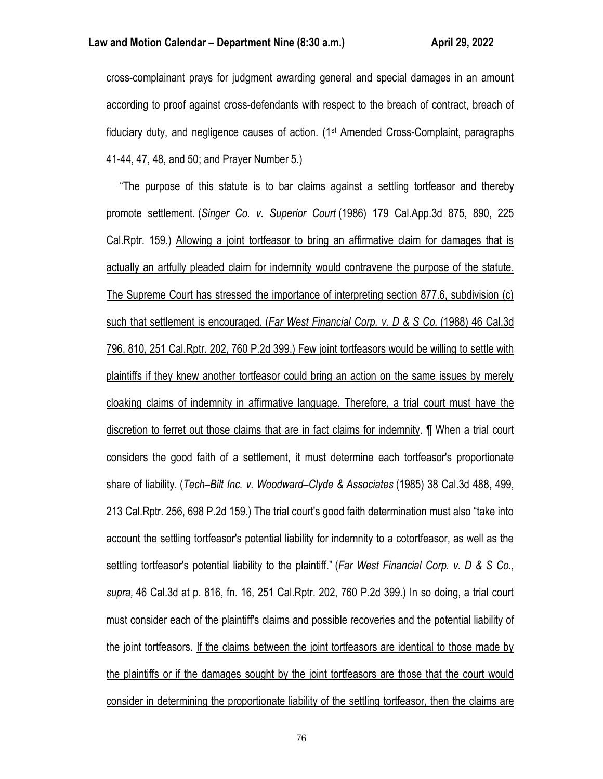cross-complainant prays for judgment awarding general and special damages in an amount according to proof against cross-defendants with respect to the breach of contract, breach of fiduciary duty, and negligence causes of action. (1st Amended Cross-Complaint, paragraphs 41-44, 47, 48, and 50; and Prayer Number 5.)

 "The purpose of this statute is to bar claims against a settling tortfeasor and thereby promote settlement. (*Singer Co. v. Superior Court* (1986) 179 Cal.App.3d 875, 890, 225 Cal.Rptr. 159.) Allowing a joint tortfeasor to bring an affirmative claim for damages that is actually an artfully pleaded claim for indemnity would contravene the purpose of the statute. The Supreme Court has stressed the importance of interpreting section 877.6, subdivision (c) such that settlement is encouraged. (*Far West Financial Corp. v. D & S Co.* (1988) 46 Cal.3d 796, 810, 251 Cal.Rptr. 202, 760 P.2d 399.) Few joint tortfeasors would be willing to settle with plaintiffs if they knew another tortfeasor could bring an action on the same issues by merely cloaking claims of indemnity in affirmative language. Therefore, a trial court must have the discretion to ferret out those claims that are in fact claims for indemnity. ¶ When a trial court considers the good faith of a settlement, it must determine each tortfeasor's proportionate share of liability. (*Tech–Bilt Inc. v. Woodward–Clyde & Associates* (1985) 38 Cal.3d 488, 499, 213 Cal.Rptr. 256, 698 P.2d 159.) The trial court's good faith determination must also "take into account the settling tortfeasor's potential liability for indemnity to a cotortfeasor, as well as the settling tortfeasor's potential liability to the plaintiff." (*Far West Financial Corp. v. D & S Co., supra,* 46 Cal.3d at p. 816, fn. 16, 251 Cal.Rptr. 202, 760 P.2d 399.) In so doing, a trial court must consider each of the plaintiff's claims and possible recoveries and the potential liability of the joint tortfeasors. If the claims between the joint tortfeasors are identical to those made by the plaintiffs or if the damages sought by the joint tortfeasors are those that the court would consider in determining the proportionate liability of the settling tortfeasor, then the claims are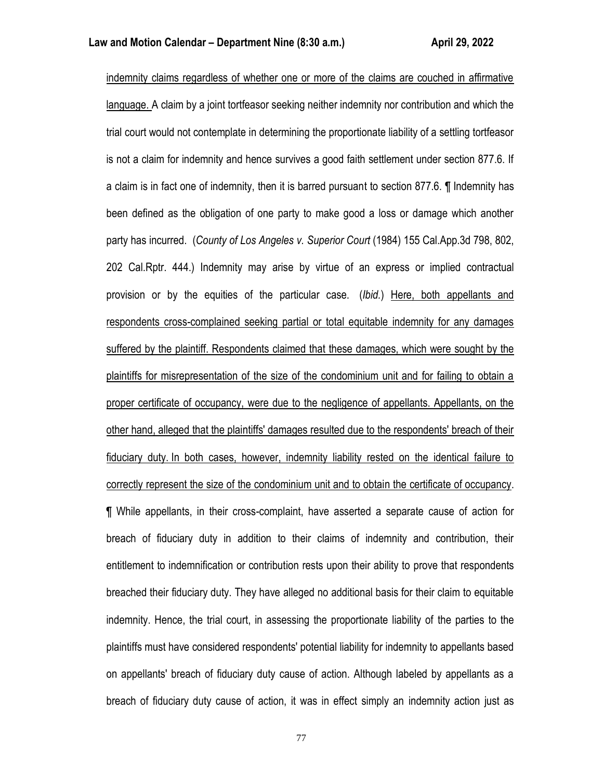indemnity claims regardless of whether one or more of the claims are couched in affirmative language. A claim by a joint tortfeasor seeking neither indemnity nor contribution and which the trial court would not contemplate in determining the proportionate liability of a settling tortfeasor is not a claim for indemnity and hence survives a good faith settlement under section 877.6. If a claim is in fact one of indemnity, then it is barred pursuant to section 877.6. ¶ Indemnity has been defined as the obligation of one party to make good a loss or damage which another party has incurred. (*County of Los Angeles v. Superior Court* (1984) 155 Cal.App.3d 798, 802, 202 Cal.Rptr. 444.) Indemnity may arise by virtue of an express or implied contractual provision or by the equities of the particular case. (*Ibid.*) Here, both appellants and respondents cross-complained seeking partial or total equitable indemnity for any damages suffered by the plaintiff. Respondents claimed that these damages, which were sought by the plaintiffs for misrepresentation of the size of the condominium unit and for failing to obtain a proper certificate of occupancy, were due to the negligence of appellants. Appellants, on the other hand, alleged that the plaintiffs' damages resulted due to the respondents' breach of their fiduciary duty. In both cases, however, indemnity liability rested on the identical failure to correctly represent the size of the condominium unit and to obtain the certificate of occupancy. ¶ While appellants, in their cross-complaint, have asserted a separate cause of action for breach of fiduciary duty in addition to their claims of indemnity and contribution, their entitlement to indemnification or contribution rests upon their ability to prove that respondents breached their fiduciary duty. They have alleged no additional basis for their claim to equitable indemnity. Hence, the trial court, in assessing the proportionate liability of the parties to the plaintiffs must have considered respondents' potential liability for indemnity to appellants based on appellants' breach of fiduciary duty cause of action. Although labeled by appellants as a breach of fiduciary duty cause of action, it was in effect simply an indemnity action just as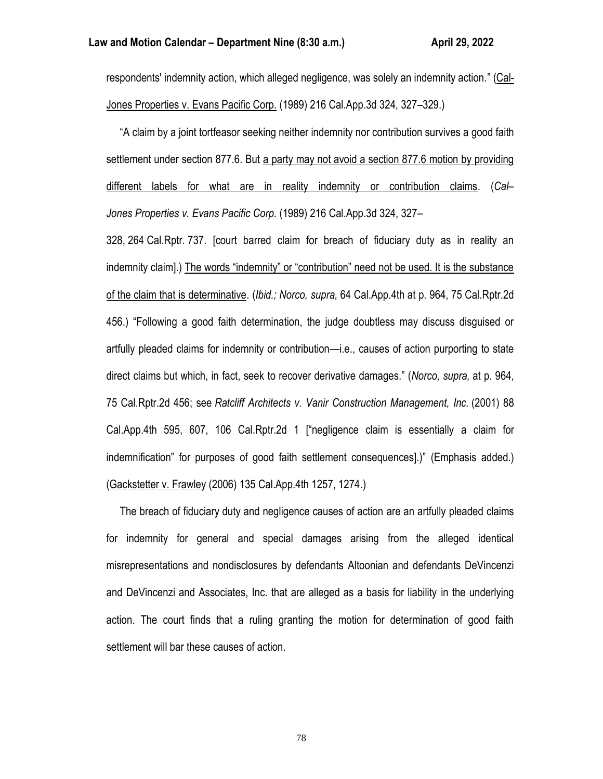respondents' indemnity action, which alleged negligence, was solely an indemnity action." (Cal-Jones Properties v. Evans Pacific Corp. (1989) 216 Cal.App.3d 324, 327–329.)

 "A claim by a joint tortfeasor seeking neither indemnity nor contribution survives a good faith settlement under section 877.6. But a party may not avoid a section 877.6 motion by providing different labels for what are in reality indemnity or contribution claims. (*Cal– Jones Properties v. Evans Pacific Corp.* (1989) 216 Cal.App.3d 324, 327–

328, 264 Cal.Rptr. 737. [court barred claim for breach of fiduciary duty as in reality an indemnity claim].) The words "indemnity" or "contribution" need not be used. It is the substance of the claim that is determinative. (*Ibid.; Norco, supra,* 64 Cal.App.4th at p. 964, 75 Cal.Rptr.2d 456.) "Following a good faith determination, the judge doubtless may discuss disguised or artfully pleaded claims for indemnity or contribution—i.e., causes of action purporting to state direct claims but which, in fact, seek to recover derivative damages." (*Norco, supra,* at p. 964, 75 Cal.Rptr.2d 456; see *Ratcliff Architects v. Vanir Construction Management, Inc.* (2001) 88 Cal.App.4th 595, 607, 106 Cal.Rptr.2d 1 ["negligence claim is essentially a claim for indemnification" for purposes of good faith settlement consequences].)" (Emphasis added.) (Gackstetter v. Frawley (2006) 135 Cal.App.4th 1257, 1274.)

 The breach of fiduciary duty and negligence causes of action are an artfully pleaded claims for indemnity for general and special damages arising from the alleged identical misrepresentations and nondisclosures by defendants Altoonian and defendants DeVincenzi and DeVincenzi and Associates, Inc. that are alleged as a basis for liability in the underlying action. The court finds that a ruling granting the motion for determination of good faith settlement will bar these causes of action.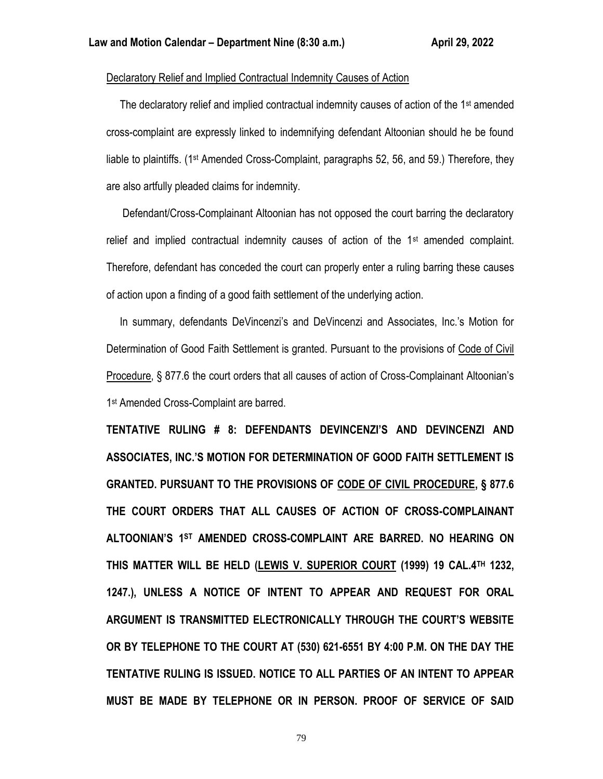## Declaratory Relief and Implied Contractual Indemnity Causes of Action

 The declaratory relief and implied contractual indemnity causes of action of the 1st amended cross-complaint are expressly linked to indemnifying defendant Altoonian should he be found liable to plaintiffs. (1st Amended Cross-Complaint, paragraphs 52, 56, and 59.) Therefore, they are also artfully pleaded claims for indemnity.

 Defendant/Cross-Complainant Altoonian has not opposed the court barring the declaratory relief and implied contractual indemnity causes of action of the 1<sup>st</sup> amended complaint. Therefore, defendant has conceded the court can properly enter a ruling barring these causes of action upon a finding of a good faith settlement of the underlying action.

 In summary, defendants DeVincenzi's and DeVincenzi and Associates, Inc.'s Motion for Determination of Good Faith Settlement is granted. Pursuant to the provisions of Code of Civil Procedure, § 877.6 the court orders that all causes of action of Cross-Complainant Altoonian's 1 st Amended Cross-Complaint are barred.

**TENTATIVE RULING # 8: DEFENDANTS DEVINCENZI'S AND DEVINCENZI AND ASSOCIATES, INC.'S MOTION FOR DETERMINATION OF GOOD FAITH SETTLEMENT IS GRANTED. PURSUANT TO THE PROVISIONS OF CODE OF CIVIL PROCEDURE, § 877.6 THE COURT ORDERS THAT ALL CAUSES OF ACTION OF CROSS-COMPLAINANT ALTOONIAN'S 1ST AMENDED CROSS-COMPLAINT ARE BARRED. NO HEARING ON THIS MATTER WILL BE HELD (LEWIS V. SUPERIOR COURT (1999) 19 CAL.4TH 1232, 1247.), UNLESS A NOTICE OF INTENT TO APPEAR AND REQUEST FOR ORAL ARGUMENT IS TRANSMITTED ELECTRONICALLY THROUGH THE COURT'S WEBSITE OR BY TELEPHONE TO THE COURT AT (530) 621-6551 BY 4:00 P.M. ON THE DAY THE TENTATIVE RULING IS ISSUED. NOTICE TO ALL PARTIES OF AN INTENT TO APPEAR MUST BE MADE BY TELEPHONE OR IN PERSON. PROOF OF SERVICE OF SAID**